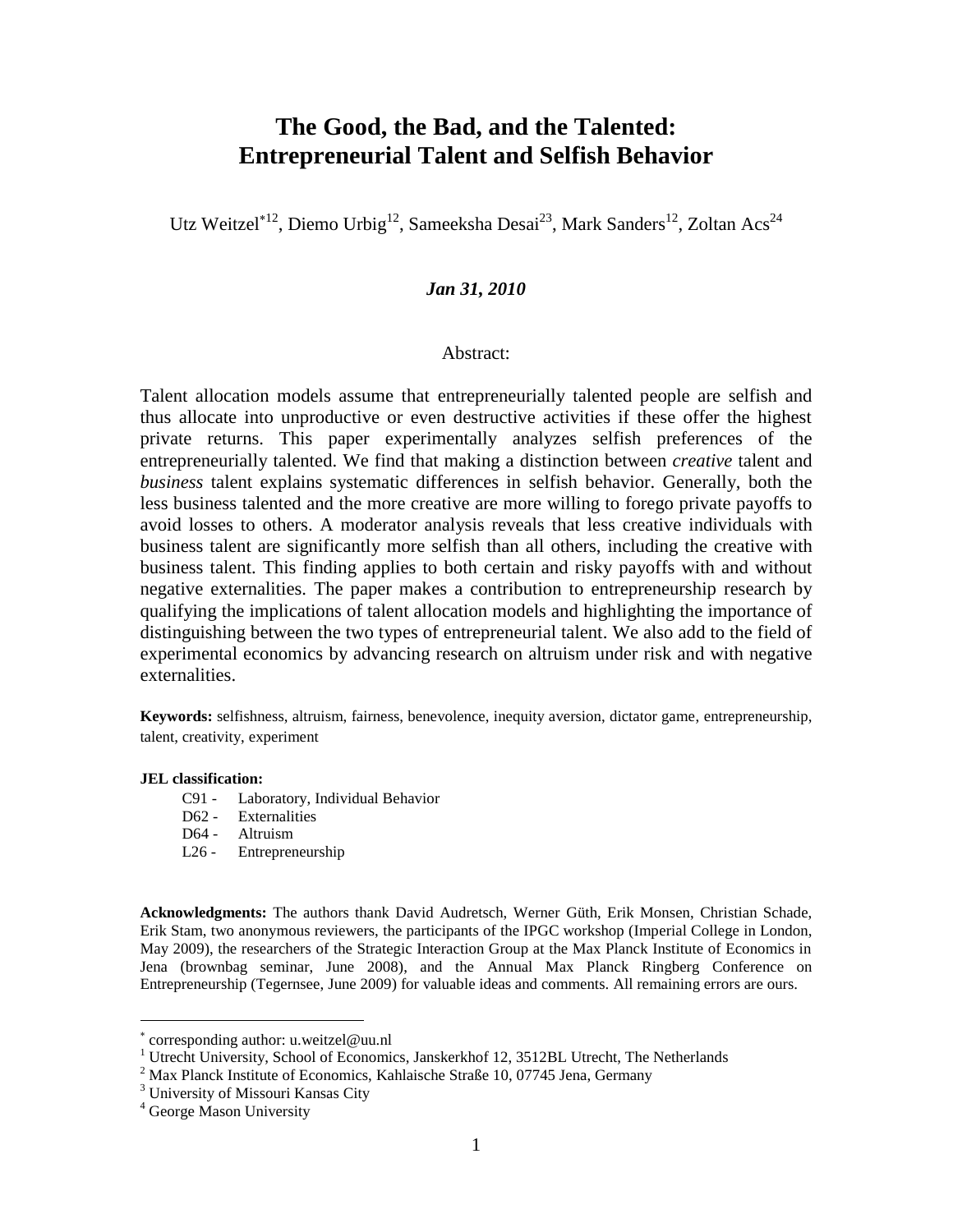# **The Good, the Bad, and the Talented: Entrepreneurial Talent and Selfish Behavior**

Utz Weitzel<sup>\*12</sup>, Diemo Urbig<sup>12</sup>, Sameeksha Desai<sup>23</sup>, Mark Sanders<sup>12</sup>, Zoltan Acs<sup>24</sup>

### *Jan 31, 2010*

#### Abstract:

Talent allocation models assume that entrepreneurially talented people are selfish and thus allocate into unproductive or even destructive activities if these offer the highest private returns. This paper experimentally analyzes selfish preferences of the entrepreneurially talented. We find that making a distinction between *creative* talent and *business* talent explains systematic differences in selfish behavior. Generally, both the less business talented and the more creative are more willing to forego private payoffs to avoid losses to others. A moderator analysis reveals that less creative individuals with business talent are significantly more selfish than all others, including the creative with business talent. This finding applies to both certain and risky payoffs with and without negative externalities. The paper makes a contribution to entrepreneurship research by qualifying the implications of talent allocation models and highlighting the importance of distinguishing between the two types of entrepreneurial talent. We also add to the field of experimental economics by advancing research on altruism under risk and with negative externalities.

**Keywords:** selfishness, altruism, fairness, benevolence, inequity aversion, dictator game, entrepreneurship, talent, creativity, experiment

#### **JEL classification:**

- C91 Laboratory, Individual Behavior
- D62 Externalities
- D64 Altruism
- L26 Entrepreneurship

**Acknowledgments:** The authors thank David Audretsch, Werner Güth, Erik Monsen, Christian Schade, Erik Stam, two anonymous reviewers, the participants of the IPGC workshop (Imperial College in London, May 2009), the researchers of the Strategic Interaction Group at the Max Planck Institute of Economics in Jena (brownbag seminar, June 2008), and the Annual Max Planck Ringberg Conference on Entrepreneurship (Tegernsee, June 2009) for valuable ideas and comments. All remaining errors are ours.

 $\overline{a}$ 

corresponding author: u.weitzel@uu.nl

<sup>&</sup>lt;sup>1</sup> Utrecht University, School of Economics, Janskerkhof 12, 3512BL Utrecht, The Netherlands

<sup>2</sup> Max Planck Institute of Economics, Kahlaische Straße 10, 07745 Jena, Germany

<sup>3</sup> University of Missouri Kansas City

<sup>4</sup> George Mason University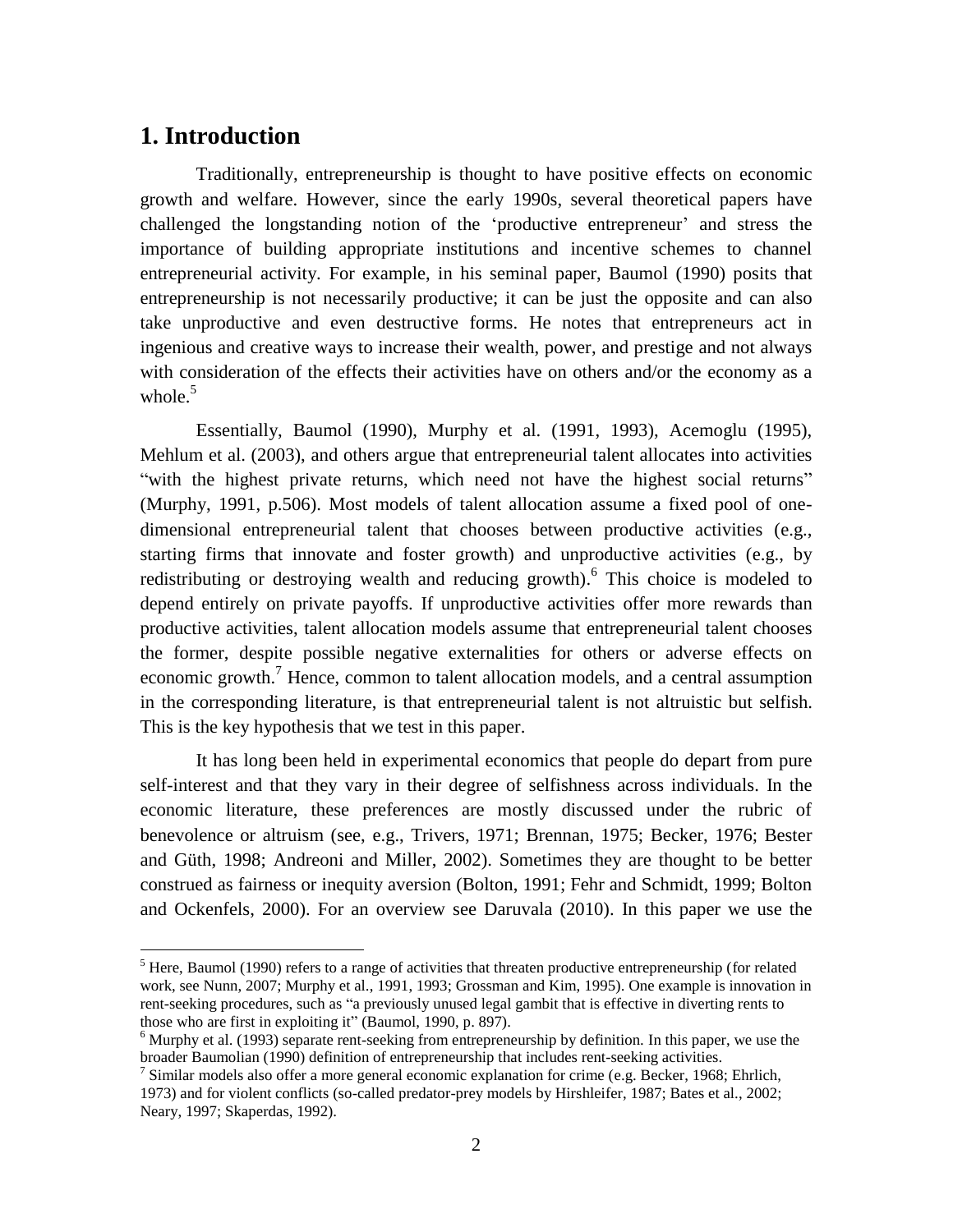# **1. Introduction**

 $\overline{a}$ 

Traditionally, entrepreneurship is thought to have positive effects on economic growth and welfare. However, since the early 1990s, several theoretical papers have challenged the longstanding notion of the ‗productive entrepreneur' and stress the importance of building appropriate institutions and incentive schemes to channel entrepreneurial activity. For example, in his seminal paper, Baumol (1990) posits that entrepreneurship is not necessarily productive; it can be just the opposite and can also take unproductive and even destructive forms. He notes that entrepreneurs act in ingenious and creative ways to increase their wealth, power, and prestige and not always with consideration of the effects their activities have on others and/or the economy as a whole. $5$ 

Essentially, Baumol (1990), Murphy et al. (1991, 1993), Acemoglu (1995), Mehlum et al. (2003), and others argue that entrepreneurial talent allocates into activities "with the highest private returns, which need not have the highest social returns" (Murphy, 1991, p.506). Most models of talent allocation assume a fixed pool of onedimensional entrepreneurial talent that chooses between productive activities (e.g., starting firms that innovate and foster growth) and unproductive activities (e.g., by redistributing or destroying wealth and reducing growth).<sup>6</sup> This choice is modeled to depend entirely on private payoffs. If unproductive activities offer more rewards than productive activities, talent allocation models assume that entrepreneurial talent chooses the former, despite possible negative externalities for others or adverse effects on economic growth.<sup>7</sup> Hence, common to talent allocation models, and a central assumption in the corresponding literature, is that entrepreneurial talent is not altruistic but selfish. This is the key hypothesis that we test in this paper.

It has long been held in experimental economics that people do depart from pure self-interest and that they vary in their degree of selfishness across individuals. In the economic literature, these preferences are mostly discussed under the rubric of benevolence or altruism (see, e.g., Trivers, 1971; Brennan, 1975; Becker, 1976; Bester and Güth, 1998; Andreoni and Miller, 2002). Sometimes they are thought to be better construed as fairness or inequity aversion (Bolton, 1991; Fehr and Schmidt, 1999; Bolton and Ockenfels, 2000). For an overview see Daruvala (2010). In this paper we use the

 $<sup>5</sup>$  Here, Baumol (1990) refers to a range of activities that threaten productive entrepreneurship (for related</sup> work, see Nunn, 2007; Murphy et al., 1991, 1993; Grossman and Kim, 1995). One example is innovation in rent-seeking procedures, such as "a previously unused legal gambit that is effective in diverting rents to those who are first in exploiting it" (Baumol, 1990, p. 897).

<sup>&</sup>lt;sup>6</sup> Murphy et al. (1993) separate rent-seeking from entrepreneurship by definition. In this paper, we use the broader Baumolian (1990) definition of entrepreneurship that includes rent-seeking activities.

<sup>&</sup>lt;sup>7</sup> Similar models also offer a more general economic explanation for crime (e.g. Becker, 1968; Ehrlich, 1973) and for violent conflicts (so-called predator-prey models by Hirshleifer, 1987; Bates et al., 2002; Neary, 1997; Skaperdas, 1992).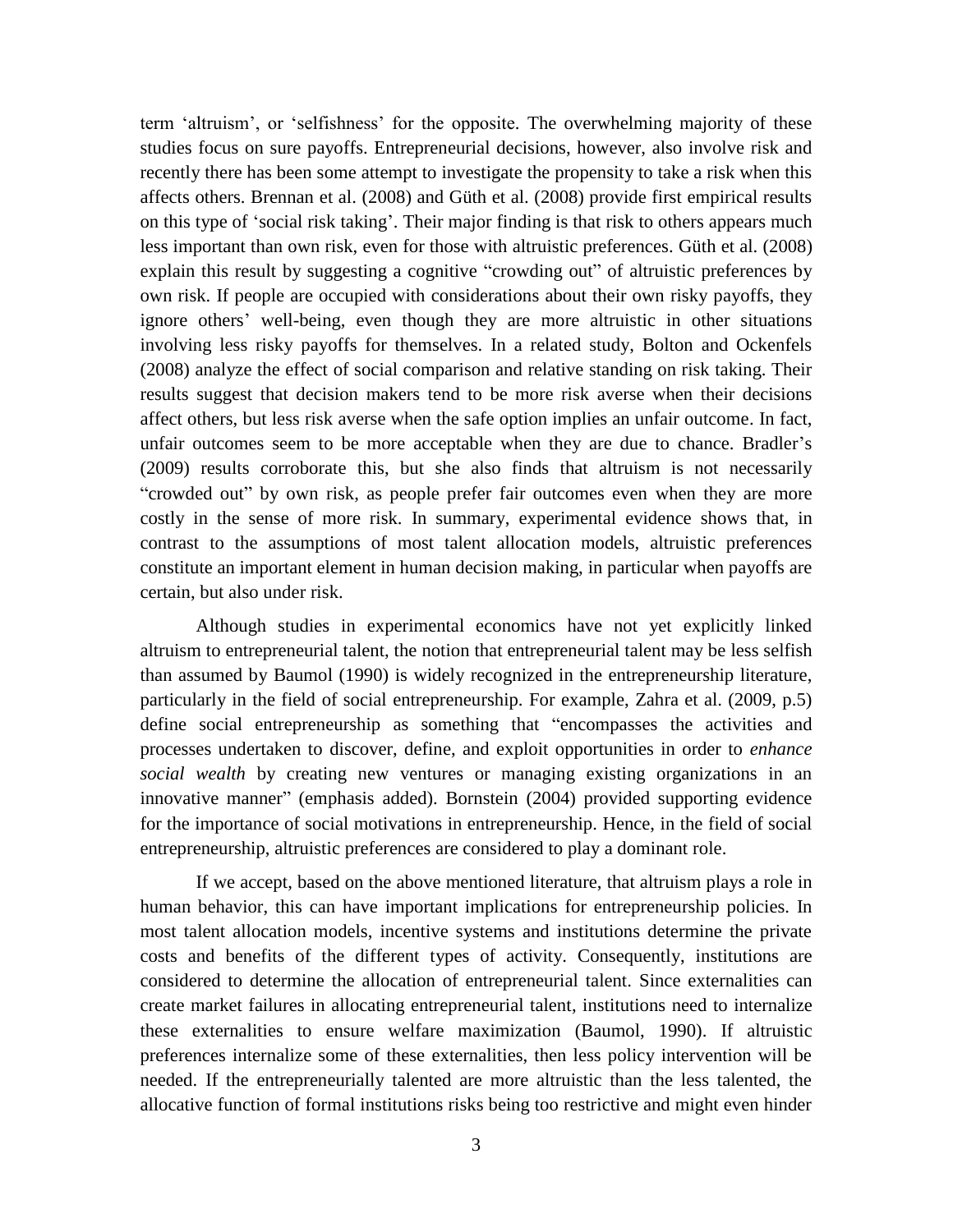term 'altruism', or 'selfishness' for the opposite. The overwhelming majority of these studies focus on sure payoffs. Entrepreneurial decisions, however, also involve risk and recently there has been some attempt to investigate the propensity to take a risk when this affects others. Brennan et al. (2008) and Güth et al. (2008) provide first empirical results on this type of 'social risk taking'. Their major finding is that risk to others appears much less important than own risk, even for those with altruistic preferences. Güth et al. (2008) explain this result by suggesting a cognitive "crowding out" of altruistic preferences by own risk. If people are occupied with considerations about their own risky payoffs, they ignore others' well-being, even though they are more altruistic in other situations involving less risky payoffs for themselves. In a related study, Bolton and Ockenfels (2008) analyze the effect of social comparison and relative standing on risk taking. Their results suggest that decision makers tend to be more risk averse when their decisions affect others, but less risk averse when the safe option implies an unfair outcome. In fact, unfair outcomes seem to be more acceptable when they are due to chance. Bradler's (2009) results corroborate this, but she also finds that altruism is not necessarily "crowded out" by own risk, as people prefer fair outcomes even when they are more costly in the sense of more risk. In summary, experimental evidence shows that, in contrast to the assumptions of most talent allocation models, altruistic preferences constitute an important element in human decision making, in particular when payoffs are certain, but also under risk.

Although studies in experimental economics have not yet explicitly linked altruism to entrepreneurial talent, the notion that entrepreneurial talent may be less selfish than assumed by Baumol (1990) is widely recognized in the entrepreneurship literature, particularly in the field of social entrepreneurship. For example, Zahra et al. (2009, p.5) define social entrepreneurship as something that "encompasses the activities and processes undertaken to discover, define, and exploit opportunities in order to *enhance social wealth* by creating new ventures or managing existing organizations in an innovative manner" (emphasis added). Bornstein (2004) provided supporting evidence for the importance of social motivations in entrepreneurship. Hence, in the field of social entrepreneurship, altruistic preferences are considered to play a dominant role.

If we accept, based on the above mentioned literature, that altruism plays a role in human behavior, this can have important implications for entrepreneurship policies. In most talent allocation models, incentive systems and institutions determine the private costs and benefits of the different types of activity. Consequently, institutions are considered to determine the allocation of entrepreneurial talent. Since externalities can create market failures in allocating entrepreneurial talent, institutions need to internalize these externalities to ensure welfare maximization (Baumol, 1990). If altruistic preferences internalize some of these externalities, then less policy intervention will be needed. If the entrepreneurially talented are more altruistic than the less talented, the allocative function of formal institutions risks being too restrictive and might even hinder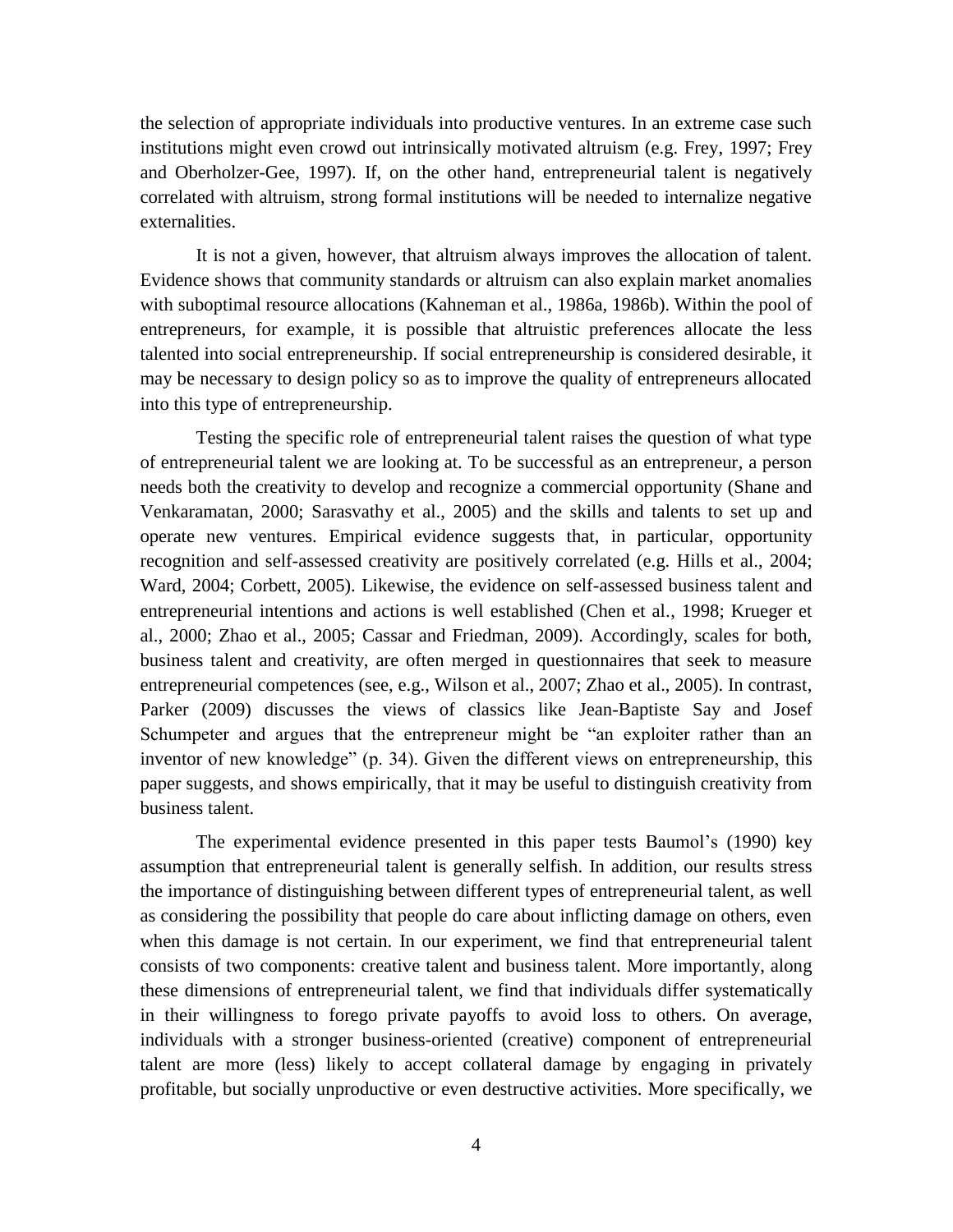the selection of appropriate individuals into productive ventures. In an extreme case such institutions might even crowd out intrinsically motivated altruism (e.g. Frey, 1997; Frey and Oberholzer-Gee, 1997). If, on the other hand, entrepreneurial talent is negatively correlated with altruism, strong formal institutions will be needed to internalize negative externalities.

It is not a given, however, that altruism always improves the allocation of talent. Evidence shows that community standards or altruism can also explain market anomalies with suboptimal resource allocations (Kahneman et al., 1986a, 1986b). Within the pool of entrepreneurs, for example, it is possible that altruistic preferences allocate the less talented into social entrepreneurship. If social entrepreneurship is considered desirable, it may be necessary to design policy so as to improve the quality of entrepreneurs allocated into this type of entrepreneurship.

Testing the specific role of entrepreneurial talent raises the question of what type of entrepreneurial talent we are looking at. To be successful as an entrepreneur, a person needs both the creativity to develop and recognize a commercial opportunity (Shane and Venkaramatan, 2000; Sarasvathy et al., 2005) and the skills and talents to set up and operate new ventures. Empirical evidence suggests that, in particular, opportunity recognition and self-assessed creativity are positively correlated (e.g. Hills et al., 2004; Ward, 2004; Corbett, 2005). Likewise, the evidence on self-assessed business talent and entrepreneurial intentions and actions is well established (Chen et al., 1998; Krueger et al., 2000; Zhao et al., 2005; Cassar and Friedman, 2009). Accordingly, scales for both, business talent and creativity, are often merged in questionnaires that seek to measure entrepreneurial competences (see, e.g., Wilson et al., 2007; Zhao et al., 2005). In contrast, Parker (2009) discusses the views of classics like Jean-Baptiste Say and Josef Schumpeter and argues that the entrepreneur might be "an exploiter rather than an inventor of new knowledge" (p. 34). Given the different views on entrepreneurship, this paper suggests, and shows empirically, that it may be useful to distinguish creativity from business talent.

The experimental evidence presented in this paper tests Baumol's (1990) key assumption that entrepreneurial talent is generally selfish. In addition, our results stress the importance of distinguishing between different types of entrepreneurial talent, as well as considering the possibility that people do care about inflicting damage on others, even when this damage is not certain. In our experiment, we find that entrepreneurial talent consists of two components: creative talent and business talent. More importantly, along these dimensions of entrepreneurial talent, we find that individuals differ systematically in their willingness to forego private payoffs to avoid loss to others. On average, individuals with a stronger business-oriented (creative) component of entrepreneurial talent are more (less) likely to accept collateral damage by engaging in privately profitable, but socially unproductive or even destructive activities. More specifically, we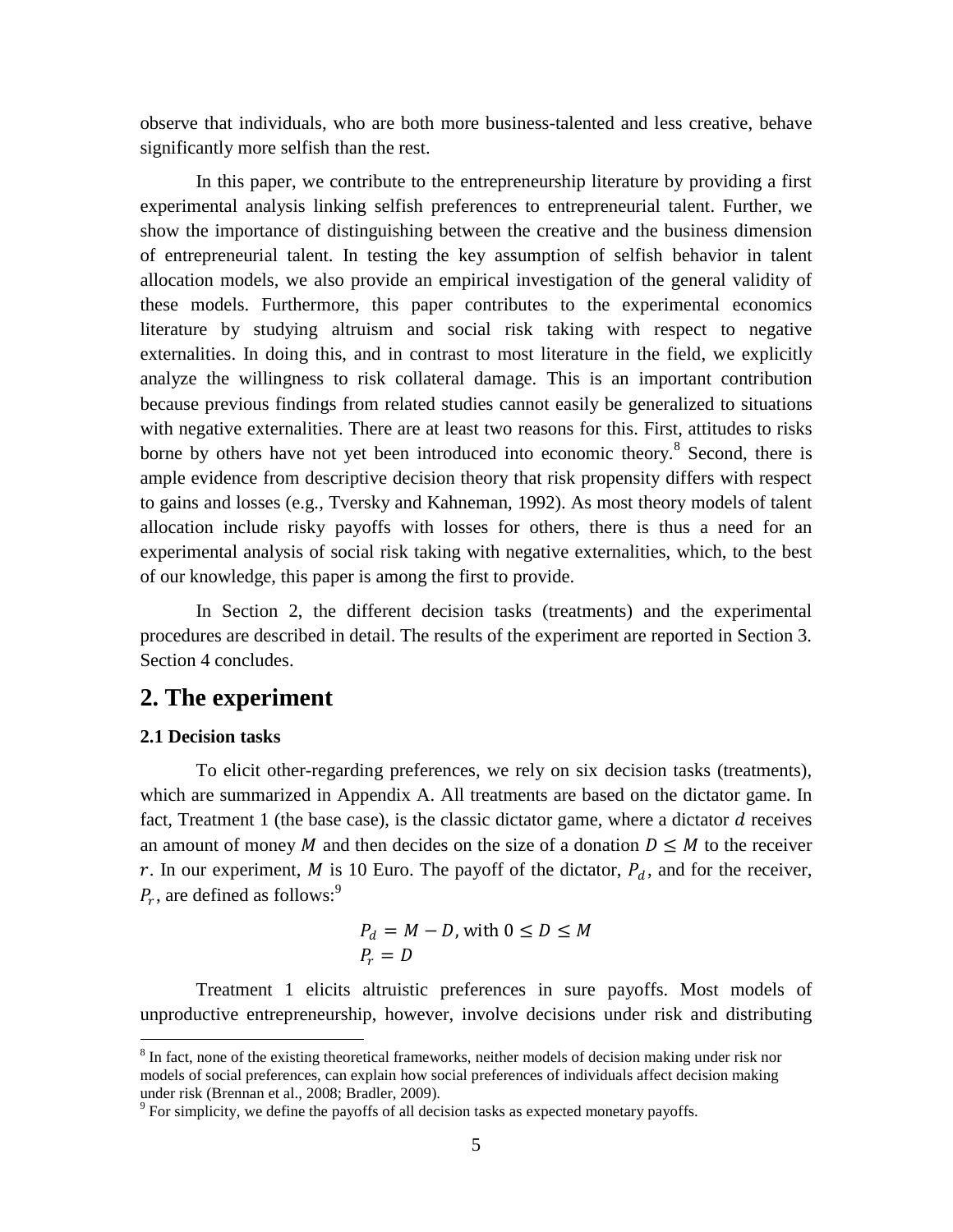observe that individuals, who are both more business-talented and less creative, behave significantly more selfish than the rest.

In this paper, we contribute to the entrepreneurship literature by providing a first experimental analysis linking selfish preferences to entrepreneurial talent. Further, we show the importance of distinguishing between the creative and the business dimension of entrepreneurial talent. In testing the key assumption of selfish behavior in talent allocation models, we also provide an empirical investigation of the general validity of these models. Furthermore, this paper contributes to the experimental economics literature by studying altruism and social risk taking with respect to negative externalities. In doing this, and in contrast to most literature in the field, we explicitly analyze the willingness to risk collateral damage. This is an important contribution because previous findings from related studies cannot easily be generalized to situations with negative externalities. There are at least two reasons for this. First, attitudes to risks borne by others have not yet been introduced into economic theory.<sup>8</sup> Second, there is ample evidence from descriptive decision theory that risk propensity differs with respect to gains and losses (e.g., Tversky and Kahneman, 1992). As most theory models of talent allocation include risky payoffs with losses for others, there is thus a need for an experimental analysis of social risk taking with negative externalities, which, to the best of our knowledge, this paper is among the first to provide.

In Section 2, the different decision tasks (treatments) and the experimental procedures are described in detail. The results of the experiment are reported in Section 3. Section 4 concludes.

# **2. The experiment**

#### **2.1 Decision tasks**

 $\overline{a}$ 

To elicit other-regarding preferences, we rely on six decision tasks (treatments), which are summarized in Appendix A. All treatments are based on the dictator game. In fact, Treatment 1 (the base case), is the classic dictator game, where a dictator  $d$  receives an amount of money M and then decides on the size of a donation  $D \leq M$  to the receiver r. In our experiment, M is 10 Euro. The payoff of the dictator,  $P_d$ , and for the receiver,  $P_r$ , are defined as follows:<sup>9</sup>

$$
P_d = M - D, \text{ with } 0 \le D \le M
$$
  

$$
P_r = D
$$

Treatment 1 elicits altruistic preferences in sure payoffs. Most models of unproductive entrepreneurship, however, involve decisions under risk and distributing

 $8 \text{ In fact, none of the existing theoretical frameworks, neither models of decision making under risk nor.}$ models of social preferences, can explain how social preferences of individuals affect decision making under risk (Brennan et al., 2008; Bradler, 2009).

 $9^9$  For simplicity, we define the payoffs of all decision tasks as expected monetary payoffs.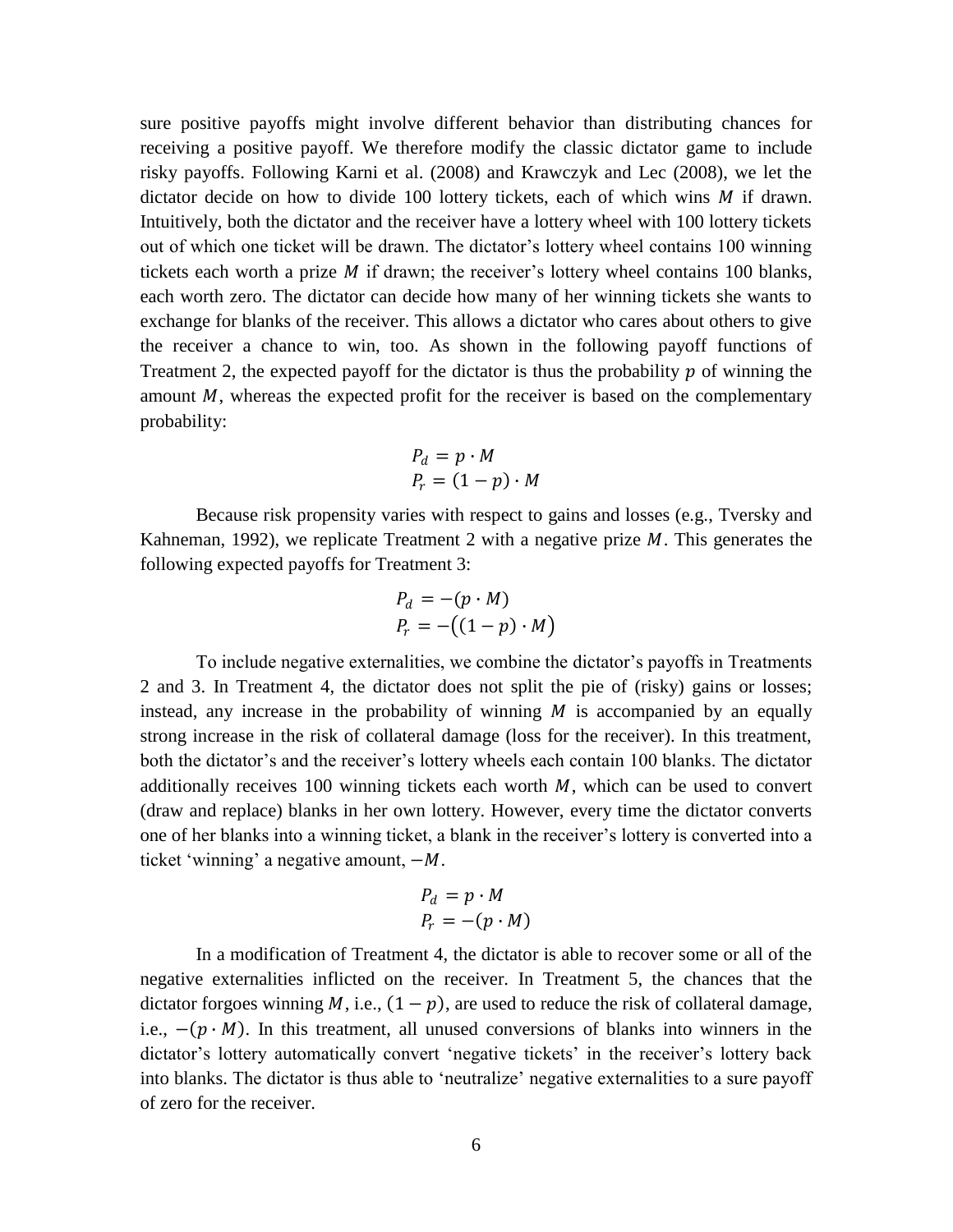sure positive payoffs might involve different behavior than distributing chances for receiving a positive payoff. We therefore modify the classic dictator game to include risky payoffs. Following Karni et al. (2008) and Krawczyk and Lec (2008), we let the dictator decide on how to divide 100 lottery tickets, each of which wins  $M$  if drawn. Intuitively, both the dictator and the receiver have a lottery wheel with 100 lottery tickets out of which one ticket will be drawn. The dictator's lottery wheel contains 100 winning tickets each worth a prize  $M$  if drawn; the receiver's lottery wheel contains 100 blanks, each worth zero. The dictator can decide how many of her winning tickets she wants to exchange for blanks of the receiver. This allows a dictator who cares about others to give the receiver a chance to win, too. As shown in the following payoff functions of Treatment 2, the expected payoff for the dictator is thus the probability  $p$  of winning the amount  $M$ , whereas the expected profit for the receiver is based on the complementary probability:

$$
P_d = p \cdot M
$$
  

$$
P_r = (1 - p) \cdot M
$$

Because risk propensity varies with respect to gains and losses (e.g., Tversky and Kahneman, 1992), we replicate Treatment 2 with a negative prize  $M$ . This generates the following expected payoffs for Treatment 3:

$$
P_d = -(p \cdot M)
$$
  

$$
P_r = -((1 - p) \cdot M)
$$

To include negative externalities, we combine the dictator's payoffs in Treatments 2 and 3. In Treatment 4, the dictator does not split the pie of (risky) gains or losses; instead, any increase in the probability of winning  $M$  is accompanied by an equally strong increase in the risk of collateral damage (loss for the receiver). In this treatment, both the dictator's and the receiver's lottery wheels each contain 100 blanks. The dictator additionally receives 100 winning tickets each worth  $M$ , which can be used to convert (draw and replace) blanks in her own lottery. However, every time the dictator converts one of her blanks into a winning ticket, a blank in the receiver's lottery is converted into a ticket 'winning' a negative amount,  $-M$ .

$$
P_d = p \cdot M
$$
  

$$
P_r = -(p \cdot M)
$$

In a modification of Treatment 4, the dictator is able to recover some or all of the negative externalities inflicted on the receiver. In Treatment 5, the chances that the dictator forgoes winning M, i.e.,  $(1 - p)$ , are used to reduce the risk of collateral damage, i.e.,  $-(p \cdot M)$ . In this treatment, all unused conversions of blanks into winners in the dictator's lottery automatically convert 'negative tickets' in the receiver's lottery back into blanks. The dictator is thus able to 'neutralize' negative externalities to a sure payoff of zero for the receiver.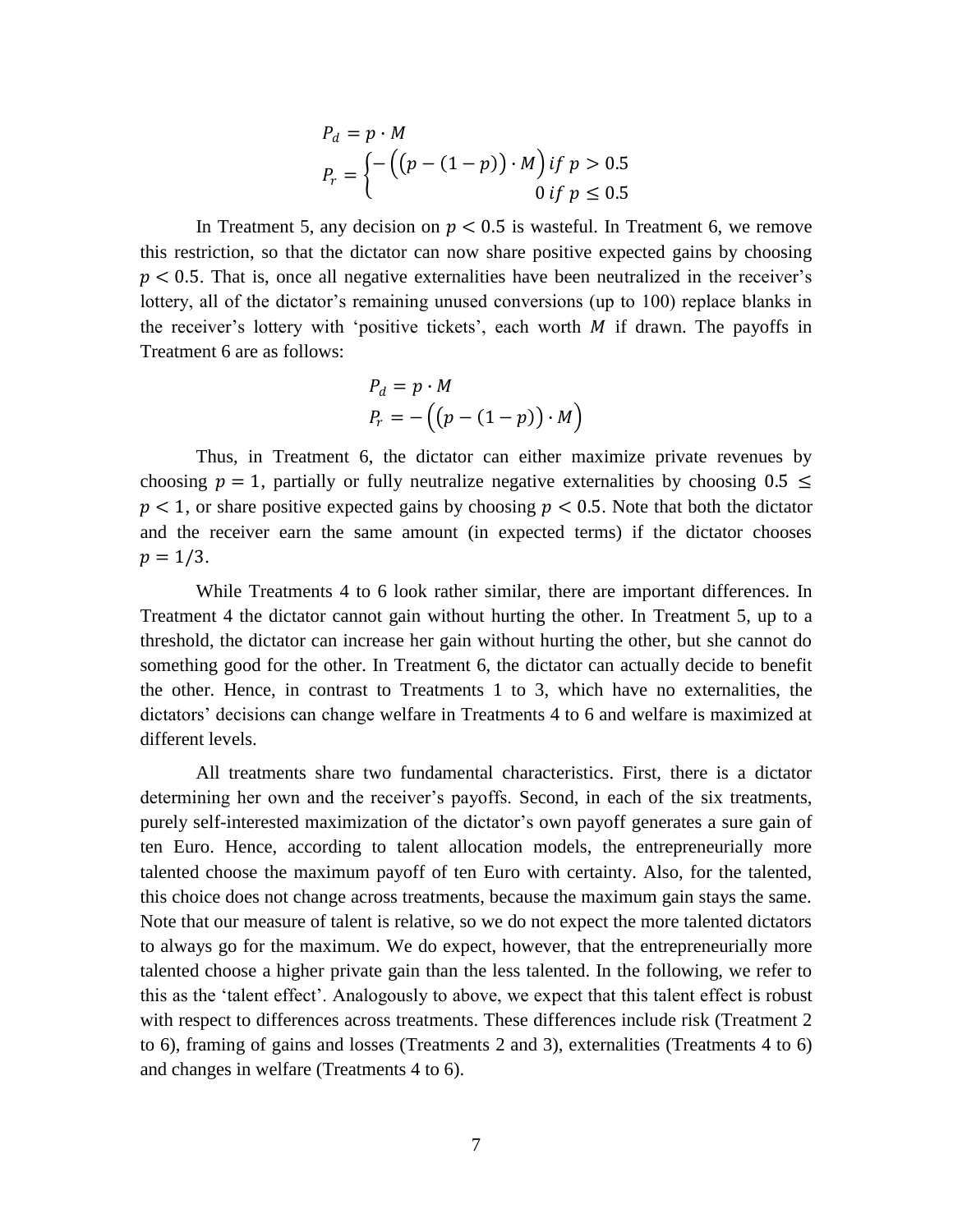$$
P_d = p \cdot M
$$
  
\n
$$
P_r = \begin{cases} -\left( (p - (1 - p)) \cdot M \right) & \text{if } p > 0.5 \\ 0 & \text{if } p \le 0.5 \end{cases}
$$

In Treatment 5, any decision on  $p < 0.5$  is wasteful. In Treatment 6, we remove this restriction, so that the dictator can now share positive expected gains by choosing  $p < 0.5$ . That is, once all negative externalities have been neutralized in the receiver's lottery, all of the dictator's remaining unused conversions (up to 100) replace blanks in the receiver's lottery with 'positive tickets', each worth  $M$  if drawn. The payoffs in Treatment 6 are as follows:

$$
P_d = p \cdot M
$$
  

$$
P_r = -((p - (1 - p)) \cdot M)
$$

Thus, in Treatment 6, the dictator can either maximize private revenues by choosing  $p = 1$ , partially or fully neutralize negative externalities by choosing  $0.5 \leq$  $p < 1$ , or share positive expected gains by choosing  $p < 0.5$ . Note that both the dictator and the receiver earn the same amount (in expected terms) if the dictator chooses  $p = 1/3$ .

While Treatments 4 to 6 look rather similar, there are important differences. In Treatment 4 the dictator cannot gain without hurting the other. In Treatment 5, up to a threshold, the dictator can increase her gain without hurting the other, but she cannot do something good for the other. In Treatment 6, the dictator can actually decide to benefit the other. Hence, in contrast to Treatments 1 to 3, which have no externalities, the dictators' decisions can change welfare in Treatments 4 to 6 and welfare is maximized at different levels.

All treatments share two fundamental characteristics. First, there is a dictator determining her own and the receiver's payoffs. Second, in each of the six treatments, purely self-interested maximization of the dictator's own payoff generates a sure gain of ten Euro. Hence, according to talent allocation models, the entrepreneurially more talented choose the maximum payoff of ten Euro with certainty. Also, for the talented, this choice does not change across treatments, because the maximum gain stays the same. Note that our measure of talent is relative, so we do not expect the more talented dictators to always go for the maximum. We do expect, however, that the entrepreneurially more talented choose a higher private gain than the less talented. In the following, we refer to this as the ‗talent effect'. Analogously to above, we expect that this talent effect is robust with respect to differences across treatments. These differences include risk (Treatment 2 to 6), framing of gains and losses (Treatments 2 and 3), externalities (Treatments 4 to 6) and changes in welfare (Treatments 4 to 6).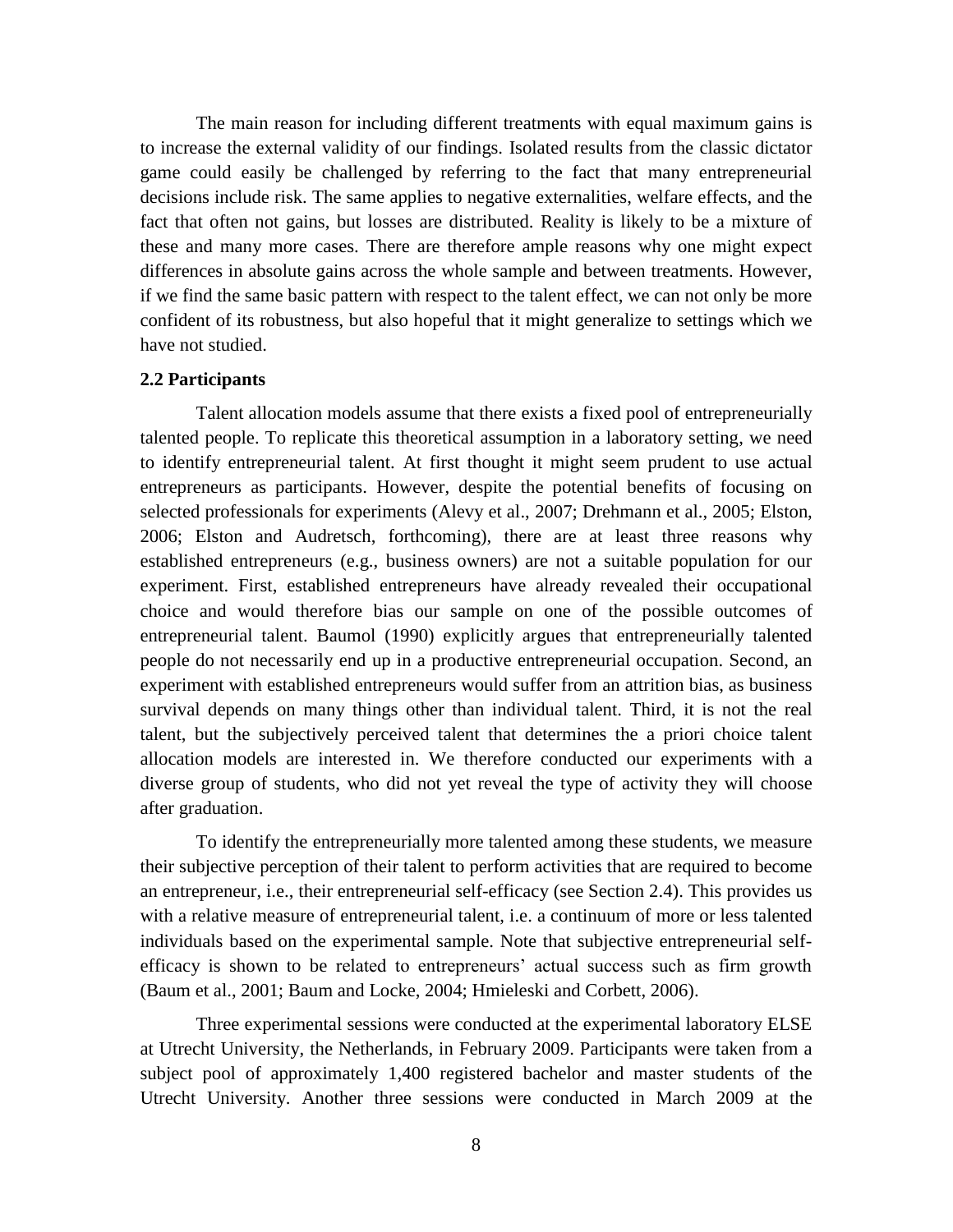The main reason for including different treatments with equal maximum gains is to increase the external validity of our findings. Isolated results from the classic dictator game could easily be challenged by referring to the fact that many entrepreneurial decisions include risk. The same applies to negative externalities, welfare effects, and the fact that often not gains, but losses are distributed. Reality is likely to be a mixture of these and many more cases. There are therefore ample reasons why one might expect differences in absolute gains across the whole sample and between treatments. However, if we find the same basic pattern with respect to the talent effect, we can not only be more confident of its robustness, but also hopeful that it might generalize to settings which we have not studied.

#### **2.2 Participants**

Talent allocation models assume that there exists a fixed pool of entrepreneurially talented people. To replicate this theoretical assumption in a laboratory setting, we need to identify entrepreneurial talent. At first thought it might seem prudent to use actual entrepreneurs as participants. However, despite the potential benefits of focusing on selected professionals for experiments (Alevy et al., 2007; Drehmann et al., 2005; Elston, 2006; Elston and Audretsch, forthcoming), there are at least three reasons why established entrepreneurs (e.g., business owners) are not a suitable population for our experiment. First, established entrepreneurs have already revealed their occupational choice and would therefore bias our sample on one of the possible outcomes of entrepreneurial talent. Baumol (1990) explicitly argues that entrepreneurially talented people do not necessarily end up in a productive entrepreneurial occupation. Second, an experiment with established entrepreneurs would suffer from an attrition bias, as business survival depends on many things other than individual talent. Third, it is not the real talent, but the subjectively perceived talent that determines the a priori choice talent allocation models are interested in. We therefore conducted our experiments with a diverse group of students, who did not yet reveal the type of activity they will choose after graduation.

To identify the entrepreneurially more talented among these students, we measure their subjective perception of their talent to perform activities that are required to become an entrepreneur, i.e., their entrepreneurial self-efficacy (see Section 2.4). This provides us with a relative measure of entrepreneurial talent, i.e. a continuum of more or less talented individuals based on the experimental sample. Note that subjective entrepreneurial selfefficacy is shown to be related to entrepreneurs' actual success such as firm growth (Baum et al., 2001; Baum and Locke, 2004; Hmieleski and Corbett, 2006).

Three experimental sessions were conducted at the experimental laboratory ELSE at Utrecht University, the Netherlands, in February 2009. Participants were taken from a subject pool of approximately 1,400 registered bachelor and master students of the Utrecht University. Another three sessions were conducted in March 2009 at the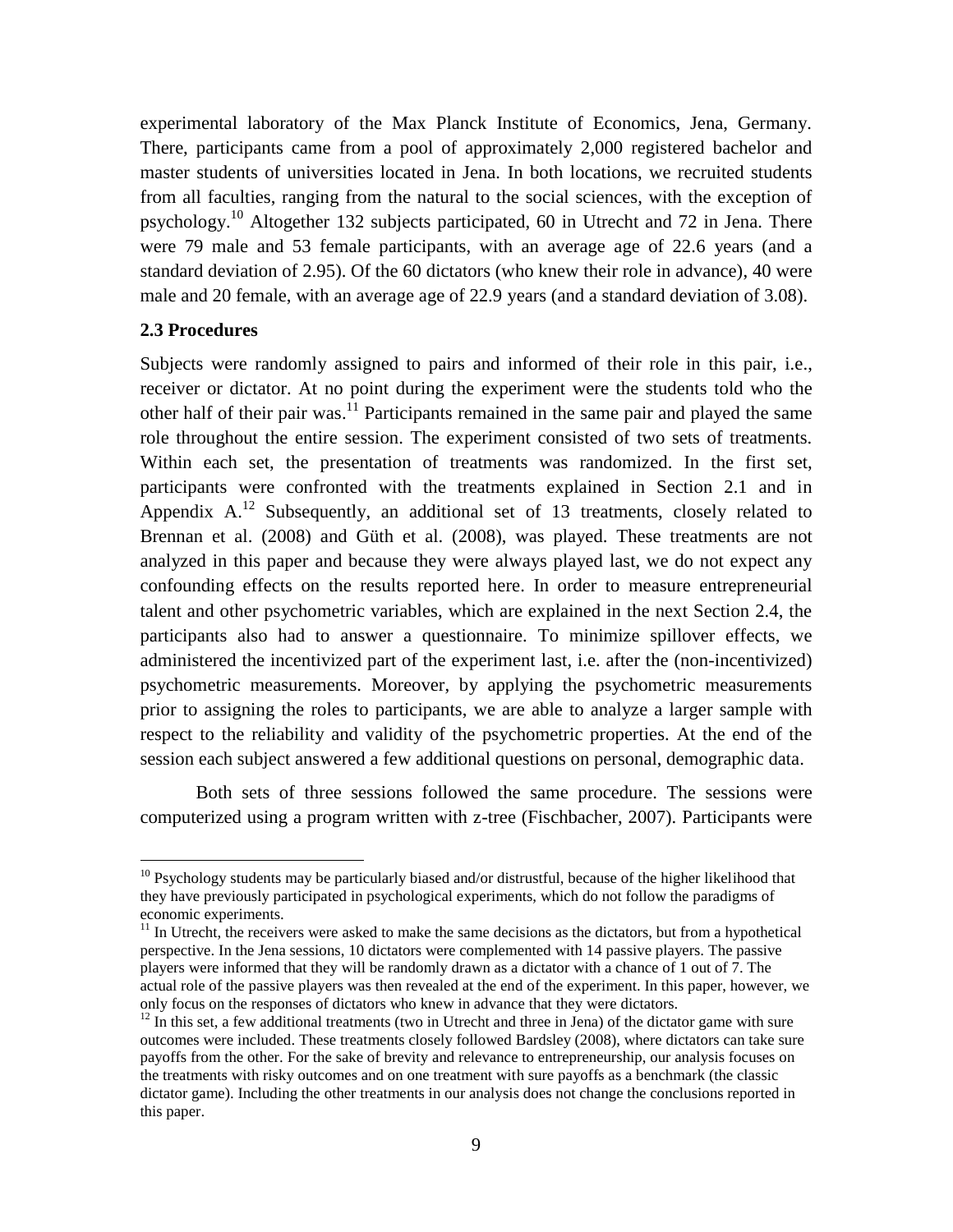experimental laboratory of the Max Planck Institute of Economics, Jena, Germany. There, participants came from a pool of approximately 2,000 registered bachelor and master students of universities located in Jena. In both locations, we recruited students from all faculties, ranging from the natural to the social sciences, with the exception of psychology.<sup>10</sup> Altogether 132 subjects participated, 60 in Utrecht and 72 in Jena. There were 79 male and 53 female participants, with an average age of 22.6 years (and a standard deviation of 2.95). Of the 60 dictators (who knew their role in advance), 40 were male and 20 female, with an average age of 22.9 years (and a standard deviation of 3.08).

#### **2.3 Procedures**

 $\overline{a}$ 

Subjects were randomly assigned to pairs and informed of their role in this pair, i.e., receiver or dictator. At no point during the experiment were the students told who the other half of their pair was.<sup>11</sup> Participants remained in the same pair and played the same role throughout the entire session. The experiment consisted of two sets of treatments. Within each set, the presentation of treatments was randomized. In the first set, participants were confronted with the treatments explained in Section 2.1 and in Appendix  $A^{12}$  Subsequently, an additional set of 13 treatments, closely related to Brennan et al. (2008) and Güth et al. (2008), was played. These treatments are not analyzed in this paper and because they were always played last, we do not expect any confounding effects on the results reported here. In order to measure entrepreneurial talent and other psychometric variables, which are explained in the next Section 2.4, the participants also had to answer a questionnaire. To minimize spillover effects, we administered the incentivized part of the experiment last, i.e. after the (non-incentivized) psychometric measurements. Moreover, by applying the psychometric measurements prior to assigning the roles to participants, we are able to analyze a larger sample with respect to the reliability and validity of the psychometric properties. At the end of the session each subject answered a few additional questions on personal, demographic data.

Both sets of three sessions followed the same procedure. The sessions were computerized using a program written with z-tree (Fischbacher, 2007). Participants were

 $10$  Psychology students may be particularly biased and/or distrustful, because of the higher likelihood that they have previously participated in psychological experiments, which do not follow the paradigms of economic experiments.

 $11$  In Utrecht, the receivers were asked to make the same decisions as the dictators, but from a hypothetical perspective. In the Jena sessions, 10 dictators were complemented with 14 passive players. The passive players were informed that they will be randomly drawn as a dictator with a chance of 1 out of 7. The actual role of the passive players was then revealed at the end of the experiment. In this paper, however, we only focus on the responses of dictators who knew in advance that they were dictators.

 $12$  In this set, a few additional treatments (two in Utrecht and three in Jena) of the dictator game with sure outcomes were included. These treatments closely followed Bardsley (2008), where dictators can take sure payoffs from the other. For the sake of brevity and relevance to entrepreneurship, our analysis focuses on the treatments with risky outcomes and on one treatment with sure payoffs as a benchmark (the classic dictator game). Including the other treatments in our analysis does not change the conclusions reported in this paper.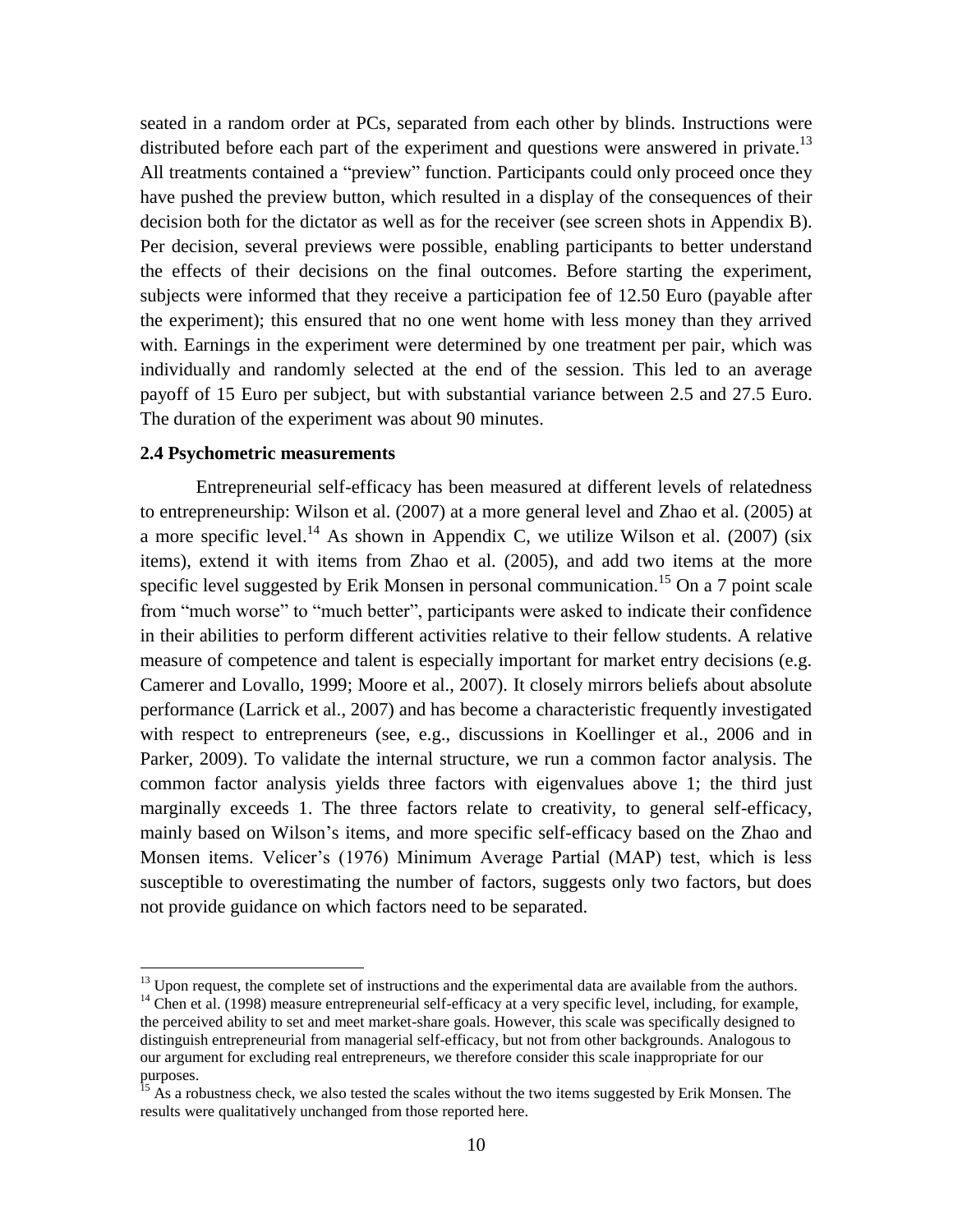seated in a random order at PCs, separated from each other by blinds. Instructions were distributed before each part of the experiment and questions were answered in private.<sup>13</sup> All treatments contained a "preview" function. Participants could only proceed once they have pushed the preview button, which resulted in a display of the consequences of their decision both for the dictator as well as for the receiver (see screen shots in Appendix B). Per decision, several previews were possible, enabling participants to better understand the effects of their decisions on the final outcomes. Before starting the experiment, subjects were informed that they receive a participation fee of 12.50 Euro (payable after the experiment); this ensured that no one went home with less money than they arrived with. Earnings in the experiment were determined by one treatment per pair, which was individually and randomly selected at the end of the session. This led to an average payoff of 15 Euro per subject, but with substantial variance between 2.5 and 27.5 Euro. The duration of the experiment was about 90 minutes.

#### **2.4 Psychometric measurements**

 $\overline{a}$ 

Entrepreneurial self-efficacy has been measured at different levels of relatedness to entrepreneurship: Wilson et al. (2007) at a more general level and Zhao et al. (2005) at a more specific level.<sup>14</sup> As shown in Appendix C, we utilize Wilson et al.  $(2007)$  (six items), extend it with items from Zhao et al. (2005), and add two items at the more specific level suggested by Erik Monsen in personal communication.<sup>15</sup> On a 7 point scale from "much worse" to "much better", participants were asked to indicate their confidence in their abilities to perform different activities relative to their fellow students. A relative measure of competence and talent is especially important for market entry decisions (e.g. Camerer and Lovallo, 1999; Moore et al., 2007). It closely mirrors beliefs about absolute performance (Larrick et al., 2007) and has become a characteristic frequently investigated with respect to entrepreneurs (see, e.g., discussions in Koellinger et al., 2006 and in Parker, 2009). To validate the internal structure, we run a common factor analysis. The common factor analysis yields three factors with eigenvalues above 1; the third just marginally exceeds 1. The three factors relate to creativity, to general self-efficacy, mainly based on Wilson's items, and more specific self-efficacy based on the Zhao and Monsen items. Velicer's (1976) Minimum Average Partial (MAP) test, which is less susceptible to overestimating the number of factors, suggests only two factors, but does not provide guidance on which factors need to be separated.

 $13$  Upon request, the complete set of instructions and the experimental data are available from the authors.

 $14$  Chen et al. (1998) measure entrepreneurial self-efficacy at a very specific level, including, for example, the perceived ability to set and meet market-share goals. However, this scale was specifically designed to distinguish entrepreneurial from managerial self-efficacy, but not from other backgrounds. Analogous to our argument for excluding real entrepreneurs, we therefore consider this scale inappropriate for our purposes.

 $15$  As a robustness check, we also tested the scales without the two items suggested by Erik Monsen. The results were qualitatively unchanged from those reported here.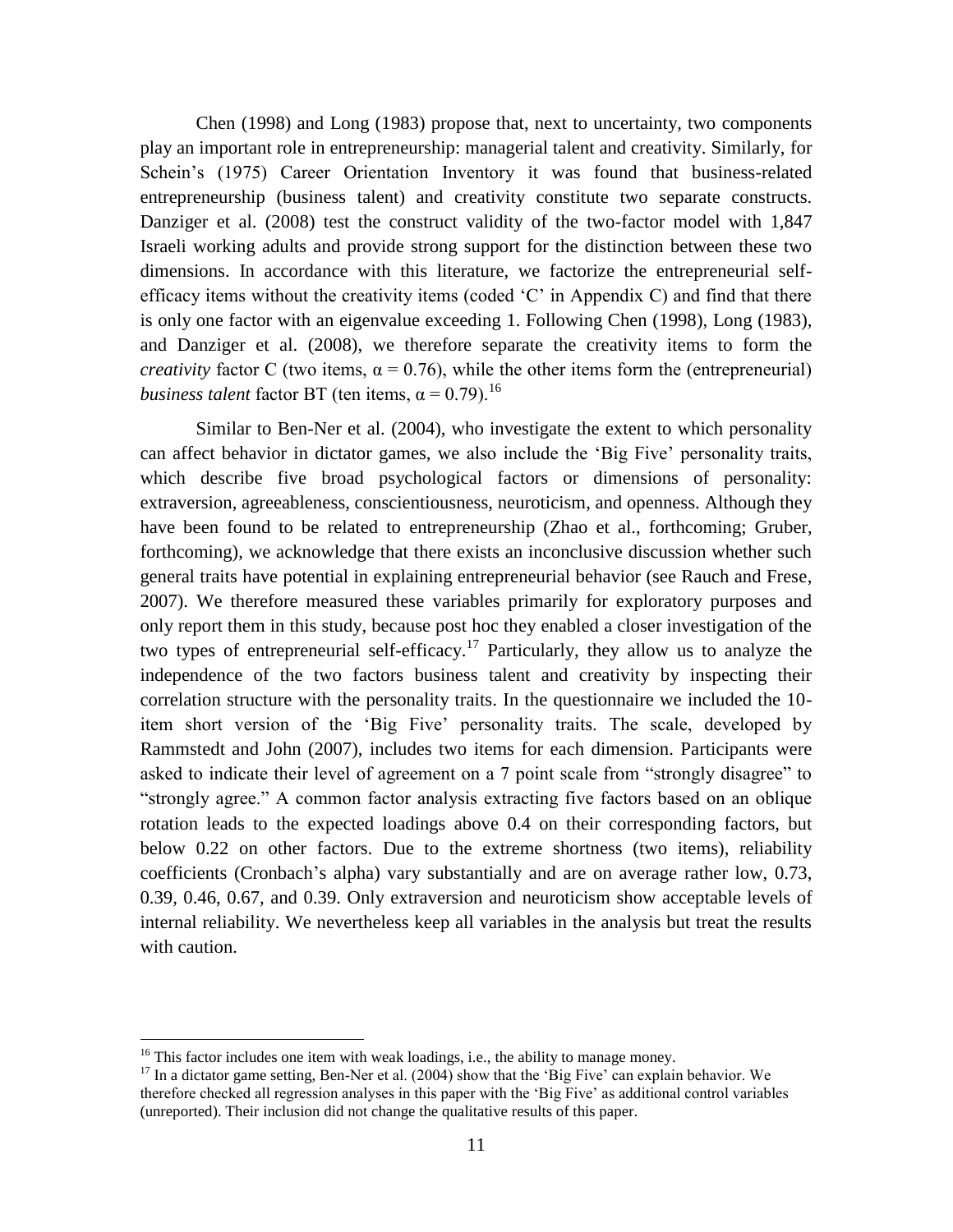Chen (1998) and Long (1983) propose that, next to uncertainty, two components play an important role in entrepreneurship: managerial talent and creativity. Similarly, for Schein's (1975) Career Orientation Inventory it was found that business-related entrepreneurship (business talent) and creativity constitute two separate constructs. Danziger et al. (2008) test the construct validity of the two-factor model with 1,847 Israeli working adults and provide strong support for the distinction between these two dimensions. In accordance with this literature, we factorize the entrepreneurial selfefficacy items without the creativity items (coded  $\degree$ C' in Appendix C) and find that there is only one factor with an eigenvalue exceeding 1. Following Chen (1998), Long (1983), and Danziger et al. (2008), we therefore separate the creativity items to form the *creativity* factor C (two items,  $\alpha = 0.76$ ), while the other items form the (entrepreneurial) *business talent* factor BT (ten items,  $\alpha = 0.79$ ).<sup>16</sup>

Similar to Ben-Ner et al. (2004), who investigate the extent to which personality can affect behavior in dictator games, we also include the 'Big Five' personality traits, which describe five broad psychological factors or dimensions of personality: extraversion, agreeableness, conscientiousness, neuroticism, and openness. Although they have been found to be related to entrepreneurship (Zhao et al., forthcoming; Gruber, forthcoming), we acknowledge that there exists an inconclusive discussion whether such general traits have potential in explaining entrepreneurial behavior (see Rauch and Frese, 2007). We therefore measured these variables primarily for exploratory purposes and only report them in this study, because post hoc they enabled a closer investigation of the two types of entrepreneurial self-efficacy.<sup>17</sup> Particularly, they allow us to analyze the independence of the two factors business talent and creativity by inspecting their correlation structure with the personality traits. In the questionnaire we included the 10 item short version of the 'Big Five' personality traits. The scale, developed by Rammstedt and John (2007), includes two items for each dimension. Participants were asked to indicate their level of agreement on a 7 point scale from "strongly disagree" to ―strongly agree.‖ A common factor analysis extracting five factors based on an oblique rotation leads to the expected loadings above 0.4 on their corresponding factors, but below 0.22 on other factors. Due to the extreme shortness (two items), reliability coefficients (Cronbach's alpha) vary substantially and are on average rather low, 0.73, 0.39, 0.46, 0.67, and 0.39. Only extraversion and neuroticism show acceptable levels of internal reliability. We nevertheless keep all variables in the analysis but treat the results with caution.

 $\overline{a}$ 

 $16$  This factor includes one item with weak loadings, i.e., the ability to manage money.

 $17$  In a dictator game setting, Ben-Ner et al. (2004) show that the 'Big Five' can explain behavior. We therefore checked all regression analyses in this paper with the 'Big Five' as additional control variables (unreported). Their inclusion did not change the qualitative results of this paper.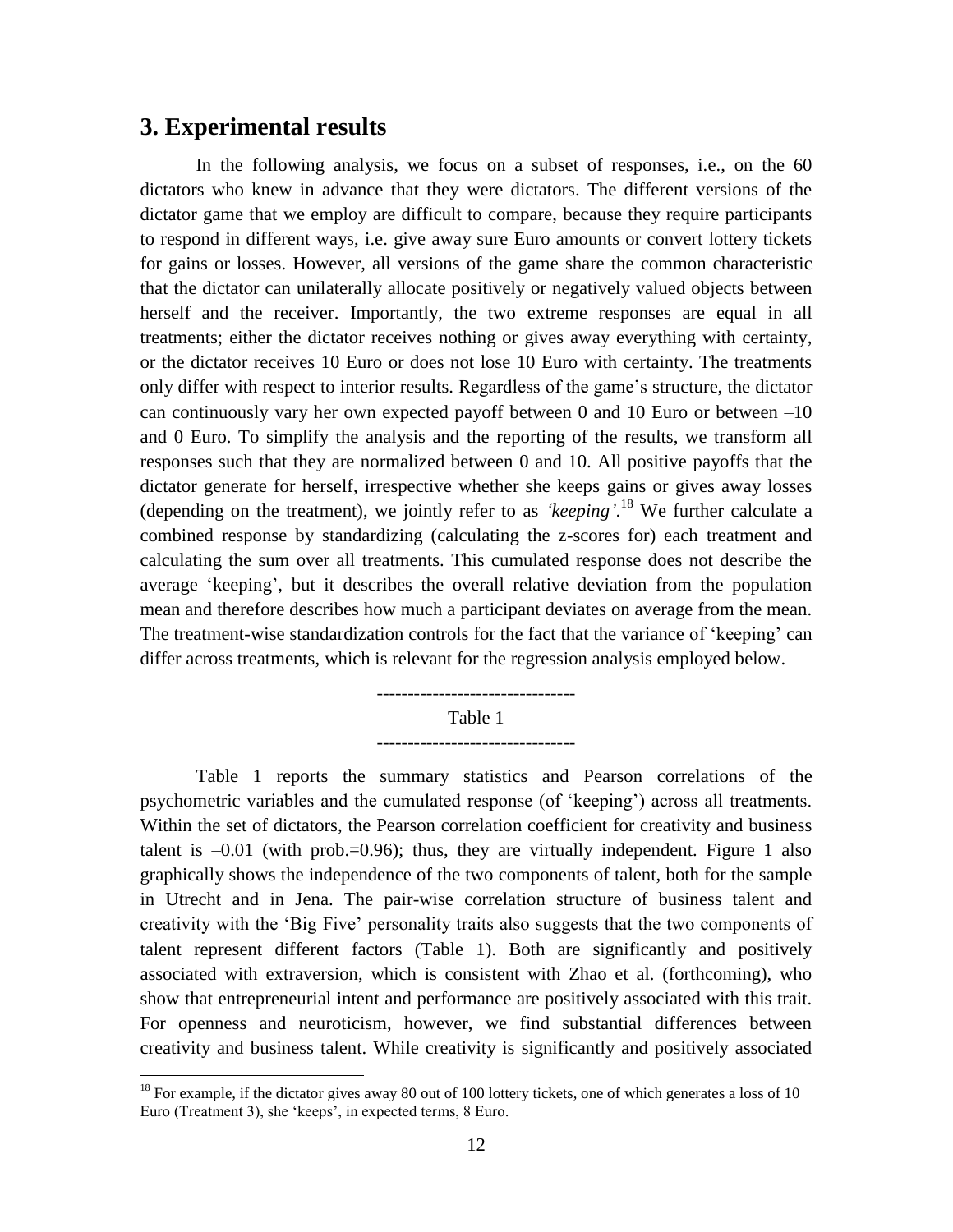# **3. Experimental results**

 $\overline{a}$ 

In the following analysis, we focus on a subset of responses, i.e., on the 60 dictators who knew in advance that they were dictators. The different versions of the dictator game that we employ are difficult to compare, because they require participants to respond in different ways, i.e. give away sure Euro amounts or convert lottery tickets for gains or losses. However, all versions of the game share the common characteristic that the dictator can unilaterally allocate positively or negatively valued objects between herself and the receiver. Importantly, the two extreme responses are equal in all treatments; either the dictator receives nothing or gives away everything with certainty, or the dictator receives 10 Euro or does not lose 10 Euro with certainty. The treatments only differ with respect to interior results. Regardless of the game's structure, the dictator can continuously vary her own expected payoff between  $0$  and  $10$  Euro or between  $-10$ and 0 Euro. To simplify the analysis and the reporting of the results, we transform all responses such that they are normalized between 0 and 10. All positive payoffs that the dictator generate for herself, irrespective whether she keeps gains or gives away losses (depending on the treatment), we jointly refer to as *'keeping'*. <sup>18</sup> We further calculate a combined response by standardizing (calculating the z-scores for) each treatment and calculating the sum over all treatments. This cumulated response does not describe the average 'keeping', but it describes the overall relative deviation from the population mean and therefore describes how much a participant deviates on average from the mean. The treatment-wise standardization controls for the fact that the variance of 'keeping' can differ across treatments, which is relevant for the regression analysis employed below.

> -------------------------------- Table 1

> --------------------------------

Table 1 reports the summary statistics and Pearson correlations of the psychometric variables and the cumulated response (of ‗keeping') across all treatments. Within the set of dictators, the Pearson correlation coefficient for creativity and business talent is  $-0.01$  (with prob.  $=0.96$ ); thus, they are virtually independent. Figure 1 also graphically shows the independence of the two components of talent, both for the sample in Utrecht and in Jena. The pair-wise correlation structure of business talent and creativity with the 'Big Five' personality traits also suggests that the two components of talent represent different factors (Table 1). Both are significantly and positively associated with extraversion, which is consistent with Zhao et al. (forthcoming), who show that entrepreneurial intent and performance are positively associated with this trait. For openness and neuroticism, however, we find substantial differences between creativity and business talent. While creativity is significantly and positively associated

 $18$  For example, if the dictator gives away 80 out of 100 lottery tickets, one of which generates a loss of 10 Euro (Treatment 3), she 'keeps', in expected terms, 8 Euro.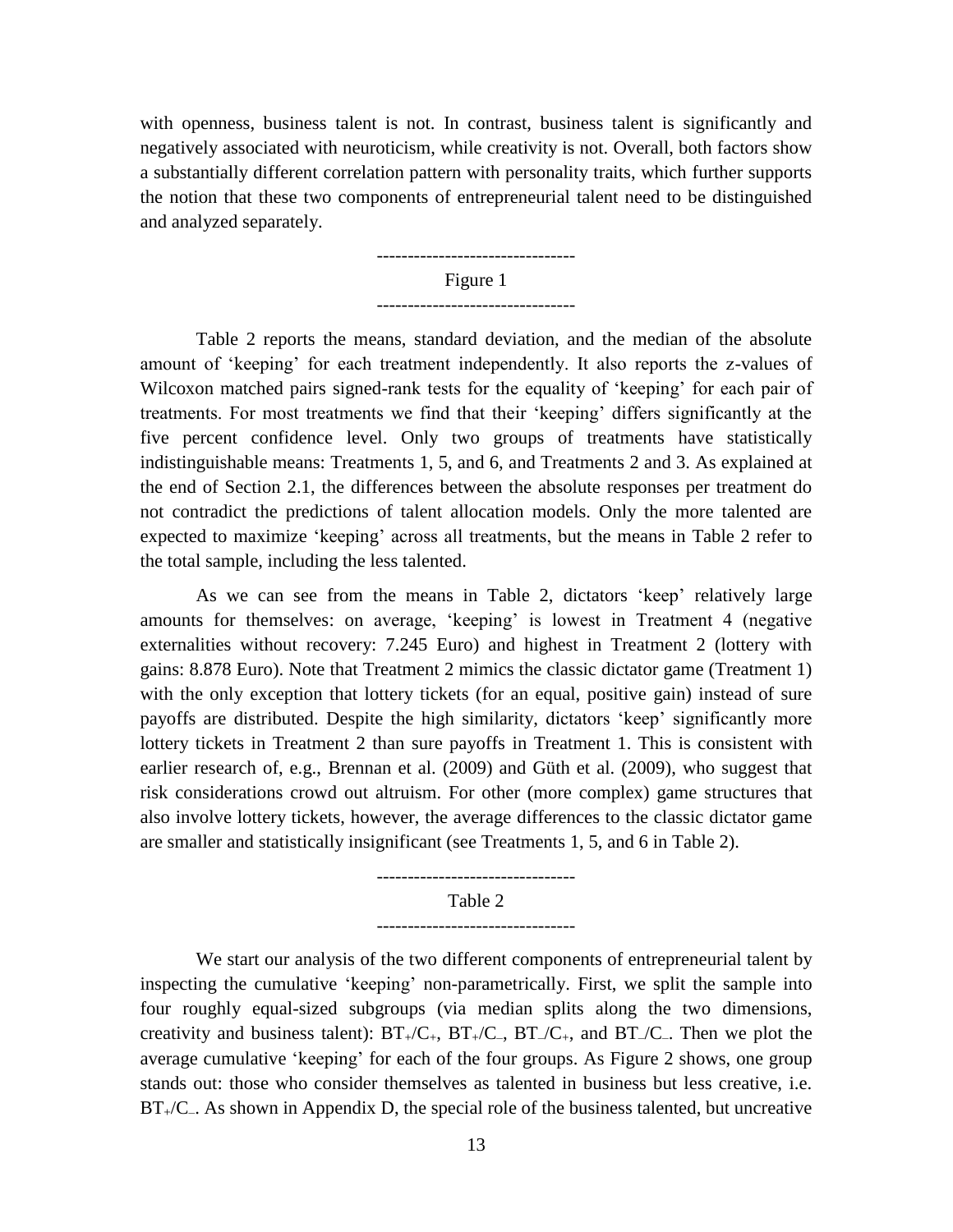with openness, business talent is not. In contrast, business talent is significantly and negatively associated with neuroticism, while creativity is not. Overall, both factors show a substantially different correlation pattern with personality traits, which further supports the notion that these two components of entrepreneurial talent need to be distinguished and analyzed separately.

### -------------------------------- Figure 1 --------------------------------

Table 2 reports the means, standard deviation, and the median of the absolute amount of ‗keeping' for each treatment independently. It also reports the z-values of Wilcoxon matched pairs signed-rank tests for the equality of 'keeping' for each pair of treatments. For most treatments we find that their ‗keeping' differs significantly at the five percent confidence level. Only two groups of treatments have statistically indistinguishable means: Treatments 1, 5, and 6, and Treatments 2 and 3. As explained at the end of Section 2.1, the differences between the absolute responses per treatment do not contradict the predictions of talent allocation models. Only the more talented are expected to maximize 'keeping' across all treatments, but the means in Table 2 refer to the total sample, including the less talented.

As we can see from the means in Table 2, dictators 'keep' relatively large amounts for themselves: on average, 'keeping' is lowest in Treatment 4 (negative externalities without recovery: 7.245 Euro) and highest in Treatment 2 (lottery with gains: 8.878 Euro). Note that Treatment 2 mimics the classic dictator game (Treatment 1) with the only exception that lottery tickets (for an equal, positive gain) instead of sure payoffs are distributed. Despite the high similarity, dictators 'keep' significantly more lottery tickets in Treatment 2 than sure payoffs in Treatment 1. This is consistent with earlier research of, e.g., Brennan et al. (2009) and Güth et al. (2009), who suggest that risk considerations crowd out altruism. For other (more complex) game structures that also involve lottery tickets, however, the average differences to the classic dictator game are smaller and statistically insignificant (see Treatments 1, 5, and 6 in Table 2).

#### Table 2

--------------------------------

We start our analysis of the two different components of entrepreneurial talent by inspecting the cumulative 'keeping' non-parametrically. First, we split the sample into four roughly equal-sized subgroups (via median splits along the two dimensions, creativity and business talent):  $BT_+ / C_+$ ,  $BT_+ / C_-$ ,  $BT_- / C_+$ , and  $BT_- / C_-$ . Then we plot the average cumulative 'keeping' for each of the four groups. As Figure 2 shows, one group stands out: those who consider themselves as talented in business but less creative, i.e.  $BT_{+}/C_{-}$ . As shown in Appendix D, the special role of the business talented, but uncreative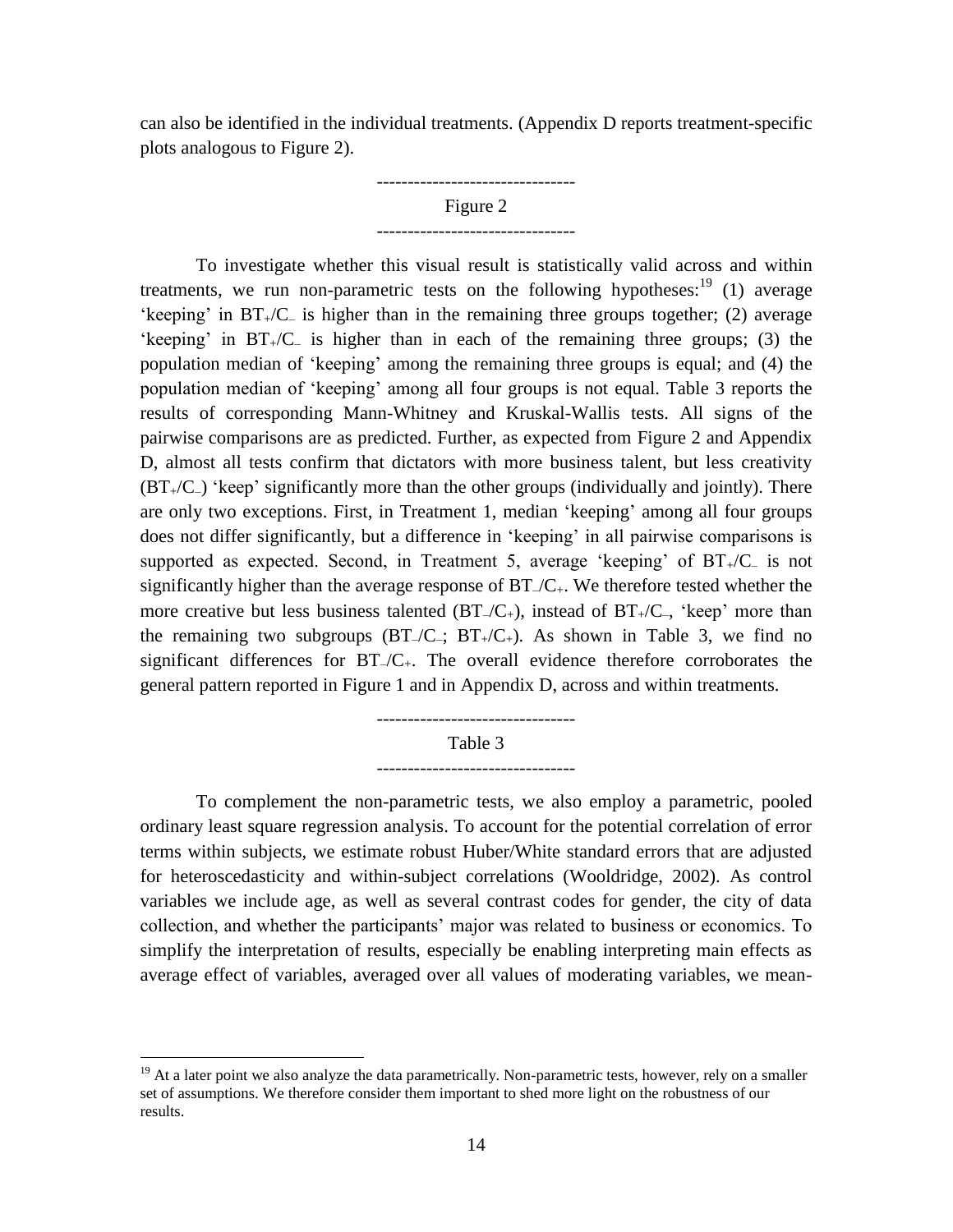can also be identified in the individual treatments. (Appendix D reports treatment-specific plots analogous to Figure 2).

> -------------------------------- Figure 2 --------------------------------

To investigate whether this visual result is statistically valid across and within treatments, we run non-parametric tests on the following hypotheses:  $19(1)$  average 'keeping' in  $BT_{+}/C_{-}$  is higher than in the remaining three groups together; (2) average 'keeping' in  $BT_{+}/C_{-}$  is higher than in each of the remaining three groups; (3) the population median of ‗keeping' among the remaining three groups is equal; and (4) the population median of ‗keeping' among all four groups is not equal. Table 3 reports the results of corresponding Mann-Whitney and Kruskal-Wallis tests. All signs of the pairwise comparisons are as predicted. Further, as expected from Figure 2 and Appendix D, almost all tests confirm that dictators with more business talent, but less creativity  $(BT<sub>+</sub>/C<sub>-</sub>)$  'keep' significantly more than the other groups (individually and jointly). There are only two exceptions. First, in Treatment 1, median 'keeping' among all four groups does not differ significantly, but a difference in 'keeping' in all pairwise comparisons is supported as expected. Second, in Treatment 5, average 'keeping' of  $BT_{+}/C_{-}$  is not significantly higher than the average response of  $BT_\text{-}C_\text{+}$ . We therefore tested whether the more creative but less business talented  $(BT_{-}/C_{+})$ , instead of  $BT_{+}/C_{-}$ , 'keep' more than the remaining two subgroups  $(BT_{-}/C_{-}; BT_{+}/C_{+})$ . As shown in Table 3, we find no significant differences for  $BT_\text{-}C_\text{+}$ . The overall evidence therefore corroborates the general pattern reported in Figure 1 and in Appendix D, across and within treatments.

> -------------------------------- Table 3

--------------------------------

To complement the non-parametric tests, we also employ a parametric, pooled ordinary least square regression analysis. To account for the potential correlation of error terms within subjects, we estimate robust Huber/White standard errors that are adjusted for heteroscedasticity and within-subject correlations (Wooldridge, 2002). As control variables we include age, as well as several contrast codes for gender, the city of data collection, and whether the participants' major was related to business or economics. To simplify the interpretation of results, especially be enabling interpreting main effects as average effect of variables, averaged over all values of moderating variables, we mean-

 $\overline{a}$ 

<sup>&</sup>lt;sup>19</sup> At a later point we also analyze the data parametrically. Non-parametric tests, however, rely on a smaller set of assumptions. We therefore consider them important to shed more light on the robustness of our results.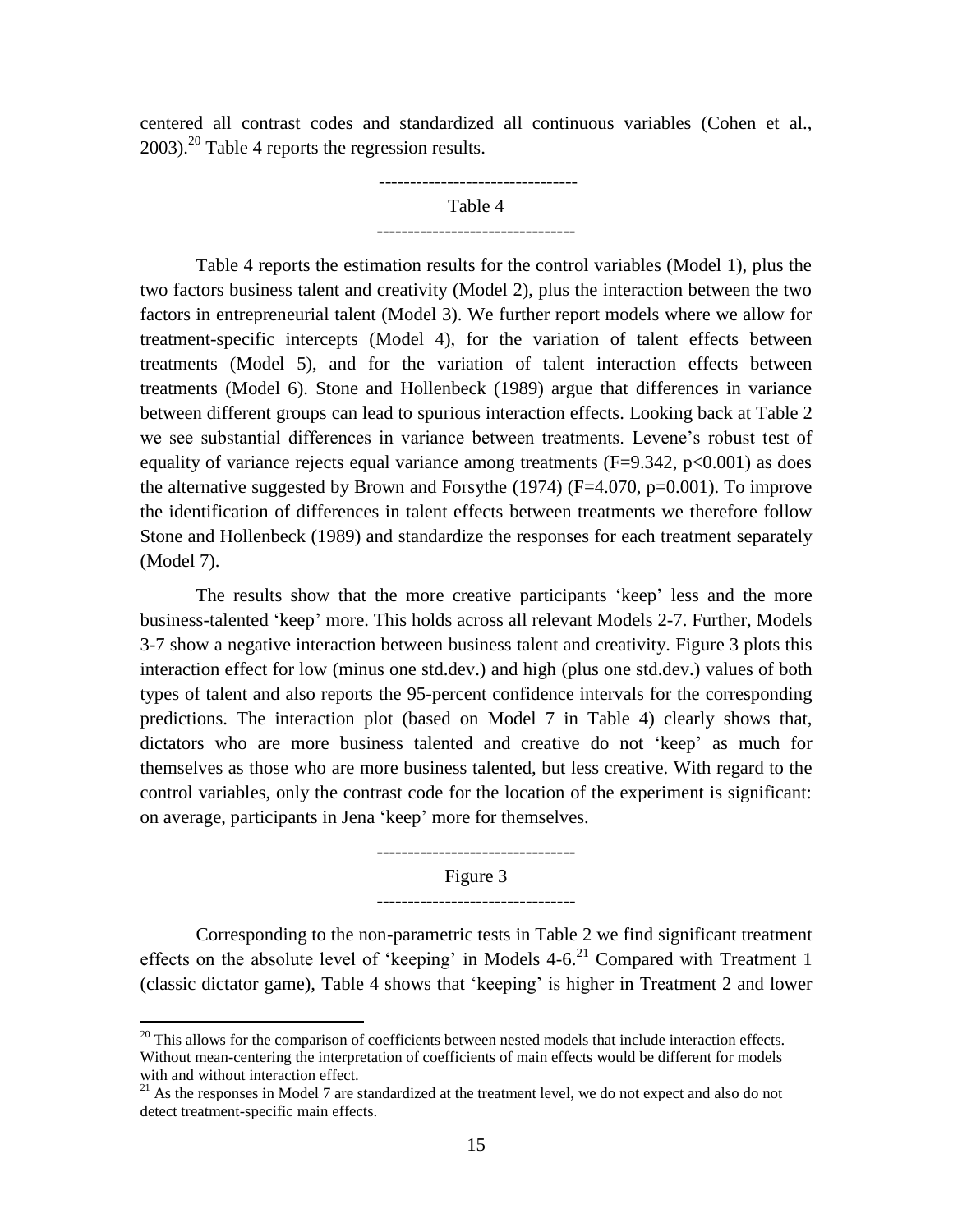centered all contrast codes and standardized all continuous variables (Cohen et al.,  $2003$ .<sup>20</sup> Table 4 reports the regression results.



Table 4 reports the estimation results for the control variables (Model 1), plus the two factors business talent and creativity (Model 2), plus the interaction between the two factors in entrepreneurial talent (Model 3). We further report models where we allow for treatment-specific intercepts (Model 4), for the variation of talent effects between treatments (Model 5), and for the variation of talent interaction effects between treatments (Model 6). Stone and Hollenbeck (1989) argue that differences in variance between different groups can lead to spurious interaction effects. Looking back at Table 2 we see substantial differences in variance between treatments. Levene's robust test of equality of variance rejects equal variance among treatments  $(F=9.342, p<0.001)$  as does the alternative suggested by Brown and Forsythe  $(1974)$  (F=4.070, p=0.001). To improve the identification of differences in talent effects between treatments we therefore follow Stone and Hollenbeck (1989) and standardize the responses for each treatment separately (Model 7).

The results show that the more creative participants 'keep' less and the more business-talented ‗keep' more. This holds across all relevant Models 2-7. Further, Models 3-7 show a negative interaction between business talent and creativity. Figure 3 plots this interaction effect for low (minus one std.dev.) and high (plus one std.dev.) values of both types of talent and also reports the 95-percent confidence intervals for the corresponding predictions. The interaction plot (based on Model 7 in Table 4) clearly shows that, dictators who are more business talented and creative do not 'keep' as much for themselves as those who are more business talented, but less creative. With regard to the control variables, only the contrast code for the location of the experiment is significant: on average, participants in Jena 'keep' more for themselves.

--------------------------------

Figure 3 --------------------------------

Corresponding to the non-parametric tests in Table 2 we find significant treatment effects on the absolute level of 'keeping' in Models  $4-6$ .<sup>21</sup> Compared with Treatment 1 (classic dictator game), Table 4 shows that ‗keeping' is higher in Treatment 2 and lower

 $\overline{a}$ 

 $20$  This allows for the comparison of coefficients between nested models that include interaction effects. Without mean-centering the interpretation of coefficients of main effects would be different for models with and without interaction effect.

 $21$  As the responses in Model 7 are standardized at the treatment level, we do not expect and also do not detect treatment-specific main effects.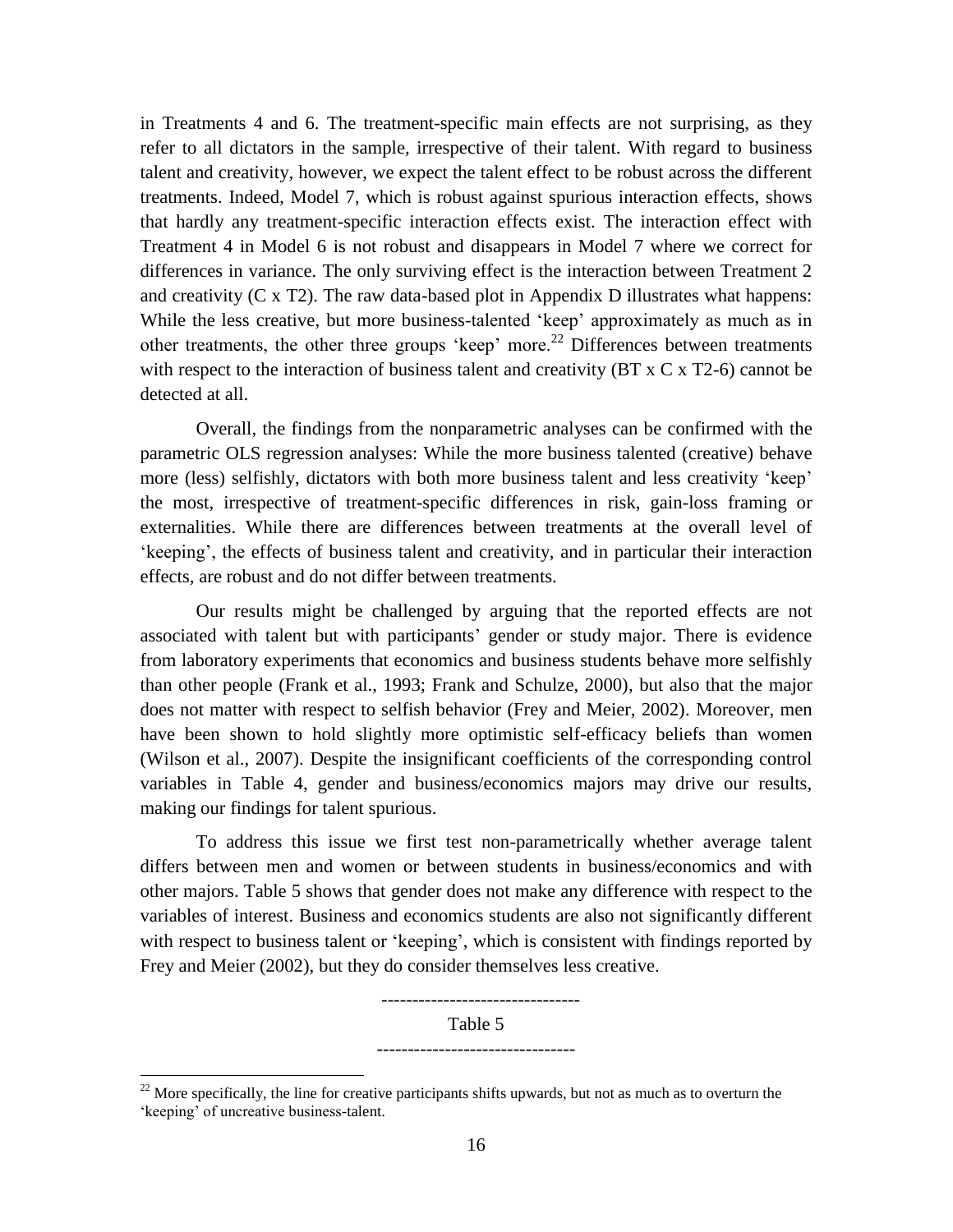in Treatments 4 and 6. The treatment-specific main effects are not surprising, as they refer to all dictators in the sample, irrespective of their talent. With regard to business talent and creativity, however, we expect the talent effect to be robust across the different treatments. Indeed, Model 7, which is robust against spurious interaction effects, shows that hardly any treatment-specific interaction effects exist. The interaction effect with Treatment 4 in Model 6 is not robust and disappears in Model 7 where we correct for differences in variance. The only surviving effect is the interaction between Treatment 2 and creativity  $(C \times T2)$ . The raw data-based plot in Appendix D illustrates what happens: While the less creative, but more business-talented 'keep' approximately as much as in other treatments, the other three groups 'keep' more.<sup>22</sup> Differences between treatments with respect to the interaction of business talent and creativity (BT x C x T2-6) cannot be detected at all.

Overall, the findings from the nonparametric analyses can be confirmed with the parametric OLS regression analyses: While the more business talented (creative) behave more (less) selfishly, dictators with both more business talent and less creativity 'keep' the most, irrespective of treatment-specific differences in risk, gain-loss framing or externalities. While there are differences between treatments at the overall level of ‗keeping', the effects of business talent and creativity, and in particular their interaction effects, are robust and do not differ between treatments.

Our results might be challenged by arguing that the reported effects are not associated with talent but with participants' gender or study major. There is evidence from laboratory experiments that economics and business students behave more selfishly than other people (Frank et al., 1993; Frank and Schulze, 2000), but also that the major does not matter with respect to selfish behavior (Frey and Meier, 2002). Moreover, men have been shown to hold slightly more optimistic self-efficacy beliefs than women (Wilson et al., 2007). Despite the insignificant coefficients of the corresponding control variables in Table 4, gender and business/economics majors may drive our results, making our findings for talent spurious.

To address this issue we first test non-parametrically whether average talent differs between men and women or between students in business/economics and with other majors. Table 5 shows that gender does not make any difference with respect to the variables of interest. Business and economics students are also not significantly different with respect to business talent or 'keeping', which is consistent with findings reported by Frey and Meier (2002), but they do consider themselves less creative.

#### -------------------------------- Table 5

--------------------------------

 $\overline{a}$  $^{22}$  More specifically, the line for creative participants shifts upwards, but not as much as to overturn the 'keeping' of uncreative business-talent.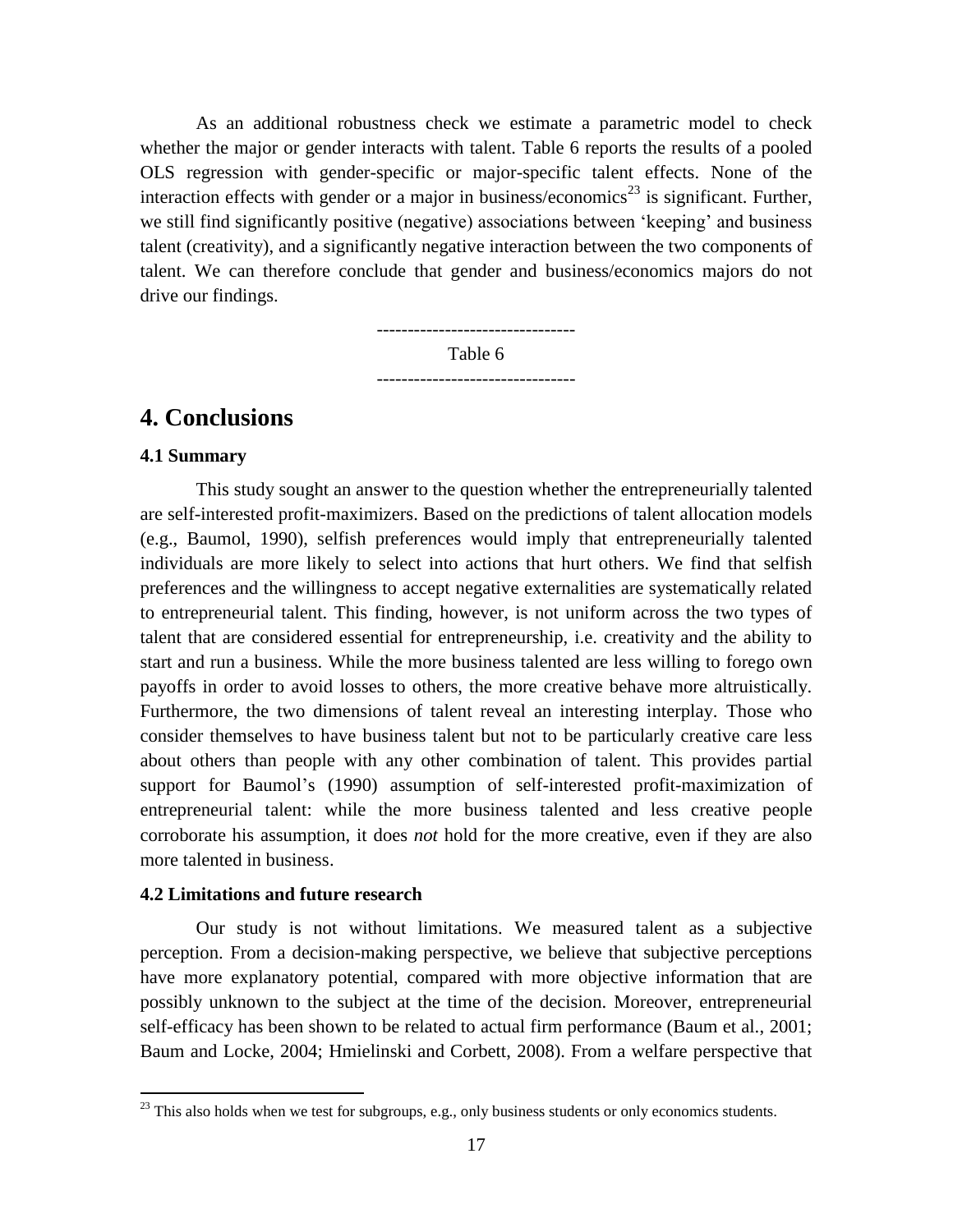As an additional robustness check we estimate a parametric model to check whether the major or gender interacts with talent. Table 6 reports the results of a pooled OLS regression with gender-specific or major-specific talent effects. None of the interaction effects with gender or a major in business/economics<sup>23</sup> is significant. Further, we still find significantly positive (negative) associations between 'keeping' and business talent (creativity), and a significantly negative interaction between the two components of talent. We can therefore conclude that gender and business/economics majors do not drive our findings.

> -------------------------------- Table 6 --------------------------------

# **4. Conclusions**

#### **4.1 Summary**

 $\overline{a}$ 

This study sought an answer to the question whether the entrepreneurially talented are self-interested profit-maximizers. Based on the predictions of talent allocation models (e.g., Baumol, 1990), selfish preferences would imply that entrepreneurially talented individuals are more likely to select into actions that hurt others. We find that selfish preferences and the willingness to accept negative externalities are systematically related to entrepreneurial talent. This finding, however, is not uniform across the two types of talent that are considered essential for entrepreneurship, i.e. creativity and the ability to start and run a business. While the more business talented are less willing to forego own payoffs in order to avoid losses to others, the more creative behave more altruistically. Furthermore, the two dimensions of talent reveal an interesting interplay. Those who consider themselves to have business talent but not to be particularly creative care less about others than people with any other combination of talent. This provides partial support for Baumol's (1990) assumption of self-interested profit-maximization of entrepreneurial talent: while the more business talented and less creative people corroborate his assumption, it does *not* hold for the more creative, even if they are also more talented in business.

#### **4.2 Limitations and future research**

Our study is not without limitations. We measured talent as a subjective perception. From a decision-making perspective, we believe that subjective perceptions have more explanatory potential, compared with more objective information that are possibly unknown to the subject at the time of the decision. Moreover, entrepreneurial self-efficacy has been shown to be related to actual firm performance (Baum et al., 2001; Baum and Locke, 2004; Hmielinski and Corbett, 2008). From a welfare perspective that

 $^{23}$  This also holds when we test for subgroups, e.g., only business students or only economics students.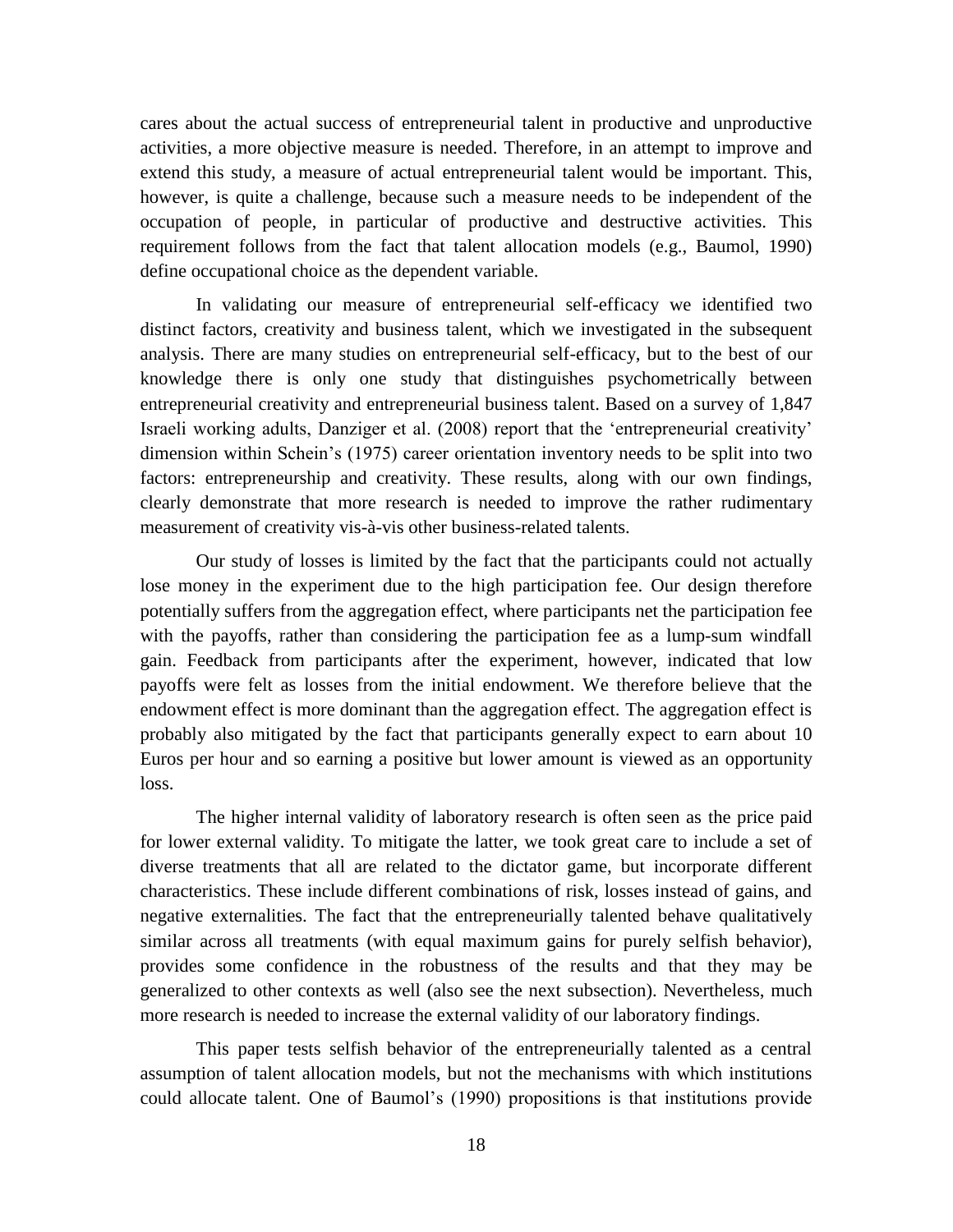cares about the actual success of entrepreneurial talent in productive and unproductive activities, a more objective measure is needed. Therefore, in an attempt to improve and extend this study, a measure of actual entrepreneurial talent would be important. This, however, is quite a challenge, because such a measure needs to be independent of the occupation of people, in particular of productive and destructive activities. This requirement follows from the fact that talent allocation models (e.g., Baumol, 1990) define occupational choice as the dependent variable.

In validating our measure of entrepreneurial self-efficacy we identified two distinct factors, creativity and business talent, which we investigated in the subsequent analysis. There are many studies on entrepreneurial self-efficacy, but to the best of our knowledge there is only one study that distinguishes psychometrically between entrepreneurial creativity and entrepreneurial business talent. Based on a survey of 1,847 Israeli working adults, Danziger et al. (2008) report that the 'entrepreneurial creativity' dimension within Schein's (1975) career orientation inventory needs to be split into two factors: entrepreneurship and creativity. These results, along with our own findings, clearly demonstrate that more research is needed to improve the rather rudimentary measurement of creativity vis-à-vis other business-related talents.

Our study of losses is limited by the fact that the participants could not actually lose money in the experiment due to the high participation fee. Our design therefore potentially suffers from the aggregation effect, where participants net the participation fee with the payoffs, rather than considering the participation fee as a lump-sum windfall gain. Feedback from participants after the experiment, however, indicated that low payoffs were felt as losses from the initial endowment. We therefore believe that the endowment effect is more dominant than the aggregation effect. The aggregation effect is probably also mitigated by the fact that participants generally expect to earn about 10 Euros per hour and so earning a positive but lower amount is viewed as an opportunity loss.

The higher internal validity of laboratory research is often seen as the price paid for lower external validity. To mitigate the latter, we took great care to include a set of diverse treatments that all are related to the dictator game, but incorporate different characteristics. These include different combinations of risk, losses instead of gains, and negative externalities. The fact that the entrepreneurially talented behave qualitatively similar across all treatments (with equal maximum gains for purely selfish behavior), provides some confidence in the robustness of the results and that they may be generalized to other contexts as well (also see the next subsection). Nevertheless, much more research is needed to increase the external validity of our laboratory findings.

This paper tests selfish behavior of the entrepreneurially talented as a central assumption of talent allocation models, but not the mechanisms with which institutions could allocate talent. One of Baumol's (1990) propositions is that institutions provide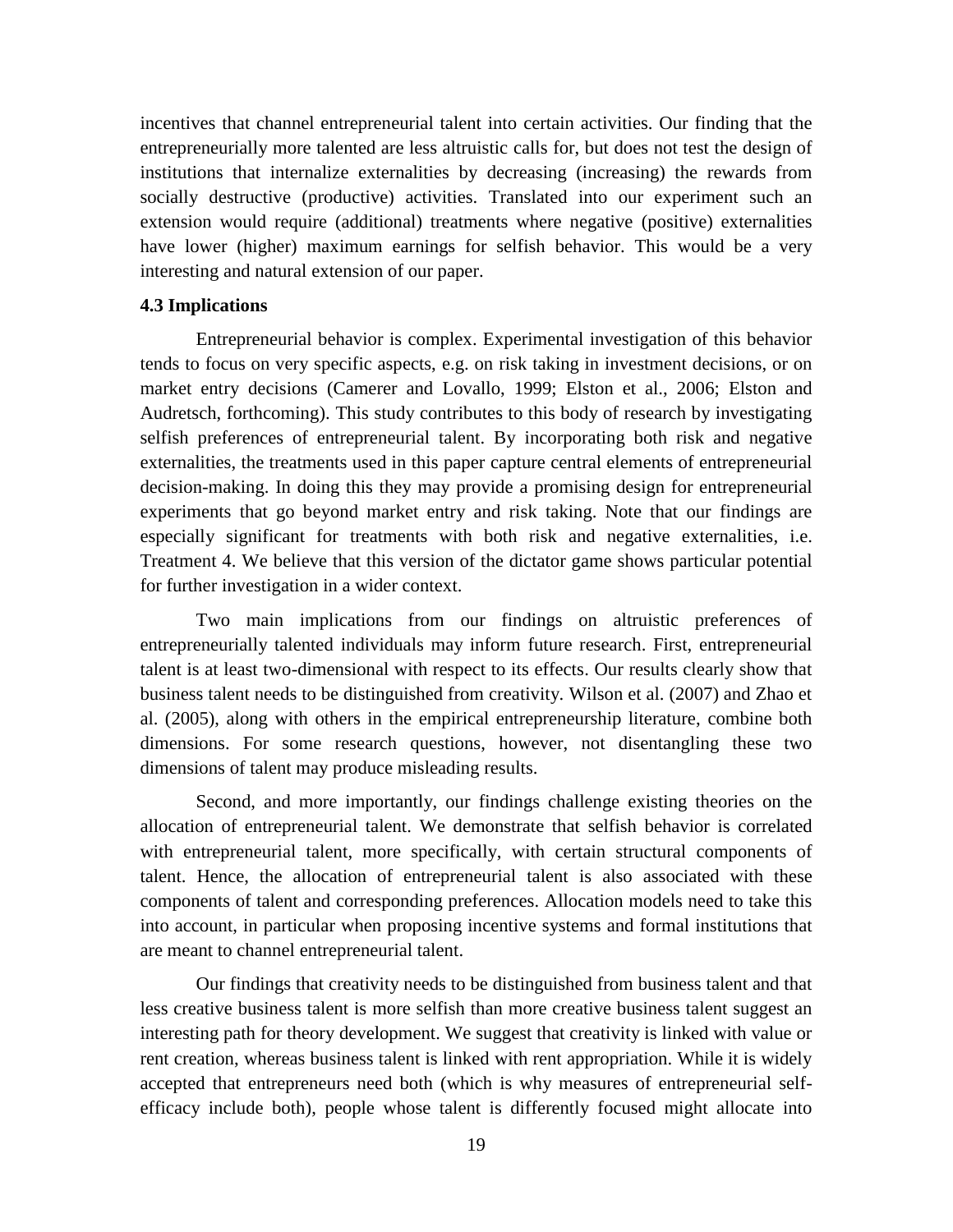incentives that channel entrepreneurial talent into certain activities. Our finding that the entrepreneurially more talented are less altruistic calls for, but does not test the design of institutions that internalize externalities by decreasing (increasing) the rewards from socially destructive (productive) activities. Translated into our experiment such an extension would require (additional) treatments where negative (positive) externalities have lower (higher) maximum earnings for selfish behavior. This would be a very interesting and natural extension of our paper.

#### **4.3 Implications**

Entrepreneurial behavior is complex. Experimental investigation of this behavior tends to focus on very specific aspects, e.g. on risk taking in investment decisions, or on market entry decisions (Camerer and Lovallo, 1999; Elston et al., 2006; Elston and Audretsch, forthcoming). This study contributes to this body of research by investigating selfish preferences of entrepreneurial talent. By incorporating both risk and negative externalities, the treatments used in this paper capture central elements of entrepreneurial decision-making. In doing this they may provide a promising design for entrepreneurial experiments that go beyond market entry and risk taking. Note that our findings are especially significant for treatments with both risk and negative externalities, i.e. Treatment 4. We believe that this version of the dictator game shows particular potential for further investigation in a wider context.

Two main implications from our findings on altruistic preferences of entrepreneurially talented individuals may inform future research. First, entrepreneurial talent is at least two-dimensional with respect to its effects. Our results clearly show that business talent needs to be distinguished from creativity. Wilson et al. (2007) and Zhao et al. (2005), along with others in the empirical entrepreneurship literature, combine both dimensions. For some research questions, however, not disentangling these two dimensions of talent may produce misleading results.

Second, and more importantly, our findings challenge existing theories on the allocation of entrepreneurial talent. We demonstrate that selfish behavior is correlated with entrepreneurial talent, more specifically, with certain structural components of talent. Hence, the allocation of entrepreneurial talent is also associated with these components of talent and corresponding preferences. Allocation models need to take this into account, in particular when proposing incentive systems and formal institutions that are meant to channel entrepreneurial talent.

Our findings that creativity needs to be distinguished from business talent and that less creative business talent is more selfish than more creative business talent suggest an interesting path for theory development. We suggest that creativity is linked with value or rent creation, whereas business talent is linked with rent appropriation. While it is widely accepted that entrepreneurs need both (which is why measures of entrepreneurial selfefficacy include both), people whose talent is differently focused might allocate into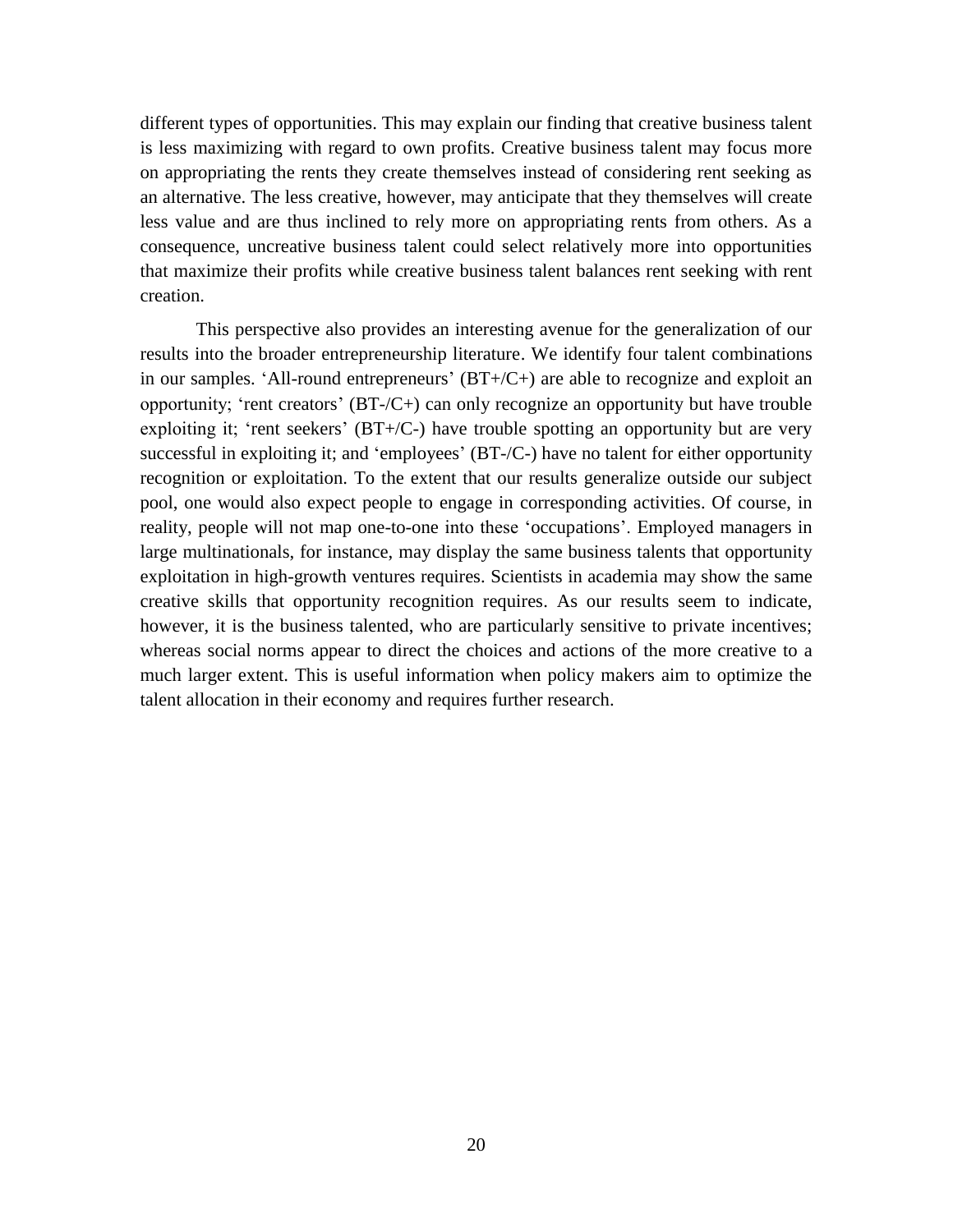different types of opportunities. This may explain our finding that creative business talent is less maximizing with regard to own profits. Creative business talent may focus more on appropriating the rents they create themselves instead of considering rent seeking as an alternative. The less creative, however, may anticipate that they themselves will create less value and are thus inclined to rely more on appropriating rents from others. As a consequence, uncreative business talent could select relatively more into opportunities that maximize their profits while creative business talent balances rent seeking with rent creation.

This perspective also provides an interesting avenue for the generalization of our results into the broader entrepreneurship literature. We identify four talent combinations in our samples. 'All-round entrepreneurs'  $(BT+/C+)$  are able to recognize and exploit an opportunity; 'rent creators'  $(BT-C+)$  can only recognize an opportunity but have trouble exploiting it; 'rent seekers'  $(BT+/C-)$  have trouble spotting an opportunity but are very successful in exploiting it; and 'employees'  $(BT-C)$  have no talent for either opportunity recognition or exploitation. To the extent that our results generalize outside our subject pool, one would also expect people to engage in corresponding activities. Of course, in reality, people will not map one-to-one into these 'occupations'. Employed managers in large multinationals, for instance, may display the same business talents that opportunity exploitation in high-growth ventures requires. Scientists in academia may show the same creative skills that opportunity recognition requires. As our results seem to indicate, however, it is the business talented, who are particularly sensitive to private incentives; whereas social norms appear to direct the choices and actions of the more creative to a much larger extent. This is useful information when policy makers aim to optimize the talent allocation in their economy and requires further research.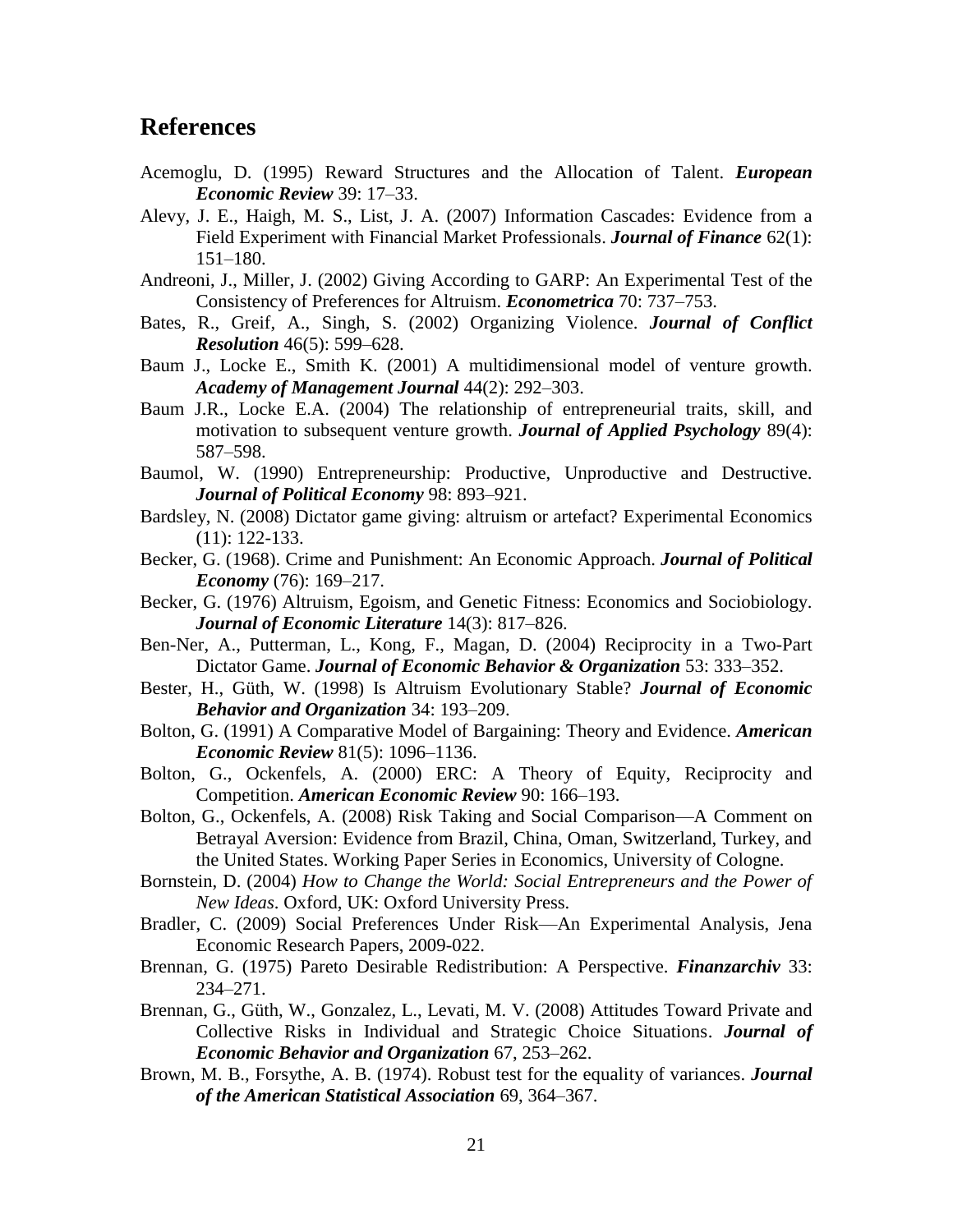# **References**

- Acemoglu, D. (1995) Reward Structures and the Allocation of Talent. *European Economic Review* 39: 17–33.
- Alevy, J. E., Haigh, M. S., List, J. A. (2007) Information Cascades: Evidence from a Field Experiment with Financial Market Professionals. *Journal of Finance* 62(1): 151–180.
- Andreoni, J., Miller, J. (2002) Giving According to GARP: An Experimental Test of the Consistency of Preferences for Altruism. *Econometrica* 70: 737–753.
- Bates, R., Greif, A., Singh, S. (2002) Organizing Violence. *Journal of Conflict Resolution* 46(5): 599–628.
- Baum J., Locke E., Smith K. (2001) A multidimensional model of venture growth. *Academy of Management Journal* 44(2): 292–303.
- Baum J.R., Locke E.A. (2004) The relationship of entrepreneurial traits, skill, and motivation to subsequent venture growth. *Journal of Applied Psychology* 89(4): 587–598.
- Baumol, W. (1990) Entrepreneurship: Productive, Unproductive and Destructive. *Journal of Political Economy* 98: 893–921.
- Bardsley, N. (2008) Dictator game giving: altruism or artefact? Experimental Economics (11): 122-133.
- Becker, G. (1968). Crime and Punishment: An Economic Approach. *Journal of Political Economy* (76): 169–217.
- Becker, G. (1976) Altruism, Egoism, and Genetic Fitness: Economics and Sociobiology. *Journal of Economic Literature* 14(3): 817–826.
- Ben-Ner, A., Putterman, L., Kong, F., Magan, D. (2004) Reciprocity in a Two-Part Dictator Game. *Journal of Economic Behavior & Organization* 53: 333–352.
- Bester, H., Güth, W. (1998) Is Altruism Evolutionary Stable? *Journal of Economic Behavior and Organization* 34: 193–209.
- Bolton, G. (1991) A Comparative Model of Bargaining: Theory and Evidence. *American Economic Review* 81(5): 1096–1136.
- Bolton, G., Ockenfels, A. (2000) ERC: A Theory of Equity, Reciprocity and Competition. *American Economic Review* 90: 166–193.
- Bolton, G., Ockenfels, A. (2008) Risk Taking and Social Comparison—A Comment on Betrayal Aversion: Evidence from Brazil, China, Oman, Switzerland, Turkey, and the United States. Working Paper Series in Economics, University of Cologne.
- Bornstein, D. (2004) *How to Change the World: Social Entrepreneurs and the Power of New Ideas*. Oxford, UK: Oxford University Press.
- Bradler, C. (2009) Social Preferences Under Risk—An Experimental Analysis, Jena Economic Research Papers, 2009-022.
- Brennan, G. (1975) Pareto Desirable Redistribution: A Perspective. *Finanzarchiv* 33: 234–271.
- Brennan, G., Güth, W., Gonzalez, L., Levati, M. V. (2008) Attitudes Toward Private and Collective Risks in Individual and Strategic Choice Situations. *Journal of Economic Behavior and Organization* 67, 253–262.
- Brown, M. B., Forsythe, A. B. (1974). Robust test for the equality of variances. *Journal of the American Statistical Association* 69, 364–367.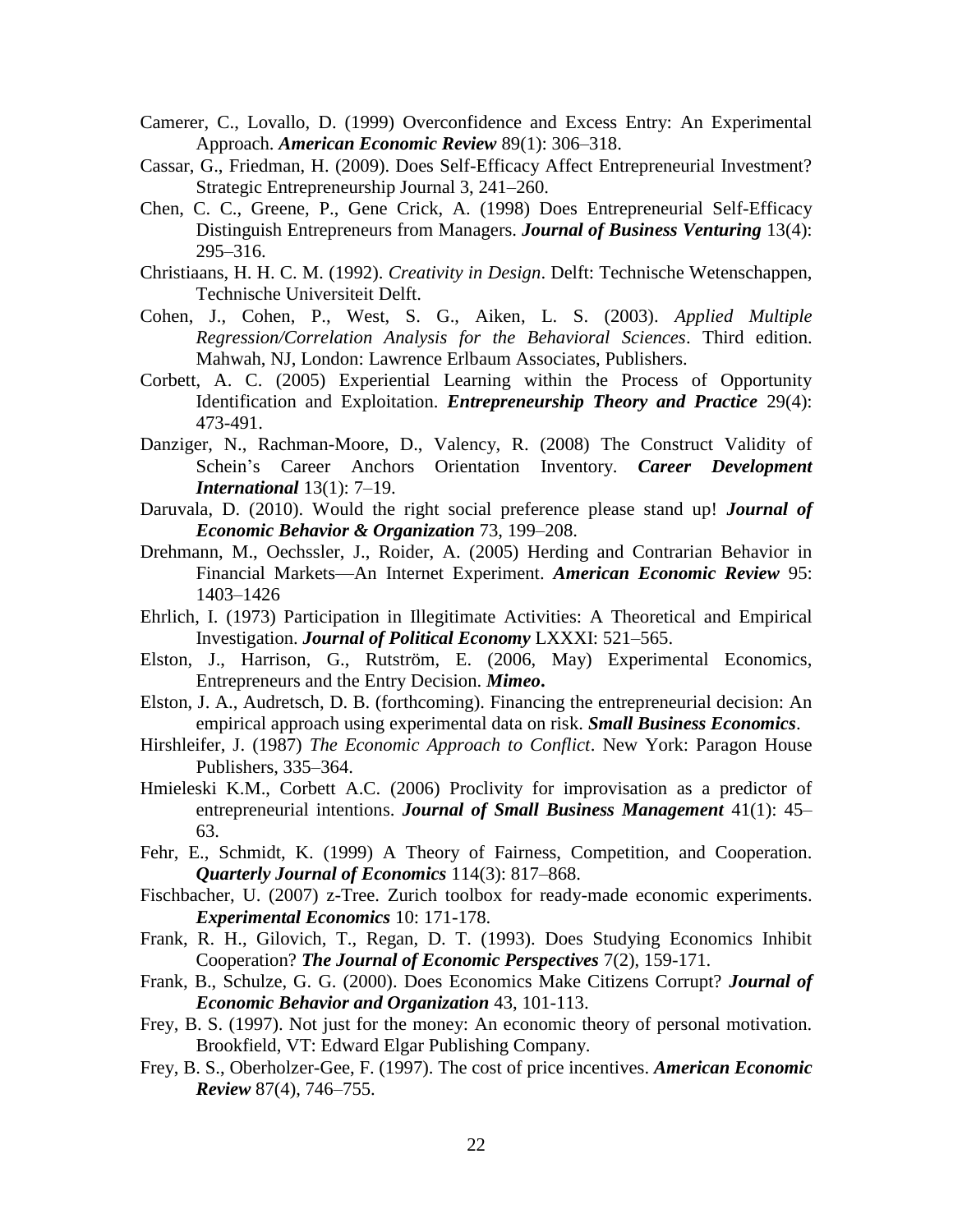- Camerer, C., Lovallo, D. (1999) Overconfidence and Excess Entry: An Experimental Approach. *American Economic Review* 89(1): 306–318.
- Cassar, G., Friedman, H. (2009). Does Self-Efficacy Affect Entrepreneurial Investment? Strategic Entrepreneurship Journal 3, 241–260.
- Chen, C. C., Greene, P., Gene Crick, A. (1998) Does Entrepreneurial Self-Efficacy Distinguish Entrepreneurs from Managers. *Journal of Business Venturing* 13(4): 295–316.
- Christiaans, H. H. C. M. (1992). *Creativity in Design*. Delft: Technische Wetenschappen, Technische Universiteit Delft.
- Cohen, J., Cohen, P., West, S. G., Aiken, L. S. (2003). *Applied Multiple Regression/Correlation Analysis for the Behavioral Sciences*. Third edition. Mahwah, NJ, London: Lawrence Erlbaum Associates, Publishers.
- Corbett, A. C. (2005) Experiential Learning within the Process of Opportunity Identification and Exploitation. *Entrepreneurship Theory and Practice* 29(4): 473-491.
- Danziger, N., Rachman-Moore, D., Valency, R. (2008) The Construct Validity of Schein's Career Anchors Orientation Inventory. *Career Development International* 13(1): 7–19.
- Daruvala, D. (2010). Would the right social preference please stand up! *Journal of Economic Behavior & Organization* 73, 199–208.
- Drehmann, M., Oechssler, J., Roider, A. (2005) Herding and Contrarian Behavior in Financial Markets—An Internet Experiment. *American Economic Review* 95: 1403–1426
- Ehrlich, I. (1973) Participation in Illegitimate Activities: A Theoretical and Empirical Investigation. *Journal of Political Economy* LXXXI: 521–565.
- Elston, J., Harrison, G., Rutström, E. (2006, May) Experimental Economics, Entrepreneurs and the Entry Decision. *Mimeo***.**
- Elston, J. A., Audretsch, D. B. (forthcoming). Financing the entrepreneurial decision: An empirical approach using experimental data on risk. *Small Business Economics*.
- Hirshleifer, J. (1987) *The Economic Approach to Conflict*. New York: Paragon House Publishers, 335–364.
- Hmieleski K.M., Corbett A.C. (2006) Proclivity for improvisation as a predictor of entrepreneurial intentions. *Journal of Small Business Management* 41(1): 45– 63.
- Fehr, E., Schmidt, K. (1999) A Theory of Fairness, Competition, and Cooperation. *Quarterly Journal of Economics* 114(3): 817–868.
- Fischbacher, U. (2007) z-Tree. Zurich toolbox for ready-made economic experiments. *Experimental Economics* 10: 171-178.
- Frank, R. H., Gilovich, T., Regan, D. T. (1993). Does Studying Economics Inhibit Cooperation? *The Journal of Economic Perspectives* 7(2), 159-171.
- Frank, B., Schulze, G. G. (2000). Does Economics Make Citizens Corrupt? *Journal of Economic Behavior and Organization* 43, 101-113.
- Frey, B. S. (1997). Not just for the money: An economic theory of personal motivation. Brookfield, VT: Edward Elgar Publishing Company.
- Frey, B. S., Oberholzer-Gee, F. (1997). The cost of price incentives. *American Economic Review* 87(4), 746–755.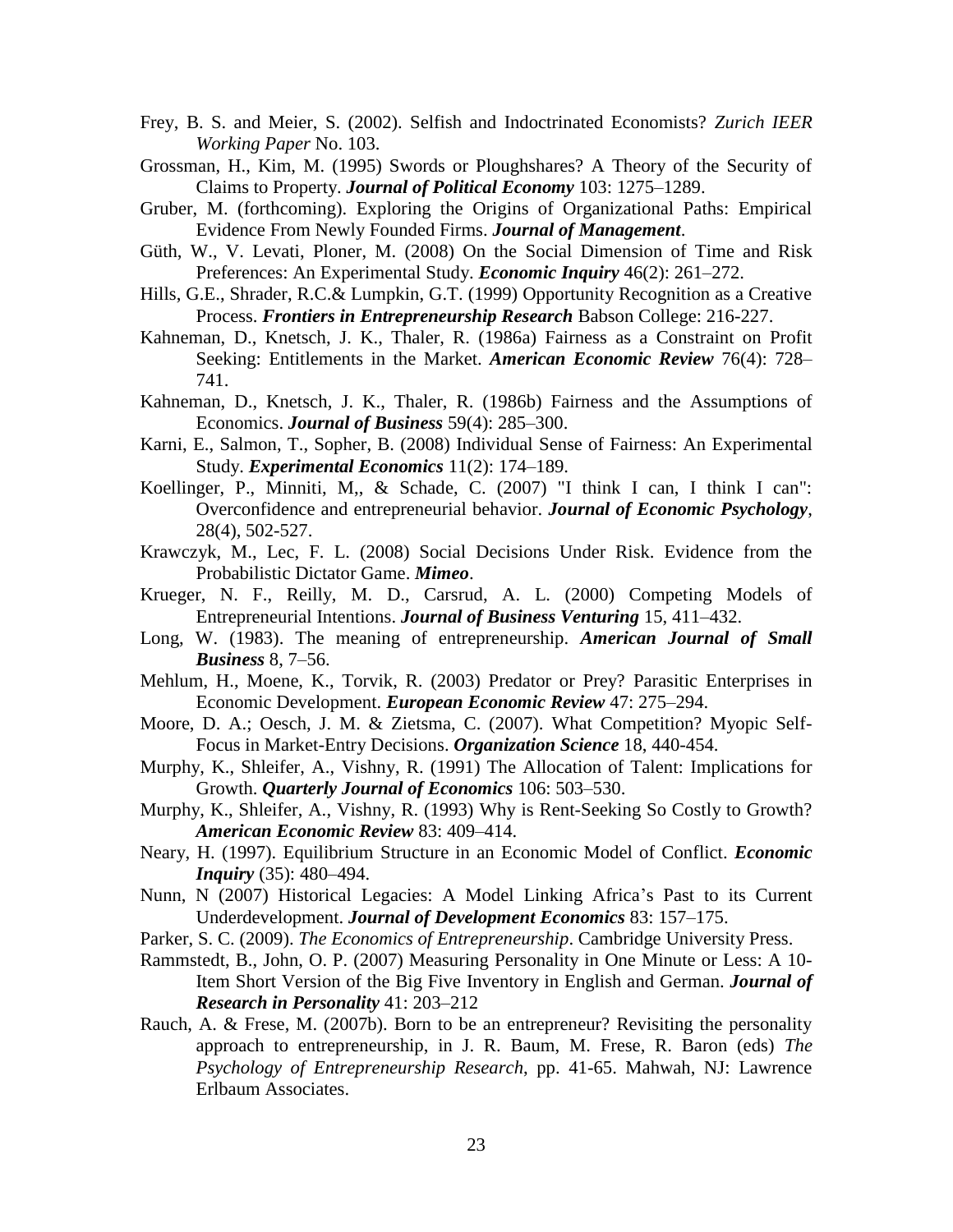- Frey, B. S. and Meier, S. (2002). Selfish and Indoctrinated Economists? *Zurich IEER Working Paper* No. 103.
- Grossman, H., Kim, M. (1995) Swords or Ploughshares? A Theory of the Security of Claims to Property. *Journal of Political Economy* 103: 1275–1289.
- Gruber, M. (forthcoming). Exploring the Origins of Organizational Paths: Empirical Evidence From Newly Founded Firms. *Journal of Management*.
- Güth, W., V. Levati, Ploner, M. (2008) On the Social Dimension of Time and Risk Preferences: An Experimental Study. *Economic Inquiry* 46(2): 261–272.
- Hills, G.E., Shrader, R.C.& Lumpkin, G.T. (1999) Opportunity Recognition as a Creative Process. *Frontiers in Entrepreneurship Research* Babson College: 216-227.
- Kahneman, D., Knetsch, J. K., Thaler, R. (1986a) Fairness as a Constraint on Profit Seeking: Entitlements in the Market. *American Economic Review* 76(4): 728– 741.
- Kahneman, D., Knetsch, J. K., Thaler, R. (1986b) Fairness and the Assumptions of Economics. *Journal of Business* 59(4): 285–300.
- Karni, E., Salmon, T., Sopher, B. (2008) Individual Sense of Fairness: An Experimental Study. *Experimental Economics* 11(2): 174–189.
- Koellinger, P., Minniti, M,, & Schade, C. (2007) "I think I can, I think I can": Overconfidence and entrepreneurial behavior. *Journal of Economic Psychology*, 28(4), 502-527.
- Krawczyk, M., Lec, F. L. (2008) Social Decisions Under Risk. Evidence from the Probabilistic Dictator Game. *Mimeo*.
- Krueger, N. F., Reilly, M. D., Carsrud, A. L. (2000) Competing Models of Entrepreneurial Intentions. *Journal of Business Venturing* 15, 411–432.
- Long, W. (1983). The meaning of entrepreneurship. *American Journal of Small Business* 8, 7–56.
- Mehlum, H., Moene, K., Torvik, R. (2003) Predator or Prey? Parasitic Enterprises in Economic Development. *European Economic Review* 47: 275–294.
- Moore, D. A.; Oesch, J. M. & Zietsma, C. (2007). What Competition? Myopic Self-Focus in Market-Entry Decisions. *Organization Science* 18, 440-454.
- Murphy, K., Shleifer, A., Vishny, R. (1991) The Allocation of Talent: Implications for Growth. *Quarterly Journal of Economics* 106: 503–530.
- Murphy, K., Shleifer, A., Vishny, R. (1993) Why is Rent-Seeking So Costly to Growth? *American Economic Review* 83: 409–414.
- Neary, H. (1997). Equilibrium Structure in an Economic Model of Conflict. *Economic Inquiry* (35): 480–494.
- Nunn, N (2007) Historical Legacies: A Model Linking Africa's Past to its Current Underdevelopment. *Journal of Development Economics* 83: 157–175.
- Parker, S. C. (2009). *The Economics of Entrepreneurship*. Cambridge University Press.
- Rammstedt, B., John, O. P. (2007) Measuring Personality in One Minute or Less: A 10- Item Short Version of the Big Five Inventory in English and German. *Journal of Research in Personality* 41: 203–212
- Rauch, A. & Frese, M. (2007b). Born to be an entrepreneur? Revisiting the personality approach to entrepreneurship, in J. R. Baum, M. Frese, R. Baron (eds) *The Psychology of Entrepreneurship Research*, pp. 41-65. Mahwah, NJ: Lawrence Erlbaum Associates.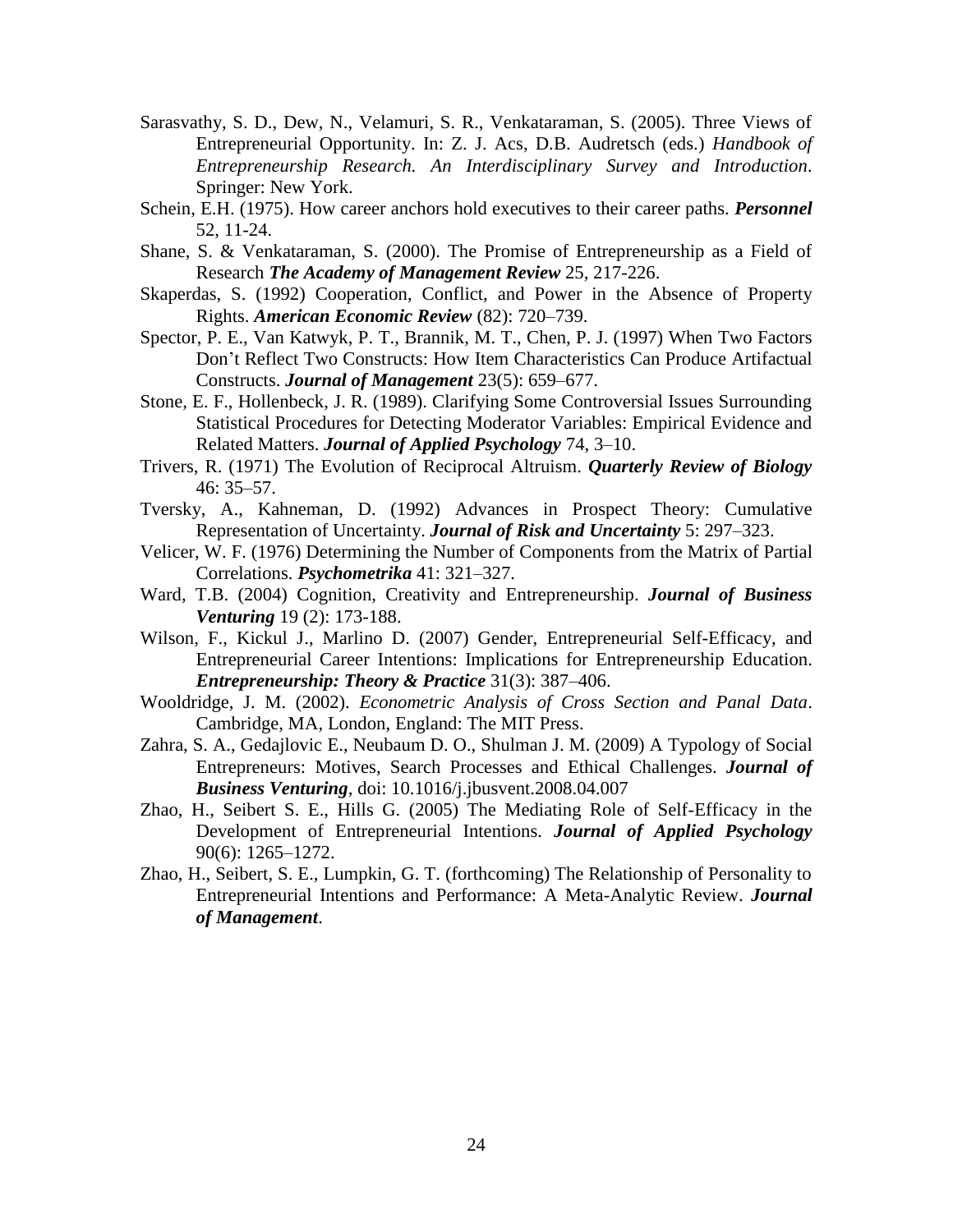- Sarasvathy, S. D., Dew, N., Velamuri, S. R., Venkataraman, S. (2005). Three Views of Entrepreneurial Opportunity. In: Z. J. Acs, D.B. Audretsch (eds.) *Handbook of Entrepreneurship Research. An Interdisciplinary Survey and Introduction*. Springer: New York.
- Schein, E.H. (1975). How career anchors hold executives to their career paths. *Personnel* 52, 11-24.
- Shane, S. & Venkataraman, S. (2000). The Promise of Entrepreneurship as a Field of Research *The Academy of Management Review* 25, 217-226.
- Skaperdas, S. (1992) Cooperation, Conflict, and Power in the Absence of Property Rights. *American Economic Review* (82): 720–739.
- Spector, P. E., Van Katwyk, P. T., Brannik, M. T., Chen, P. J. (1997) When Two Factors Don't Reflect Two Constructs: How Item Characteristics Can Produce Artifactual Constructs. *Journal of Management* 23(5): 659–677.
- Stone, E. F., Hollenbeck, J. R. (1989). Clarifying Some Controversial Issues Surrounding Statistical Procedures for Detecting Moderator Variables: Empirical Evidence and Related Matters. *Journal of Applied Psychology* 74, 3–10.
- Trivers, R. (1971) The Evolution of Reciprocal Altruism. *Quarterly Review of Biology* 46: 35–57.
- Tversky, A., Kahneman, D. (1992) Advances in Prospect Theory: Cumulative Representation of Uncertainty. *Journal of Risk and Uncertainty* 5: 297–323.
- Velicer, W. F. (1976) Determining the Number of Components from the Matrix of Partial Correlations. *Psychometrika* 41: 321–327.
- Ward, T.B. (2004) Cognition, Creativity and Entrepreneurship. *Journal of Business Venturing* 19 (2): 173-188.
- Wilson, F., Kickul J., Marlino D. (2007) Gender, Entrepreneurial Self-Efficacy, and Entrepreneurial Career Intentions: Implications for Entrepreneurship Education. *Entrepreneurship: Theory & Practice* 31(3): 387–406.
- Wooldridge, J. M. (2002). *Econometric Analysis of Cross Section and Panal Data*. Cambridge, MA, London, England: The MIT Press.
- Zahra, S. A., Gedajlovic E., Neubaum D. O., Shulman J. M. (2009) A Typology of Social Entrepreneurs: Motives, Search Processes and Ethical Challenges. *Journal of Business Venturing,* doi: 10.1016/j.jbusvent.2008.04.007
- Zhao, H., Seibert S. E., Hills G. (2005) The Mediating Role of Self-Efficacy in the Development of Entrepreneurial Intentions. *Journal of Applied Psychology* 90(6): 1265–1272.
- Zhao, H., Seibert, S. E., Lumpkin, G. T. (forthcoming) The Relationship of Personality to Entrepreneurial Intentions and Performance: A Meta-Analytic Review. *Journal of Management*.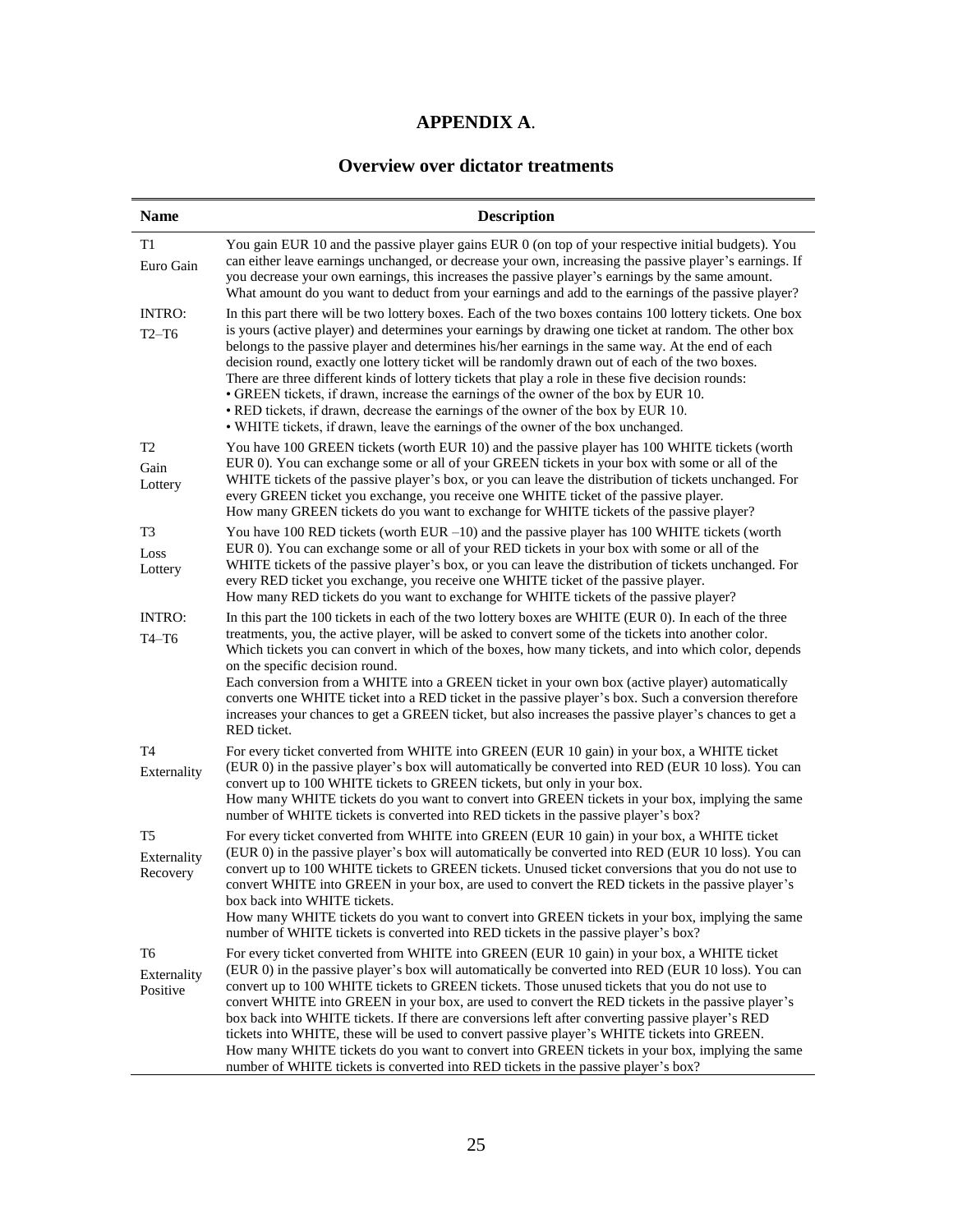### **APPENDIX A**.

### **Overview over dictator treatments**

| <b>Name</b>                                     | <b>Description</b>                                                                                                                                                                                                                                                                                                                                                                                                                                                                                                                                                                                                                                                                                                                                                                                   |
|-------------------------------------------------|------------------------------------------------------------------------------------------------------------------------------------------------------------------------------------------------------------------------------------------------------------------------------------------------------------------------------------------------------------------------------------------------------------------------------------------------------------------------------------------------------------------------------------------------------------------------------------------------------------------------------------------------------------------------------------------------------------------------------------------------------------------------------------------------------|
| T1<br>Euro Gain                                 | You gain EUR 10 and the passive player gains EUR 0 (on top of your respective initial budgets). You<br>can either leave earnings unchanged, or decrease your own, increasing the passive player's earnings. If<br>you decrease your own earnings, this increases the passive player's earnings by the same amount.<br>What amount do you want to deduct from your earnings and add to the earnings of the passive player?                                                                                                                                                                                                                                                                                                                                                                            |
| <b>INTRO:</b><br>$T2-T6$                        | In this part there will be two lottery boxes. Each of the two boxes contains 100 lottery tickets. One box<br>is yours (active player) and determines your earnings by drawing one ticket at random. The other box<br>belongs to the passive player and determines his/her earnings in the same way. At the end of each<br>decision round, exactly one lottery ticket will be randomly drawn out of each of the two boxes.<br>There are three different kinds of lottery tickets that play a role in these five decision rounds:<br>• GREEN tickets, if drawn, increase the earnings of the owner of the box by EUR 10.<br>• RED tickets, if drawn, decrease the earnings of the owner of the box by EUR 10.<br>• WHITE tickets, if drawn, leave the earnings of the owner of the box unchanged.      |
| T2<br>Gain<br>Lottery                           | You have 100 GREEN tickets (worth EUR 10) and the passive player has 100 WHITE tickets (worth<br>EUR 0). You can exchange some or all of your GREEN tickets in your box with some or all of the<br>WHITE tickets of the passive player's box, or you can leave the distribution of tickets unchanged. For<br>every GREEN ticket you exchange, you receive one WHITE ticket of the passive player.<br>How many GREEN tickets do you want to exchange for WHITE tickets of the passive player?                                                                                                                                                                                                                                                                                                         |
| T3<br>Loss<br>Lottery                           | You have 100 RED tickets (worth EUR $-10$ ) and the passive player has 100 WHITE tickets (worth<br>EUR 0). You can exchange some or all of your RED tickets in your box with some or all of the<br>WHITE tickets of the passive player's box, or you can leave the distribution of tickets unchanged. For<br>every RED ticket you exchange, you receive one WHITE ticket of the passive player.<br>How many RED tickets do you want to exchange for WHITE tickets of the passive player?                                                                                                                                                                                                                                                                                                             |
| <b>INTRO:</b><br>T <sub>4</sub> -T <sub>6</sub> | In this part the 100 tickets in each of the two lottery boxes are WHITE (EUR 0). In each of the three<br>treatments, you, the active player, will be asked to convert some of the tickets into another color.<br>Which tickets you can convert in which of the boxes, how many tickets, and into which color, depends<br>on the specific decision round.<br>Each conversion from a WHITE into a GREEN ticket in your own box (active player) automatically<br>converts one WHITE ticket into a RED ticket in the passive player's box. Such a conversion therefore<br>increases your chances to get a GREEN ticket, but also increases the passive player's chances to get a<br>RED ticket.                                                                                                          |
| T4<br>Externality                               | For every ticket converted from WHITE into GREEN (EUR 10 gain) in your box, a WHITE ticket<br>(EUR 0) in the passive player's box will automatically be converted into RED (EUR 10 loss). You can<br>convert up to 100 WHITE tickets to GREEN tickets, but only in your box.<br>How many WHITE tickets do you want to convert into GREEN tickets in your box, implying the same<br>number of WHITE tickets is converted into RED tickets in the passive player's box?                                                                                                                                                                                                                                                                                                                                |
| T5<br>Externality<br>Recovery                   | For every ticket converted from WHITE into GREEN (EUR 10 gain) in your box, a WHITE ticket<br>(EUR 0) in the passive player's box will automatically be converted into RED (EUR 10 loss). You can<br>convert up to 100 WHITE tickets to GREEN tickets. Unused ticket conversions that you do not use to<br>convert WHITE into GREEN in your box, are used to convert the RED tickets in the passive player's<br>box back into WHITE tickets.<br>How many WHITE tickets do you want to convert into GREEN tickets in your box, implying the same<br>number of WHITE tickets is converted into RED tickets in the passive player's box?                                                                                                                                                                |
| T6<br>Externality<br>Positive                   | For every ticket converted from WHITE into GREEN (EUR 10 gain) in your box, a WHITE ticket<br>(EUR 0) in the passive player's box will automatically be converted into RED (EUR 10 loss). You can<br>convert up to 100 WHITE tickets to GREEN tickets. Those unused tickets that you do not use to<br>convert WHITE into GREEN in your box, are used to convert the RED tickets in the passive player's<br>box back into WHITE tickets. If there are conversions left after converting passive player's RED<br>tickets into WHITE, these will be used to convert passive player's WHITE tickets into GREEN.<br>How many WHITE tickets do you want to convert into GREEN tickets in your box, implying the same<br>number of WHITE tickets is converted into RED tickets in the passive player's box? |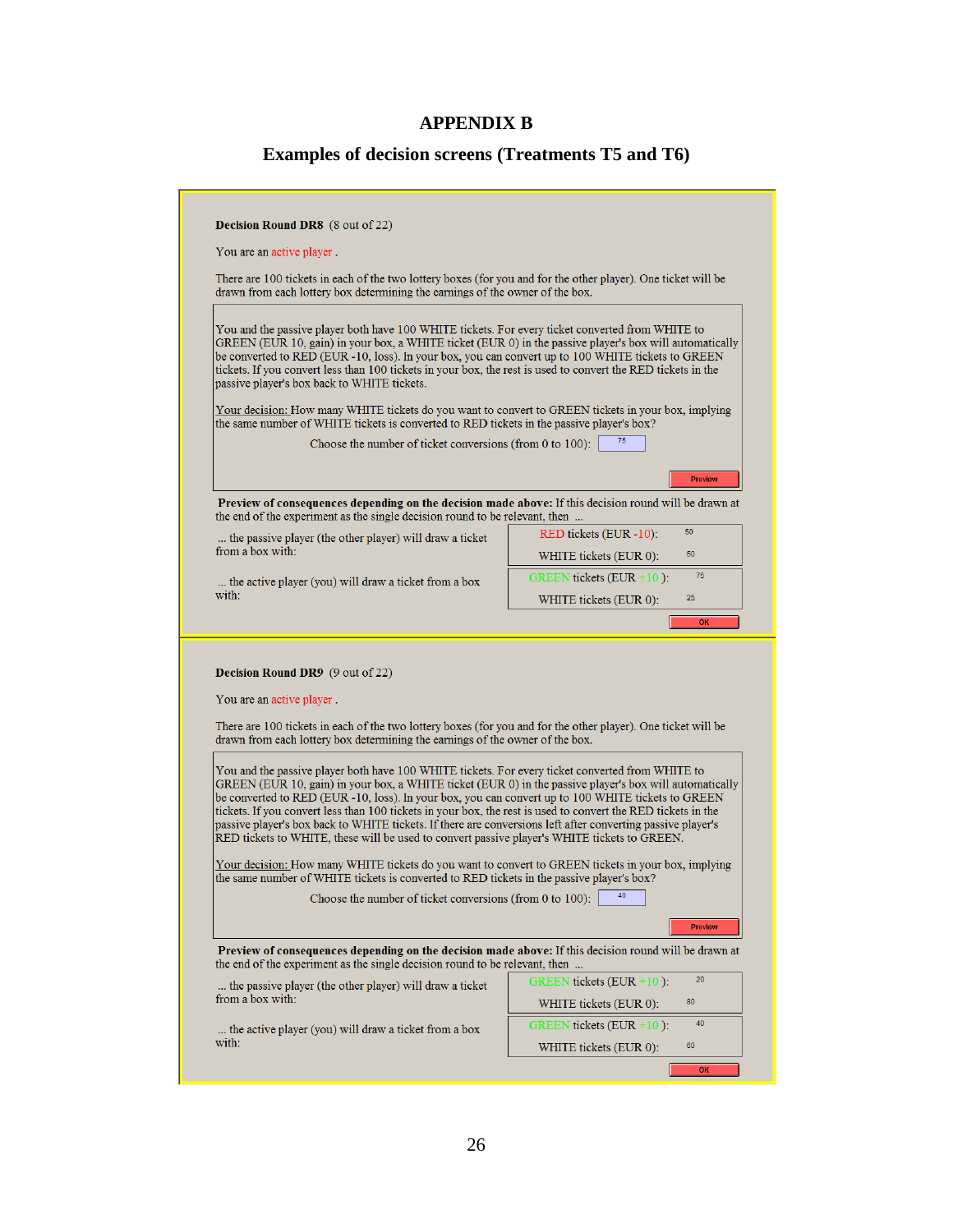# **APPENDIX B**

# **Examples of decision screens (Treatments T5 and T6)**

| You are an active player.                                                                                                                                                                                                                                                                                                                                                                                                                                                                                                                                                                                                                                                                                                                                                                                                                                                                                                                                                                                                                                                                                                                                                                                                                                                                                                                                                                            |                                   |
|------------------------------------------------------------------------------------------------------------------------------------------------------------------------------------------------------------------------------------------------------------------------------------------------------------------------------------------------------------------------------------------------------------------------------------------------------------------------------------------------------------------------------------------------------------------------------------------------------------------------------------------------------------------------------------------------------------------------------------------------------------------------------------------------------------------------------------------------------------------------------------------------------------------------------------------------------------------------------------------------------------------------------------------------------------------------------------------------------------------------------------------------------------------------------------------------------------------------------------------------------------------------------------------------------------------------------------------------------------------------------------------------------|-----------------------------------|
| There are 100 tickets in each of the two lottery boxes (for you and for the other player). One ticket will be<br>drawn from each lottery box determining the earnings of the owner of the box.                                                                                                                                                                                                                                                                                                                                                                                                                                                                                                                                                                                                                                                                                                                                                                                                                                                                                                                                                                                                                                                                                                                                                                                                       |                                   |
| You and the passive player both have 100 WHITE tickets. For every ticket converted from WHITE to<br>GREEN (EUR 10, gain) in your box, a WHITE ticket (EUR 0) in the passive player's box will automatically<br>be converted to RED (EUR -10, loss). In your box, you can convert up to 100 WHITE tickets to GREEN<br>tickets. If you convert less than 100 tickets in your box, the rest is used to convert the RED tickets in the<br>passive player's box back to WHITE tickets.                                                                                                                                                                                                                                                                                                                                                                                                                                                                                                                                                                                                                                                                                                                                                                                                                                                                                                                    |                                   |
| Your decision: How many WHITE tickets do you want to convert to GREEN tickets in your box, implying<br>the same number of WHITE tickets is converted to RED tickets in the passive player's box?                                                                                                                                                                                                                                                                                                                                                                                                                                                                                                                                                                                                                                                                                                                                                                                                                                                                                                                                                                                                                                                                                                                                                                                                     |                                   |
| Choose the number of ticket conversions (from 0 to 100):                                                                                                                                                                                                                                                                                                                                                                                                                                                                                                                                                                                                                                                                                                                                                                                                                                                                                                                                                                                                                                                                                                                                                                                                                                                                                                                                             | 75                                |
|                                                                                                                                                                                                                                                                                                                                                                                                                                                                                                                                                                                                                                                                                                                                                                                                                                                                                                                                                                                                                                                                                                                                                                                                                                                                                                                                                                                                      | <b>Preview</b>                    |
| <b>Preview of consequences depending on the decision made above:</b> If this decision round will be drawn at<br>the end of the experiment as the single decision round to be relevant, then                                                                                                                                                                                                                                                                                                                                                                                                                                                                                                                                                                                                                                                                                                                                                                                                                                                                                                                                                                                                                                                                                                                                                                                                          |                                   |
| the passive player (the other player) will draw a ticket                                                                                                                                                                                                                                                                                                                                                                                                                                                                                                                                                                                                                                                                                                                                                                                                                                                                                                                                                                                                                                                                                                                                                                                                                                                                                                                                             | 50<br>RED tickets (EUR -10):      |
| from a box with:                                                                                                                                                                                                                                                                                                                                                                                                                                                                                                                                                                                                                                                                                                                                                                                                                                                                                                                                                                                                                                                                                                                                                                                                                                                                                                                                                                                     | 50<br>WHITE tickets (EUR 0):      |
| the active player (you) will draw a ticket from a box                                                                                                                                                                                                                                                                                                                                                                                                                                                                                                                                                                                                                                                                                                                                                                                                                                                                                                                                                                                                                                                                                                                                                                                                                                                                                                                                                | 75<br>GREEN tickets (EUR +10):    |
| with:                                                                                                                                                                                                                                                                                                                                                                                                                                                                                                                                                                                                                                                                                                                                                                                                                                                                                                                                                                                                                                                                                                                                                                                                                                                                                                                                                                                                |                                   |
|                                                                                                                                                                                                                                                                                                                                                                                                                                                                                                                                                                                                                                                                                                                                                                                                                                                                                                                                                                                                                                                                                                                                                                                                                                                                                                                                                                                                      | 25<br>WHITE tickets (EUR 0):      |
|                                                                                                                                                                                                                                                                                                                                                                                                                                                                                                                                                                                                                                                                                                                                                                                                                                                                                                                                                                                                                                                                                                                                                                                                                                                                                                                                                                                                      | OK                                |
|                                                                                                                                                                                                                                                                                                                                                                                                                                                                                                                                                                                                                                                                                                                                                                                                                                                                                                                                                                                                                                                                                                                                                                                                                                                                                                                                                                                                      |                                   |
| Choose the number of ticket conversions (from 0 to 100):                                                                                                                                                                                                                                                                                                                                                                                                                                                                                                                                                                                                                                                                                                                                                                                                                                                                                                                                                                                                                                                                                                                                                                                                                                                                                                                                             | 40                                |
|                                                                                                                                                                                                                                                                                                                                                                                                                                                                                                                                                                                                                                                                                                                                                                                                                                                                                                                                                                                                                                                                                                                                                                                                                                                                                                                                                                                                      | <b>Preview</b>                    |
|                                                                                                                                                                                                                                                                                                                                                                                                                                                                                                                                                                                                                                                                                                                                                                                                                                                                                                                                                                                                                                                                                                                                                                                                                                                                                                                                                                                                      |                                   |
| the passive player (the other player) will draw a ticket                                                                                                                                                                                                                                                                                                                                                                                                                                                                                                                                                                                                                                                                                                                                                                                                                                                                                                                                                                                                                                                                                                                                                                                                                                                                                                                                             | 20<br>GREEN tickets (EUR $+10$ ): |
|                                                                                                                                                                                                                                                                                                                                                                                                                                                                                                                                                                                                                                                                                                                                                                                                                                                                                                                                                                                                                                                                                                                                                                                                                                                                                                                                                                                                      | 80<br>WHITE tickets (EUR 0):      |
| Decision Round DR9 (9 out of 22)<br>You are an active player.<br>There are 100 tickets in each of the two lottery boxes (for you and for the other player). One ticket will be<br>drawn from each lottery box determining the earnings of the owner of the box.<br>You and the passive player both have 100 WHITE tickets. For every ticket converted from WHITE to<br>GREEN (EUR 10, gain) in your box, a WHITE ticket (EUR 0) in the passive player's box will automatically<br>be converted to RED (EUR -10, loss). In your box, you can convert up to 100 WHITE tickets to GREEN<br>tickets. If you convert less than 100 tickets in your box, the rest is used to convert the RED tickets in the<br>passive player's box back to WHITE tickets. If there are conversions left after converting passive player's<br>RED tickets to WHITE, these will be used to convert passive player's WHITE tickets to GREEN.<br>Your decision: How many WHITE tickets do you want to convert to GREEN tickets in your box, implying<br>the same number of WHITE tickets is converted to RED tickets in the passive player's box?<br><b>Preview of consequences depending on the decision made above:</b> If this decision round will be drawn at<br>the end of the experiment as the single decision round to be relevant, then<br>from a box with:<br>the active player (you) will draw a ticket from a box | 40<br>GREEN tickets (EUR $+10$ ): |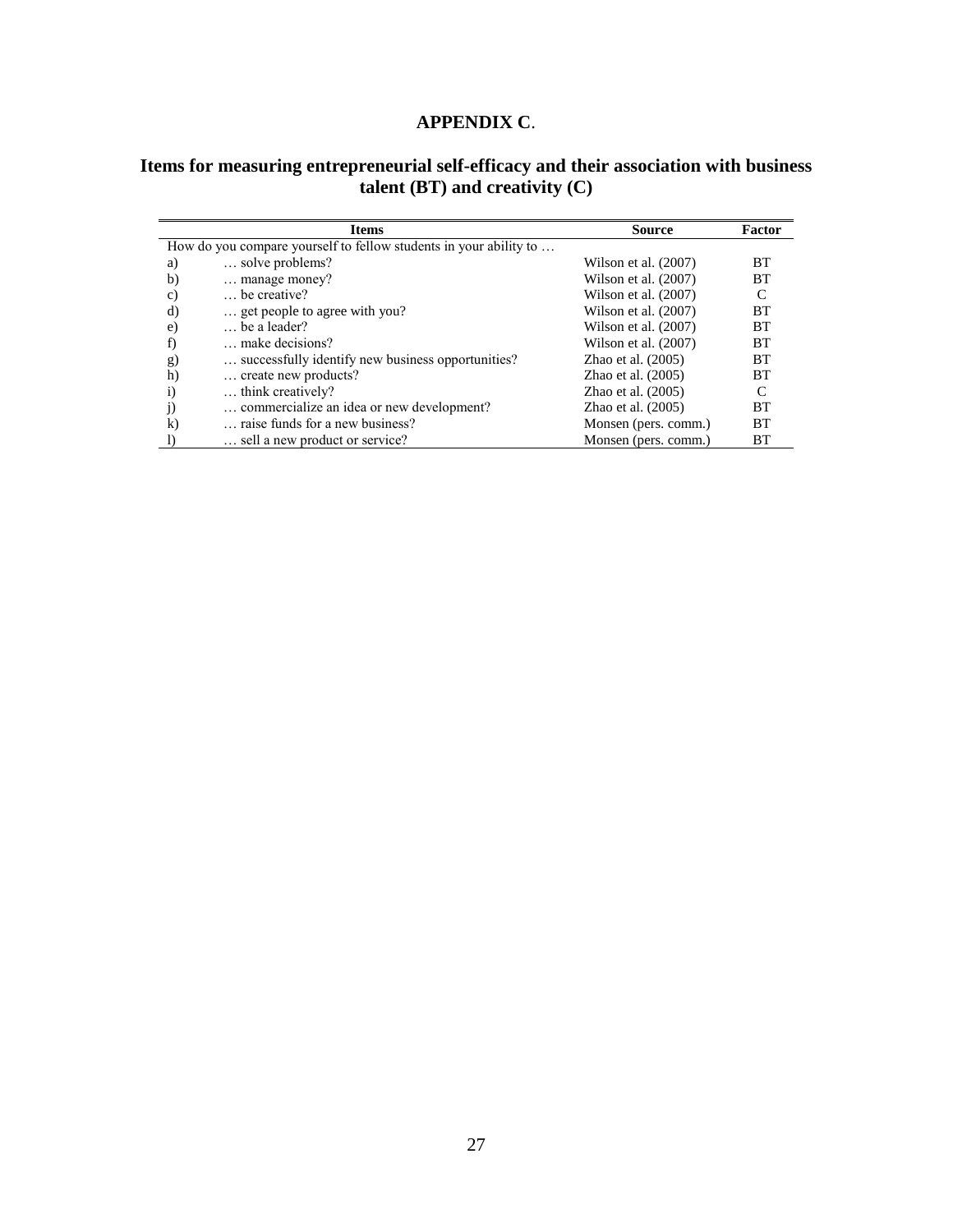### **APPENDIX C**.

#### **Items for measuring entrepreneurial self-efficacy and their association with business talent (BT) and creativity (C)**

|            | <b>Items</b>                                                      | Source               | Factor    |
|------------|-------------------------------------------------------------------|----------------------|-----------|
|            | How do you compare yourself to fellow students in your ability to |                      |           |
| a)         | solve problems?                                                   | Wilson et al. (2007) | <b>BT</b> |
| b)         | manage money?                                                     | Wilson et al. (2007) | BT        |
| C)         | be creative?                                                      | Wilson et al. (2007) |           |
| d)         | get people to agree with you?                                     | Wilson et al. (2007) | <b>BT</b> |
| e)         | $\ldots$ be a leader?                                             | Wilson et al. (2007) | <b>BT</b> |
| f)         | make decisions?                                                   | Wilson et al. (2007) | <b>BT</b> |
| g)         | successfully identify new business opportunities?                 | Zhao et al. $(2005)$ | <b>BT</b> |
| h)         | create new products?                                              | Zhao et al. $(2005)$ | <b>BT</b> |
| $\bf{ii)}$ | think creatively?                                                 | Zhao et al. $(2005)$ | C         |
|            | commercialize an idea or new development?                         | Zhao et al. $(2005)$ | <b>BT</b> |
| k)         | raise funds for a new business?                                   | Monsen (pers. comm.) | <b>BT</b> |
|            | sell a new product or service?                                    | Monsen (pers. comm.) | BТ        |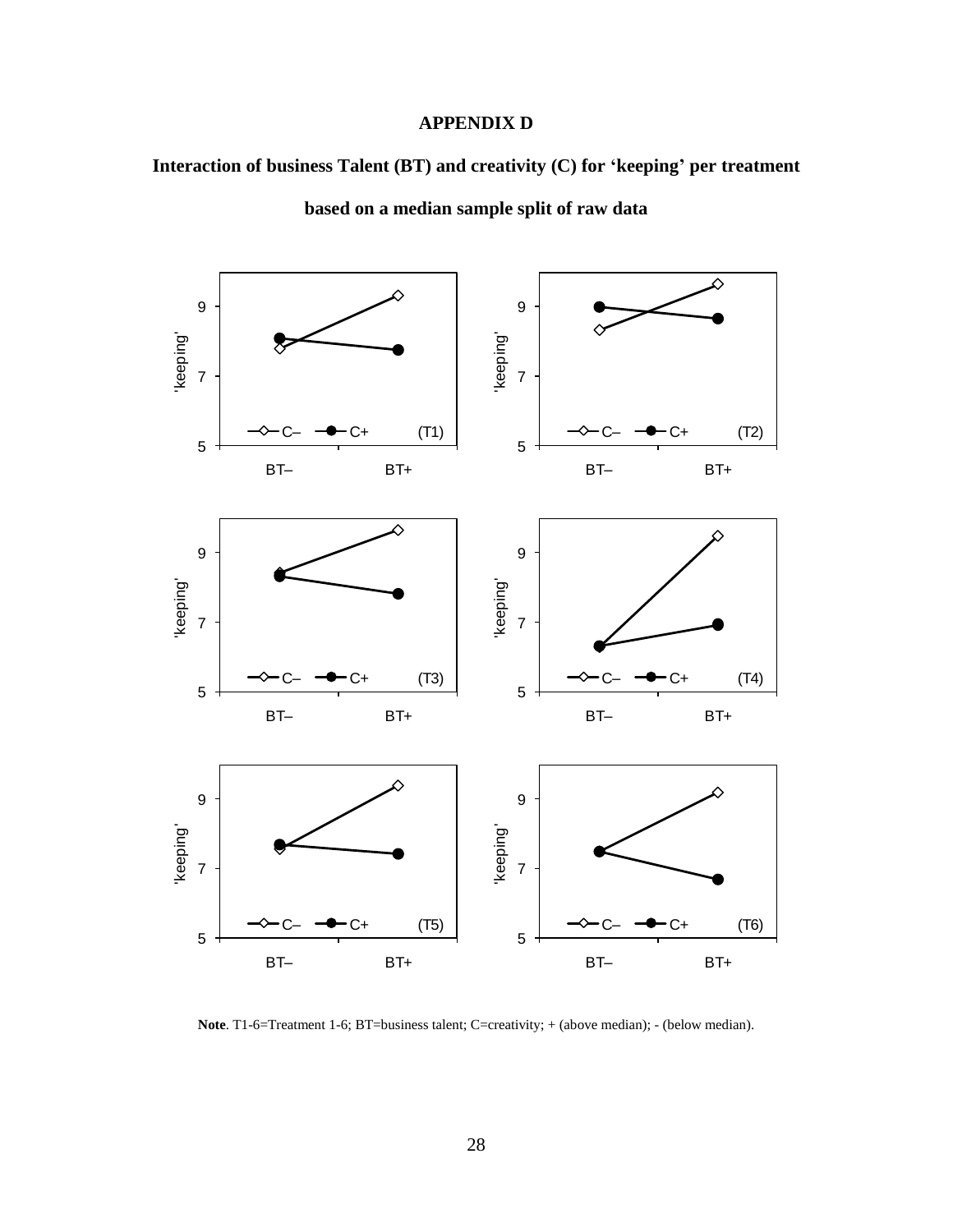# **APPENDIX D**

**Interaction of business Talent (BT) and creativity (C) for "keeping" per treatment** 



**based on a median sample split of raw data**

Note. T1-6=Treatment 1-6; BT=business talent; C=creativity; + (above median); - (below median).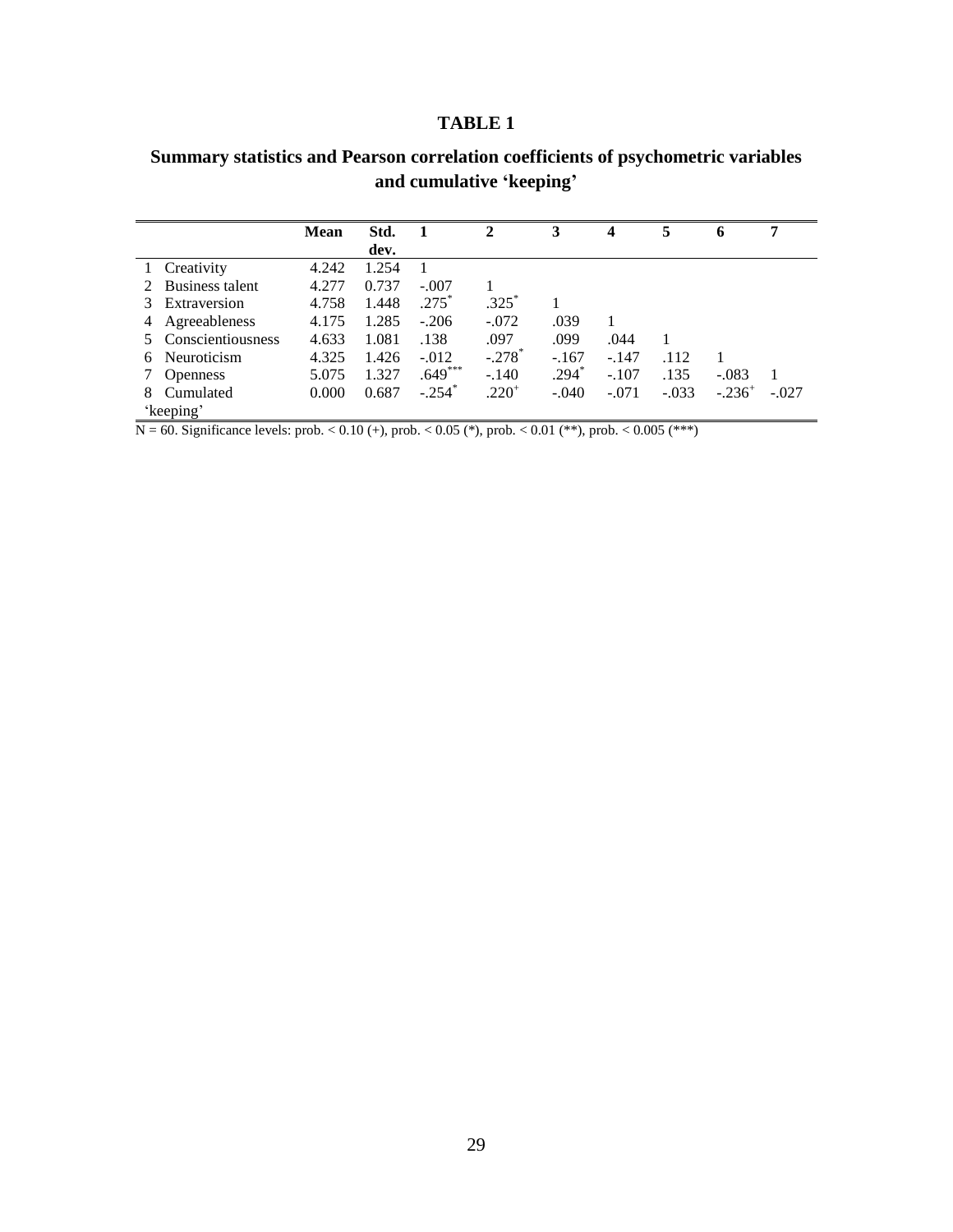|             |                        | <b>Mean</b> | Std.  |                      | 2                    | 3       | 4       | 5       | 6           | 7       |
|-------------|------------------------|-------------|-------|----------------------|----------------------|---------|---------|---------|-------------|---------|
|             |                        |             | dev.  |                      |                      |         |         |         |             |         |
|             | Creativity             | 4.242       | 1.254 |                      |                      |         |         |         |             |         |
| $2^{\circ}$ | <b>Business talent</b> | 4.277       | 0.737 | $-.007$              |                      |         |         |         |             |         |
| 3.          | Extraversion           | 4.758       | 1.448 | $.275*$              | $.325*$              |         |         |         |             |         |
| 4           | Agreeableness          | 4.175       | 1.285 | $-.206$              | $-.072$              | .039    |         |         |             |         |
|             | 5 Conscientiousness    | 4.633       | 1.081 | .138                 | .097                 | .099    | .044    |         |             |         |
| 6           | Neuroticism            | 4.325       | 1.426 | $-.012$              | $-.278$ <sup>*</sup> | $-.167$ | $-.147$ | .112    |             |         |
|             | <b>Openness</b>        | 5.075       | 1.327 | $.649***$            | $-.140$              | $.294*$ | $-.107$ | .135    | $-.083$     |         |
|             | Cumulated              | 0.000       | 0.687 | $-.254$ <sup>*</sup> | $.220^{+}$           | $-.040$ | $-.071$ | $-.033$ | $-.236^{+}$ | $-.027$ |
|             | 'keeping'              |             |       |                      |                      |         |         |         |             |         |

# **Summary statistics and Pearson correlation coefficients of psychometric variables and cumulative "keeping"**

 $N = 60$ . Significance levels: prob. < 0.10 (+), prob. < 0.05 (\*), prob. < 0.01 (\*\*), prob. < 0.005 (\*\*\*)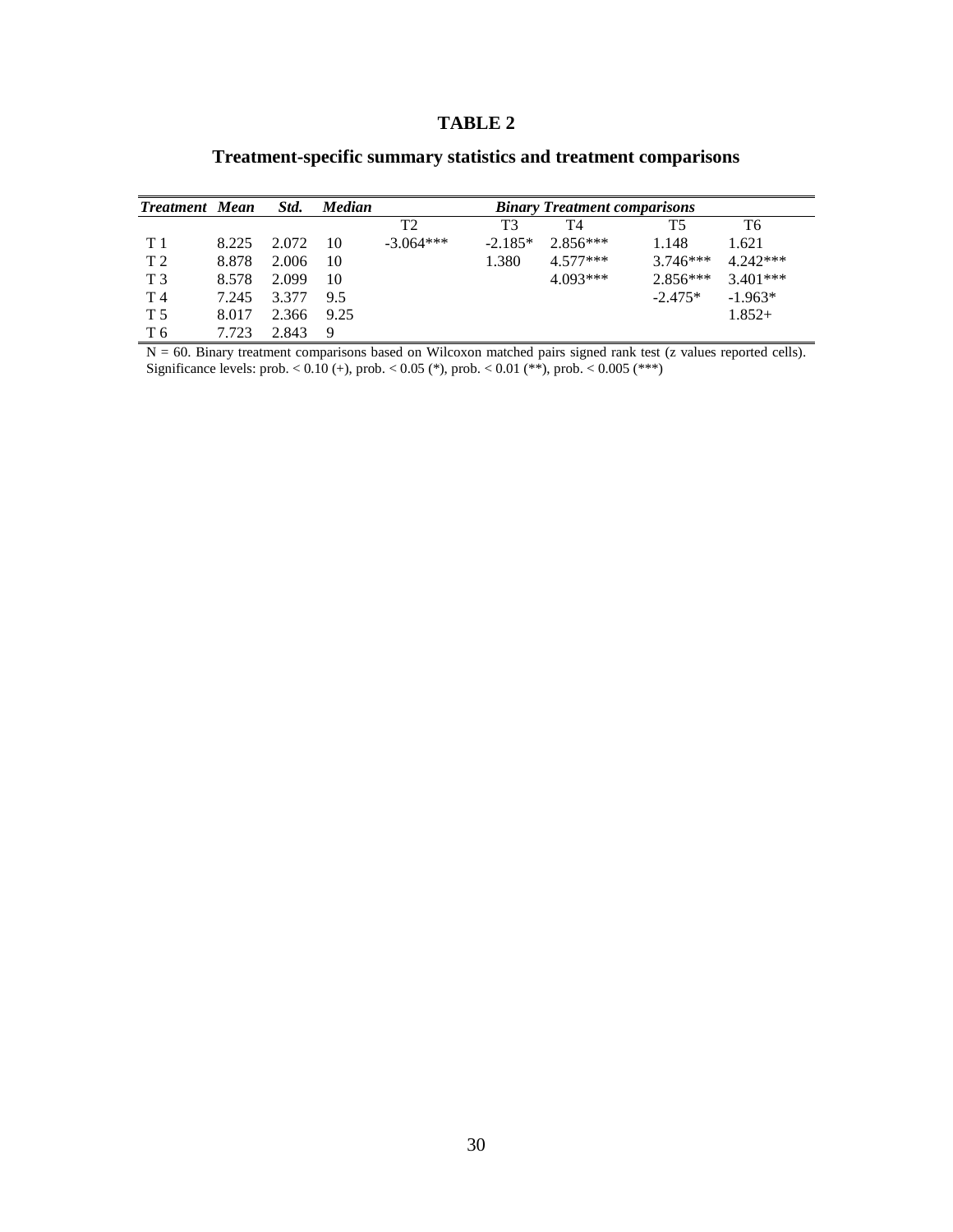| <b>Treatment</b> Mean |       | Std.  | <b>Median</b> |                |           | <b>Binary Treatment comparisons</b> |            |            |
|-----------------------|-------|-------|---------------|----------------|-----------|-------------------------------------|------------|------------|
|                       |       |       |               | T <sub>2</sub> | T3        | T4                                  | T5         | Т6         |
| T <sub>1</sub>        | 8.225 | 2.072 | 10            | $-3.064***$    | $-2.185*$ | $2.856***$                          | 1.148      | 1.621      |
| T <sub>2</sub>        | 8.878 | 2.006 | 10            |                | 1.380     | $4.577***$                          | $3.746***$ | $4.242***$ |
| T <sub>3</sub>        | 8.578 | 2.099 | 10            |                |           | $4.093***$                          | $2.856***$ | $3.401***$ |
| T <sub>4</sub>        | 7.245 | 3.377 | 9.5           |                |           |                                     | $-2.475*$  | $-1.963*$  |
| T 5                   | 8.017 | 2.366 | 9.25          |                |           |                                     |            | $1.852+$   |
| T 6                   | 7.723 | 2.843 | 9             |                |           |                                     |            |            |

# **Treatment-specific summary statistics and treatment comparisons**

N = 60. Binary treatment comparisons based on Wilcoxon matched pairs signed rank test (z values reported cells). Significance levels: prob.  $< 0.10 (+)$ , prob.  $< 0.05 (*)$ , prob.  $< 0.01 (**)$ , prob.  $< 0.005 (**)$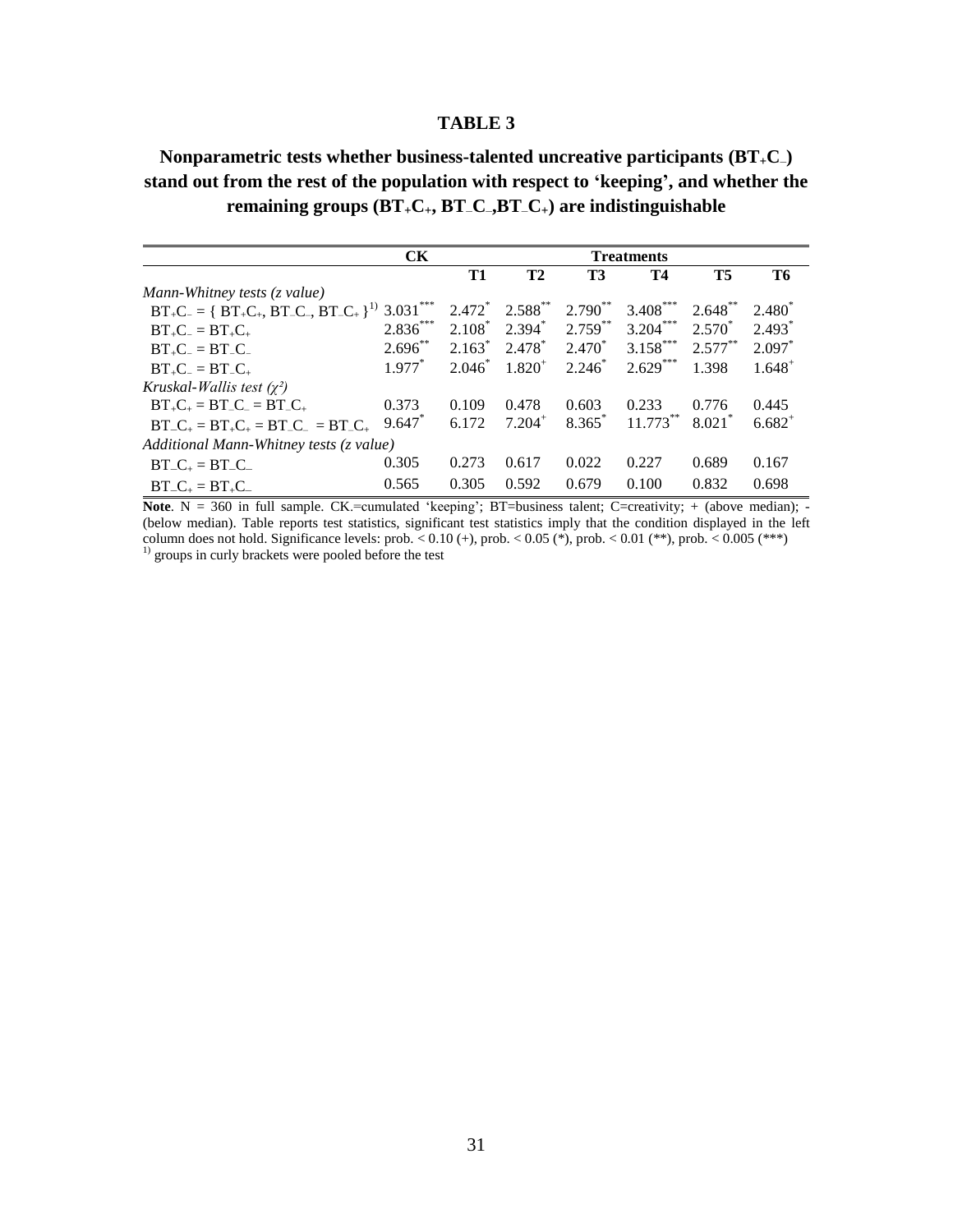**Nonparametric tests whether business-talented uncreative participants (BT+C**–**) stand out from the rest of the population with respect to "keeping", and whether the remaining groups (BT+C+, BT**–**C**–**,BT**–**C+) are indistinguishable**

|                                                                                       | <b>CK</b>  |          |             |              | <b>Treatments</b> |            |                   |
|---------------------------------------------------------------------------------------|------------|----------|-------------|--------------|-------------------|------------|-------------------|
|                                                                                       |            | T1       | <b>T2</b>   | T3           | T4                | T5         | T6                |
| Mann-Whitney tests (z value)                                                          |            |          |             |              |                   |            |                   |
| $BT_{+}C_{-} = \{ BT_{+}C_{+}, BT_{-}C_{-}, BT_{-}C_{+} \}^{1)}$ 3.031 <sup>***</sup> |            | $2.472*$ | $2.588***$  | $2.790^{**}$ | $3.408***$        | $2.648***$ | $2.480^{\degree}$ |
| $BT_{+}C_{-} = BT_{+}C_{+}$                                                           | $2.836***$ | $2.108*$ | $2.394*$    | $2.759$ **   | $3.204***$        | $2.570^*$  | $2.493*$          |
| $BT_{+}C_{-} = BT_{-}C_{-}$                                                           | $2.696**$  | $2.163*$ | 2.478       | $2.470*$     | $3.158***$        | $2.577***$ | $2.097*$          |
| $BT_{+}C_{-} = BT_{-}C_{+}$                                                           | $1.977^*$  | $2.046*$ | $1.820^{+}$ | $2.246^*$    | $2.629***$        | 1.398      | $1.648^{+}$       |
| Kruskal-Wallis test $(\chi^2)$                                                        |            |          |             |              |                   |            |                   |
| $BT_{+}C_{+} = BT_{-}C_{-} = BT_{-}C_{+}$                                             | 0.373      | 0.109    | 0.478       | 0.603        | 0.233             | 0.776      | 0.445             |
| $BT_-C_+ = BT_+C_+ = BT_-C_- = BT_-C_+$                                               | $9.647$ *  | 6.172    | $7.204^{+}$ | $8.365^*$    | $11.773**$        | $8.021$ *  | $6.682^{+}$       |
| Additional Mann-Whitney tests (z value)                                               |            |          |             |              |                   |            |                   |
| $BT_C = BT_C$                                                                         | 0.305      | 0.273    | 0.617       | 0.022        | 0.227             | 0.689      | 0.167             |
| $BT_C = BT_C$                                                                         | 0.565      | 0.305    | 0.592       | 0.679        | 0.100             | 0.832      | 0.698             |

**Note**. N = 360 in full sample. CK.=cumulated 'keeping'; BT=business talent; C=creativity; + (above median); -(below median). Table reports test statistics, significant test statistics imply that the condition displayed in the left column does not hold. Significance levels: prob.  $< 0.10 (+)$ , prob.  $< 0.05 (*)$ , prob.  $< 0.01$  (\*\*), prob.  $< 0.005$  (\*\*\*) <sup>1)</sup> groups in curly brackets were pooled before the test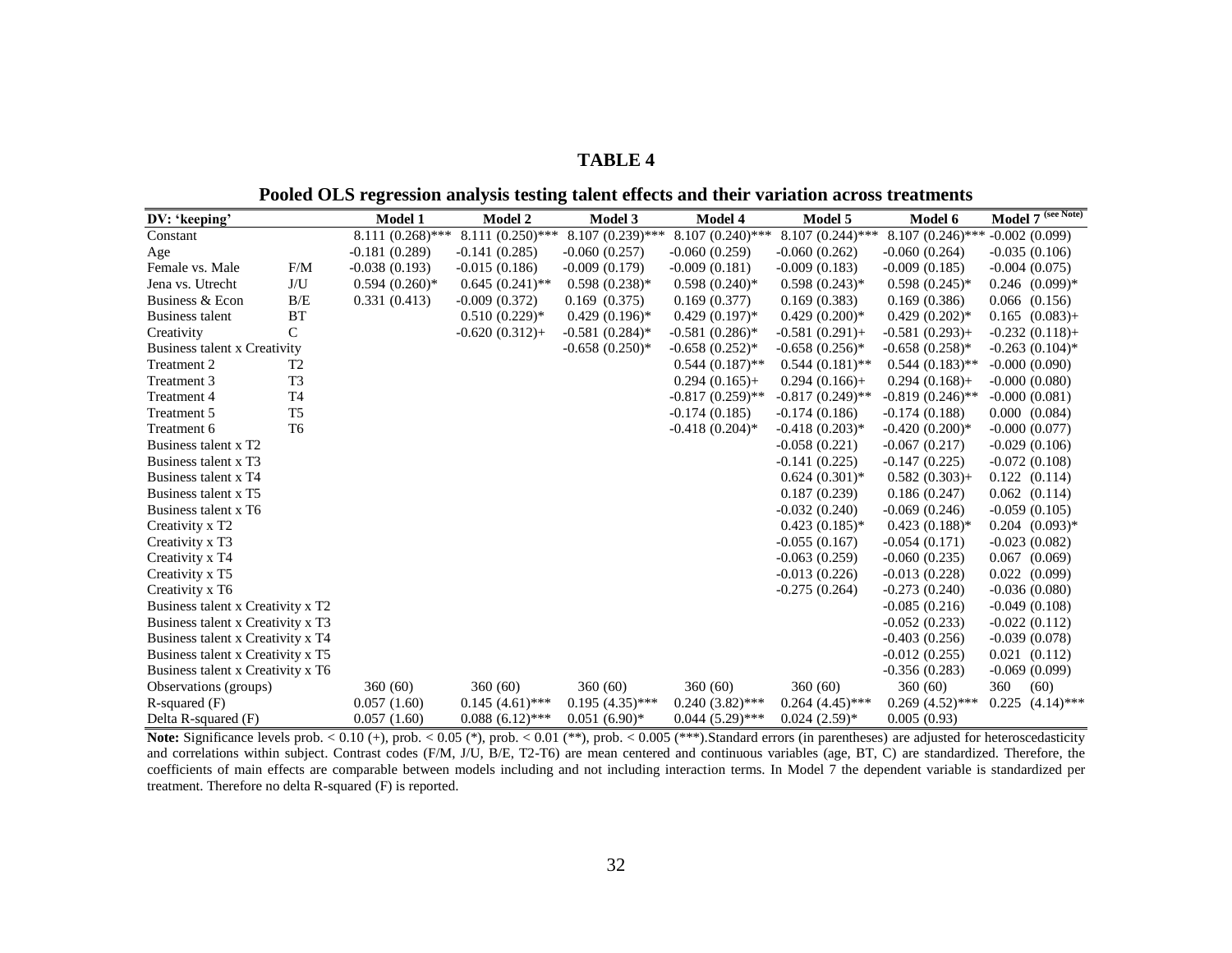|  |  | Pooled OLS regression analysis testing talent effects and their variation across treatments |  |  |
|--|--|---------------------------------------------------------------------------------------------|--|--|
|  |  |                                                                                             |  |  |

| DV: 'keeping'                     |                | <b>Model 1</b>     | <b>Model 2</b>     | Model 3            | <b>Model 4</b>     | <b>Model 5</b>     | Model 6            | Model 7 (see Note)    |
|-----------------------------------|----------------|--------------------|--------------------|--------------------|--------------------|--------------------|--------------------|-----------------------|
| Constant                          |                | $8.111(0.268)$ *** | $8.111(0.250)$ *** | $8.107(0.239)$ *** | $8.107(0.240)$ *** | $8.107(0.244)$ *** | $8.107(0.246)$ *** | $-0.002(0.099)$       |
| Age                               |                | $-0.181(0.289)$    | $-0.141(0.285)$    | $-0.060(0.257)$    | $-0.060(0.259)$    | $-0.060(0.262)$    | $-0.060(0.264)$    | $-0.035(0.106)$       |
| Female vs. Male                   | F/M            | $-0.038(0.193)$    | $-0.015(0.186)$    | $-0.009(0.179)$    | $-0.009(0.181)$    | $-0.009(0.183)$    | $-0.009(0.185)$    | $-0.004(0.075)$       |
| Jena vs. Utrecht                  | J/U            | $0.594(0.260)*$    | $0.645(0.241)$ **  | $0.598(0.238)*$    | $0.598(0.240)*$    | $0.598(0.243)*$    | $0.598(0.245)*$    | $0.246$ $(0.099)^*$   |
| Business & Econ                   | B/E            | 0.331(0.413)       | $-0.009(0.372)$    | 0.169(0.375)       | 0.169(0.377)       | 0.169(0.383)       | 0.169(0.386)       | $0.066$ $(0.156)$     |
| <b>Business talent</b>            | <b>BT</b>      |                    | $0.510(0.229)*$    | $0.429(0.196)*$    | $0.429(0.197)*$    | $0.429(0.200)*$    | $0.429(0.202)*$    | $0.165$ $(0.083) +$   |
| Creativity                        | C              |                    | $-0.620(0.312) +$  | $-0.581(0.284)$ *  | $-0.581(0.286)$ *  | $-0.581(0.291) +$  | $-0.581(0.293) +$  | $-0.232(0.118) +$     |
| Business talent x Creativity      |                |                    |                    | $-0.658(0.250)*$   | $-0.658(0.252)*$   | $-0.658(0.256)$ *  | $-0.658(0.258)*$   | $-0.263(0.104)$ *     |
| Treatment 2                       | T <sub>2</sub> |                    |                    |                    | $0.544(0.187)$ **  | $0.544(0.181)$ **  | $0.544(0.183)$ **  | $-0.000(0.090)$       |
| Treatment 3                       | T3             |                    |                    |                    | $0.294(0.165) +$   | $0.294(0.166) +$   | $0.294(0.168) +$   | $-0.000(0.080)$       |
| Treatment 4                       | T <sub>4</sub> |                    |                    |                    | $-0.817(0.259)$ ** | $-0.817(0.249)$ ** | $-0.819(0.246)$ ** | $-0.000(0.081)$       |
| Treatment 5                       | T <sub>5</sub> |                    |                    |                    | $-0.174(0.185)$    | $-0.174(0.186)$    | $-0.174(0.188)$    | 0.000(0.084)          |
| Treatment 6                       | T <sub>6</sub> |                    |                    |                    | $-0.418(0.204)$ *  | $-0.418(0.203)*$   | $-0.420(0.200)*$   | $-0.000(0.077)$       |
| Business talent x T <sub>2</sub>  |                |                    |                    |                    |                    | $-0.058(0.221)$    | $-0.067(0.217)$    | $-0.029(0.106)$       |
| Business talent x T3              |                |                    |                    |                    |                    | $-0.141(0.225)$    | $-0.147(0.225)$    | $-0.072(0.108)$       |
| Business talent x T4              |                |                    |                    |                    |                    | $0.624(0.301)*$    | $0.582(0.303) +$   | 0.122(0.114)          |
| Business talent x T5              |                |                    |                    |                    |                    | 0.187(0.239)       | 0.186(0.247)       | $0.062$ $(0.114)$     |
| Business talent x T6              |                |                    |                    |                    |                    | $-0.032(0.240)$    | $-0.069(0.246)$    | $-0.059(0.105)$       |
| Creativity x T <sub>2</sub>       |                |                    |                    |                    |                    | $0.423(0.185)*$    | $0.423(0.188)*$    | $0.204$ $(0.093)*$    |
| Creativity x T3                   |                |                    |                    |                    |                    | $-0.055(0.167)$    | $-0.054(0.171)$    | $-0.023(0.082)$       |
| Creativity x T4                   |                |                    |                    |                    |                    | $-0.063(0.259)$    | $-0.060(0.235)$    | $0.067$ $(0.069)$     |
| Creativity x T5                   |                |                    |                    |                    |                    | $-0.013(0.226)$    | $-0.013(0.228)$    | $0.022$ $(0.099)$     |
| Creativity x T6                   |                |                    |                    |                    |                    | $-0.275(0.264)$    | $-0.273(0.240)$    | $-0.036(0.080)$       |
| Business talent x Creativity x T2 |                |                    |                    |                    |                    |                    | $-0.085(0.216)$    | $-0.049(0.108)$       |
| Business talent x Creativity x T3 |                |                    |                    |                    |                    |                    | $-0.052(0.233)$    | $-0.022(0.112)$       |
| Business talent x Creativity x T4 |                |                    |                    |                    |                    |                    | $-0.403(0.256)$    | $-0.039(0.078)$       |
| Business talent x Creativity x T5 |                |                    |                    |                    |                    |                    | $-0.012(0.255)$    | $0.021$ $(0.112)$     |
| Business talent x Creativity x T6 |                |                    |                    |                    |                    |                    | $-0.356(0.283)$    | $-0.069(0.099)$       |
| Observations (groups)             |                | 360 (60)           | 360(60)            | 360(60)            | 360(60)            | 360(60)            | 360(60)            | 360<br>(60)           |
| $R$ -squared $(F)$                |                | 0.057(1.60)        | $0.145(4.61)$ ***  | $0.195(4.35)$ ***  | $0.240(3.82)$ ***  | $0.264(4.45)$ ***  | $0.269(4.52)$ ***  | 0.225<br>$(4.14)$ *** |
| Delta R-squared (F)               |                | 0.057(1.60)        | $0.088(6.12)$ ***  | $0.051(6.90)$ *    | $0.044(5.29)$ ***  | $0.024(2.59)*$     | 0.005(0.93)        |                       |

Note: Significance levels prob. < 0.10 (+), prob. < 0.05 (\*), prob. < 0.01 (\*\*), prob. < 0.005 (\*\*\*).Standard errors (in parentheses) are adjusted for heteroscedasticity and correlations within subject. Contrast codes (F/M, J/U, B/E, T2-T6) are mean centered and continuous variables (age, BT, C) are standardized. Therefore, the coefficients of main effects are comparable between models including and not including interaction terms. In Model 7 the dependent variable is standardized per treatment. Therefore no delta R-squared (F) is reported.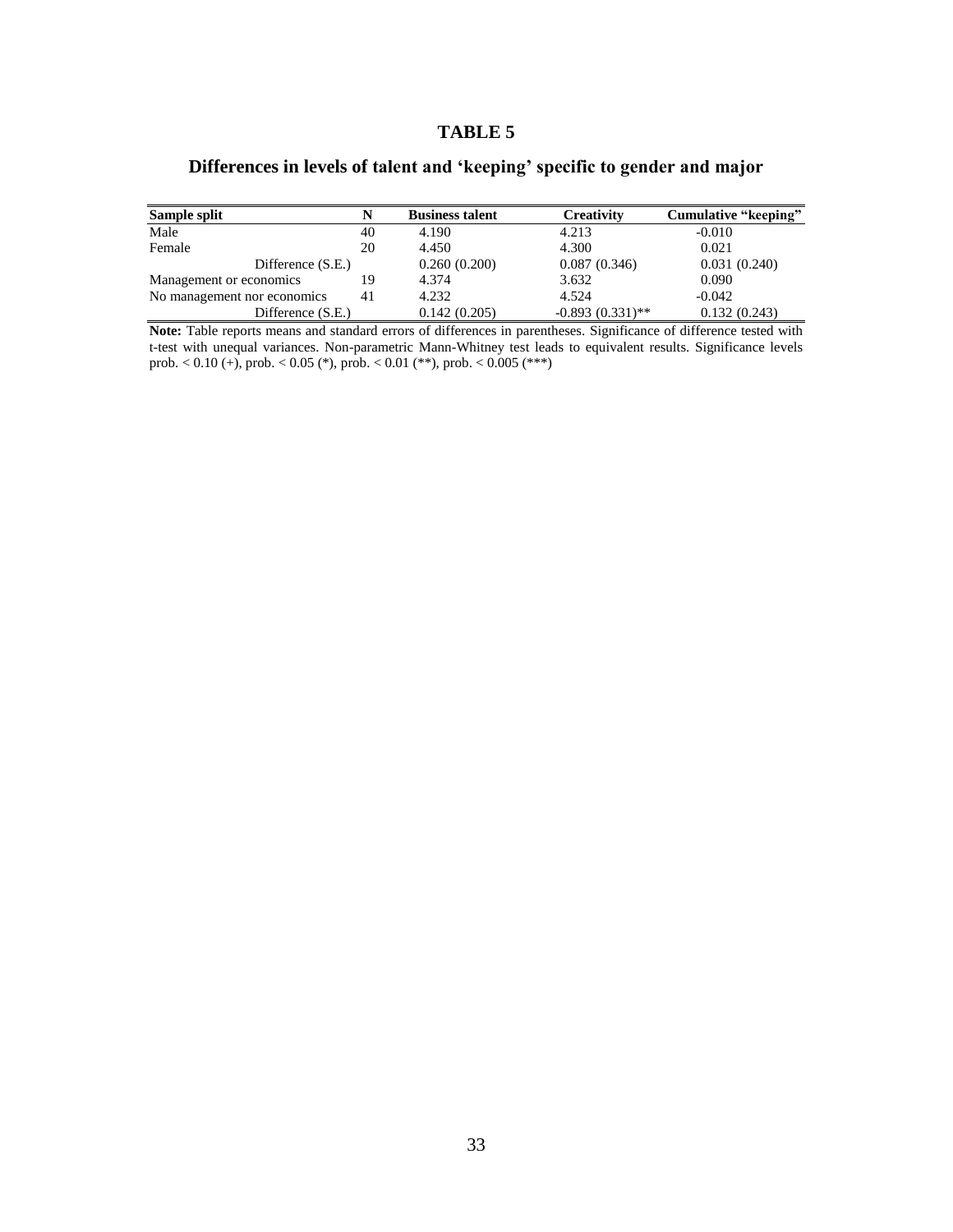# **Differences in levels of talent and "keeping" specific to gender and major**

| Sample split                | N  | <b>Business talent</b> | <b>Creativity</b>  | Cumulative "keeping" |
|-----------------------------|----|------------------------|--------------------|----------------------|
| Male                        | 40 | 4.190                  | 4.213              | $-0.010$             |
| Female                      | 20 | 4.450                  | 4.300              | 0.021                |
| Difference (S.E.)           |    | 0.260(0.200)           | 0.087(0.346)       | 0.031(0.240)         |
| Management or economics     |    | 4.374                  | 3.632              | 0.090                |
| No management nor economics | 41 | 4.232                  | 4.524              | $-0.042$             |
| Difference (S.E.)           |    | 0.142(0.205)           | $-0.893(0.331)$ ** | 0.132(0.243)         |

**Note:** Table reports means and standard errors of differences in parentheses. Significance of difference tested with t-test with unequal variances. Non-parametric Mann-Whitney test leads to equivalent results. Significance levels prob. < 0.10 (+), prob. < 0.05 (\*), prob. < 0.01 (\*\*), prob. < 0.005 (\*\*\*)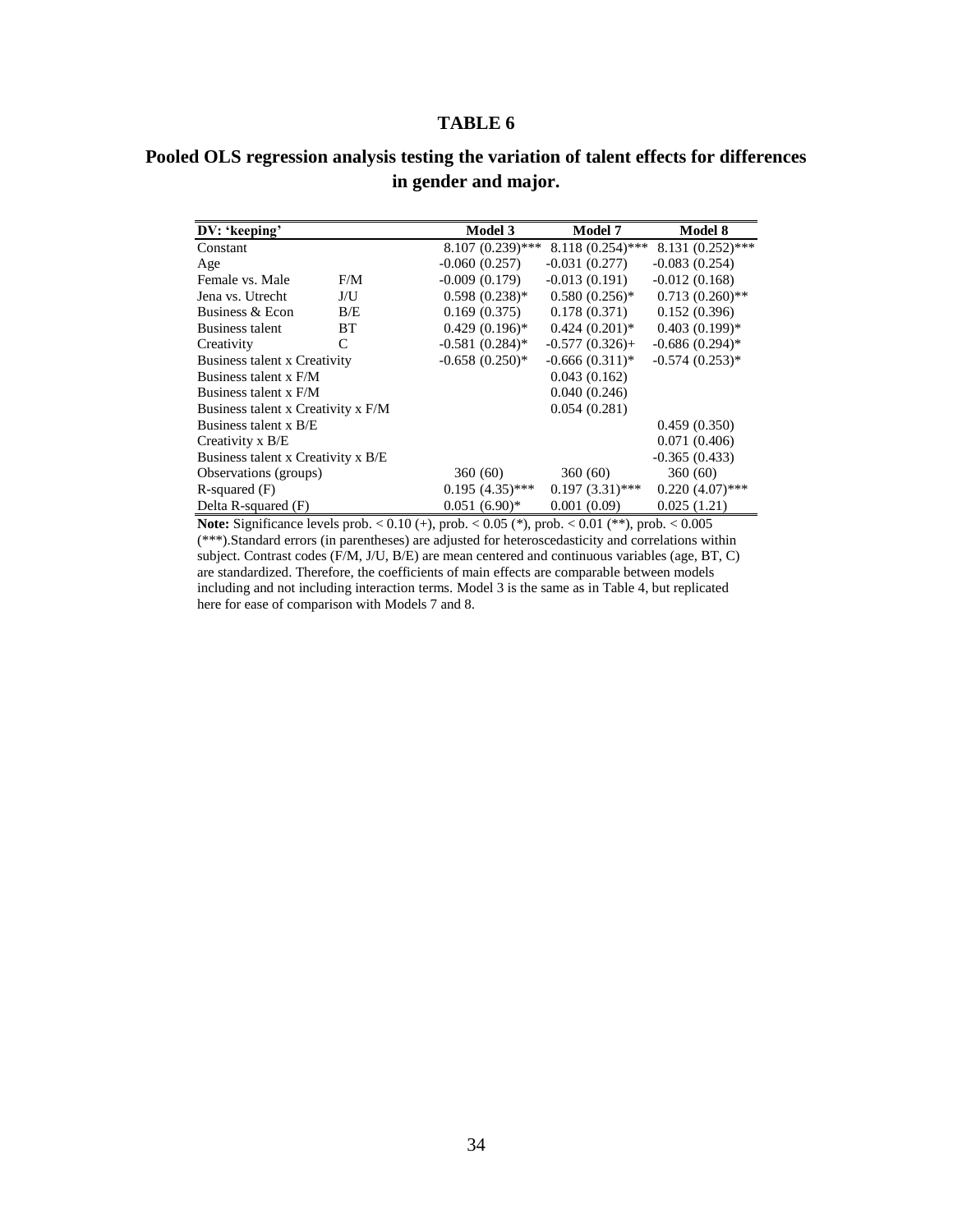### **Pooled OLS regression analysis testing the variation of talent effects for differences in gender and major.**

| DV: 'keeping'                      |           | <b>Model 3</b>     | <b>Model 7</b>     | <b>Model 8</b>     |
|------------------------------------|-----------|--------------------|--------------------|--------------------|
| Constant                           |           | $8.107(0.239)$ *** | $8.118(0.254)$ *** | $8.131(0.252)$ *** |
| Age                                |           | $-0.060(0.257)$    | $-0.031(0.277)$    | $-0.083(0.254)$    |
| Female vs. Male                    | F/M       | $-0.009(0.179)$    | $-0.013(0.191)$    | $-0.012(0.168)$    |
| Jena vs. Utrecht                   | J/I       | $0.598(0.238)*$    | $0.580(0.256)*$    | $0.713(0.260)$ **  |
| Business & Econ                    | B/E       | 0.169(0.375)       | 0.178(0.371)       | 0.152(0.396)       |
| Business talent                    | <b>BT</b> | $0.429(0.196)*$    | $0.424(0.201)*$    | $0.403(0.199)*$    |
| Creativity                         | C         | $-0.581(0.284)$ *  | $-0.577(0.326) +$  | $-0.686(0.294)$ *  |
| Business talent x Creativity       |           | $-0.658(0.250)*$   | $-0.666(0.311)*$   | $-0.574(0.253)*$   |
| Business talent x F/M              |           |                    | 0.043(0.162)       |                    |
| Business talent x F/M              |           |                    | 0.040(0.246)       |                    |
| Business talent x Creativity x F/M |           |                    | 0.054(0.281)       |                    |
| Business talent x B/E              |           |                    |                    | 0.459(0.350)       |
| Creativity x B/E                   |           |                    |                    | 0.071(0.406)       |
| Business talent x Creativity x B/E |           |                    |                    | $-0.365(0.433)$    |
| Observations (groups)              |           | 360(60)            | 360(60)            | 360(60)            |
| $R$ -squared $(F)$                 |           | $0.195(4.35)$ ***  | $0.197(3.31)$ ***  | $0.220(4.07)$ ***  |
| Delta R-squared (F)                |           | $0.051(6.90)$ *    | 0.001(0.09)        | 0.025(1.21)        |

**Note:** Significance levels prob. < 0.10 (+), prob. < 0.05 (\*), prob. < 0.01 (\*\*), prob. < 0.005 (\*\*\*).Standard errors (in parentheses) are adjusted for heteroscedasticity and correlations within subject. Contrast codes (F/M, J/U, B/E) are mean centered and continuous variables (age, BT, C) are standardized. Therefore, the coefficients of main effects are comparable between models including and not including interaction terms. Model 3 is the same as in Table 4, but replicated here for ease of comparison with Models 7 and 8.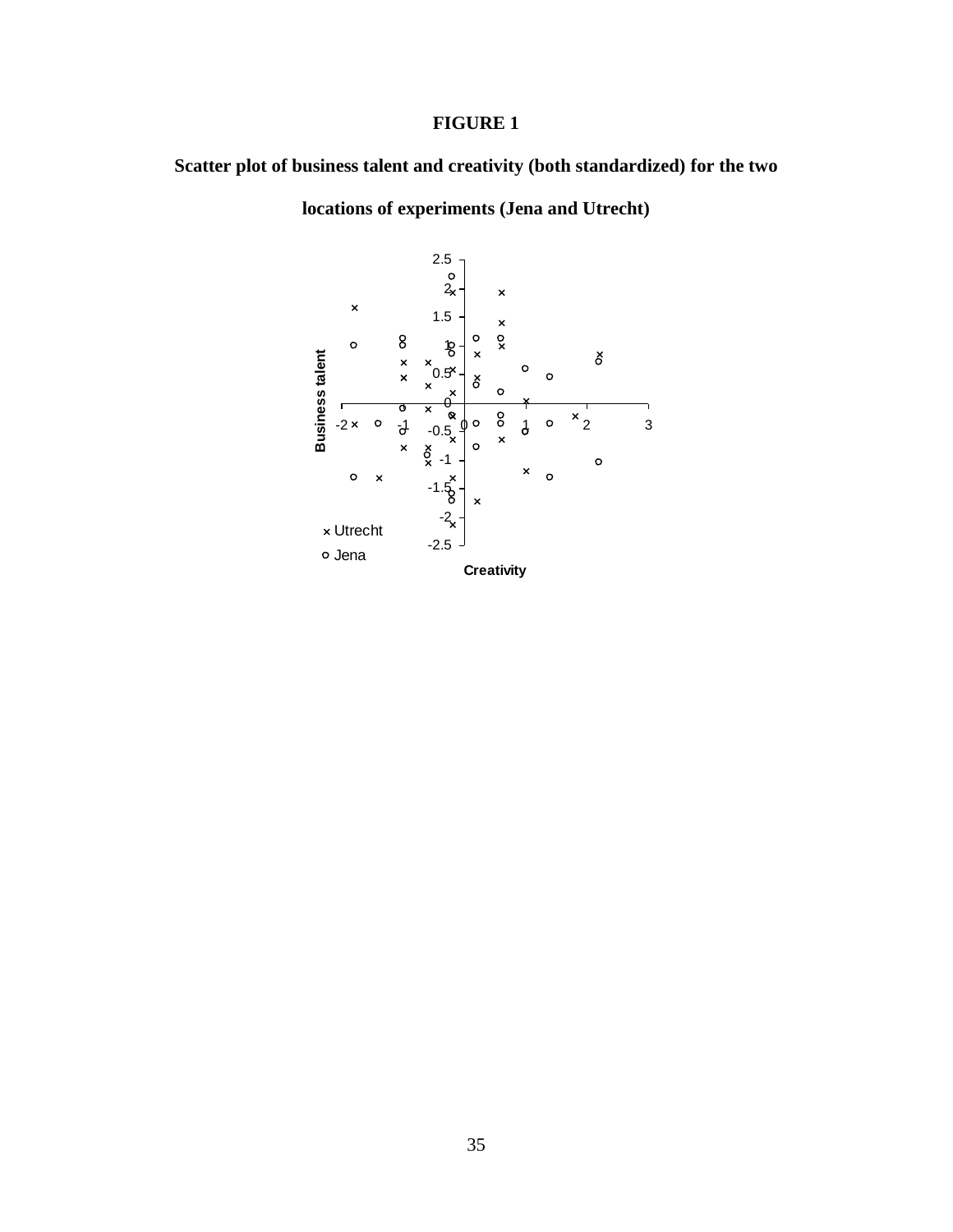# **FIGURE 1**

**Scatter plot of business talent and creativity (both standardized) for the two** 



**locations of experiments (Jena and Utrecht)**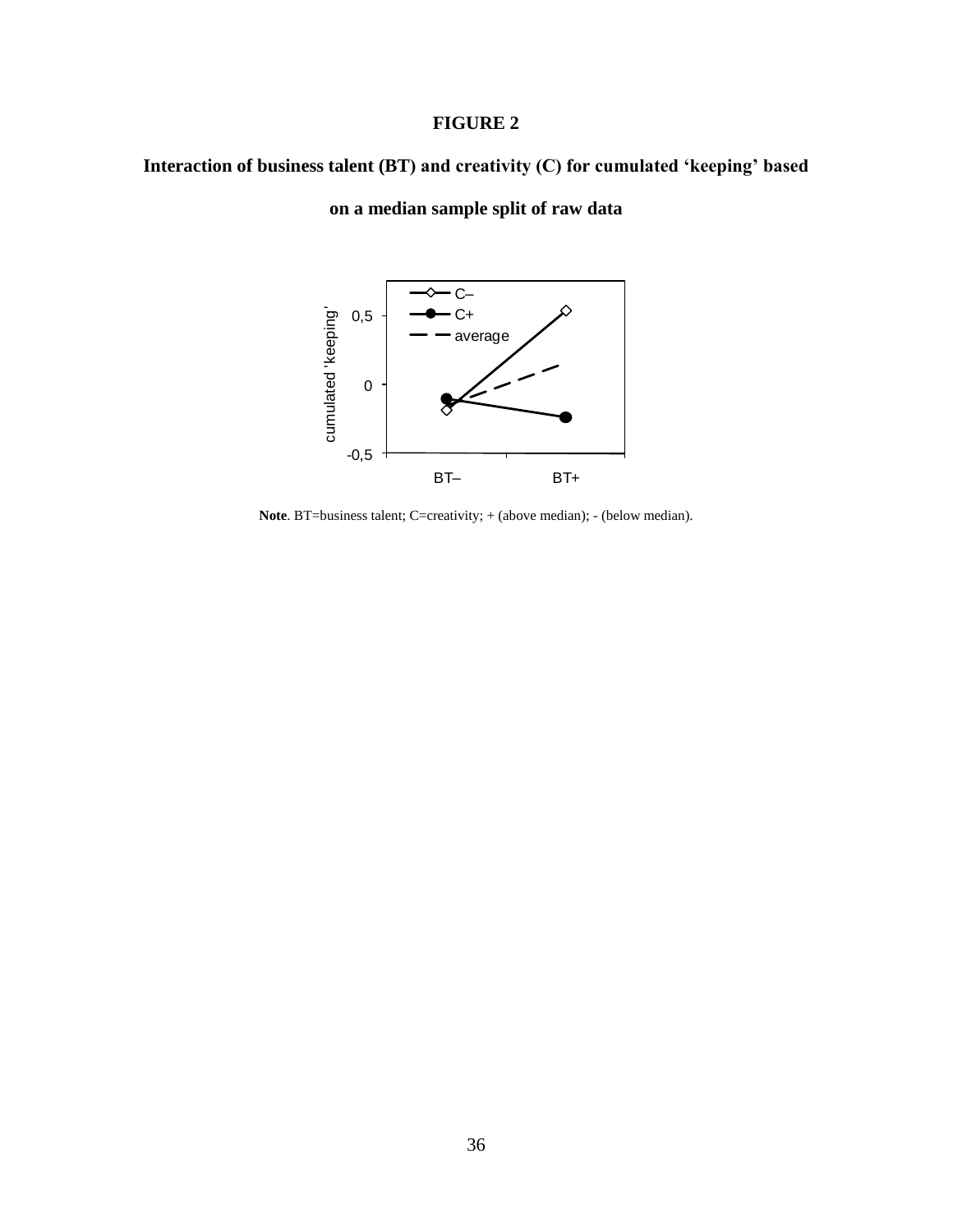# **FIGURE 2**

**Interaction of business talent (BT) and creativity (C) for cumulated "keeping" based** 



**on a median sample split of raw data** 

Note. BT=business talent; C=creativity; + (above median); - (below median).